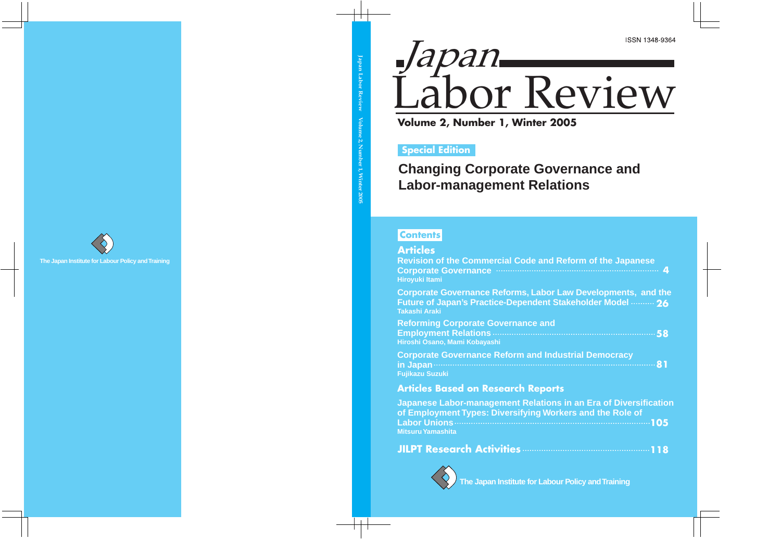

# **Special Edition**

**Changing Corporate Governance and Labor-management Relations** 

# **Contents**

| <b>Articles</b>                                                                                                                                            |
|------------------------------------------------------------------------------------------------------------------------------------------------------------|
| <b>Revision of the Commercial Code and Reform of the Japanese</b><br>Corporate Governance manufactured and 4<br><b>Hiroyuki Itami</b>                      |
| <b>Corporate Governance Reforms, Labor Law Developments, and the</b><br>Future of Japan's Practice-Dependent Stakeholder Model  26<br><b>Takashi Araki</b> |
| <b>Reforming Corporate Governance and</b><br>Hiroshi Osano, Mami Kobayashi                                                                                 |
| <b>Corporate Governance Reform and Industrial Democracy</b><br><b>Fujikazu Suzuki</b>                                                                      |
| <b>Articles Based on Research Reports</b>                                                                                                                  |
| Japanese Labor-management Relations in an Era of Diversification<br>of Employment Types: Diversifying Workers and the Role of<br><b>Mitsuru Yamashita</b>  |
|                                                                                                                                                            |



**The Japan Institute for Labour Policy and Training**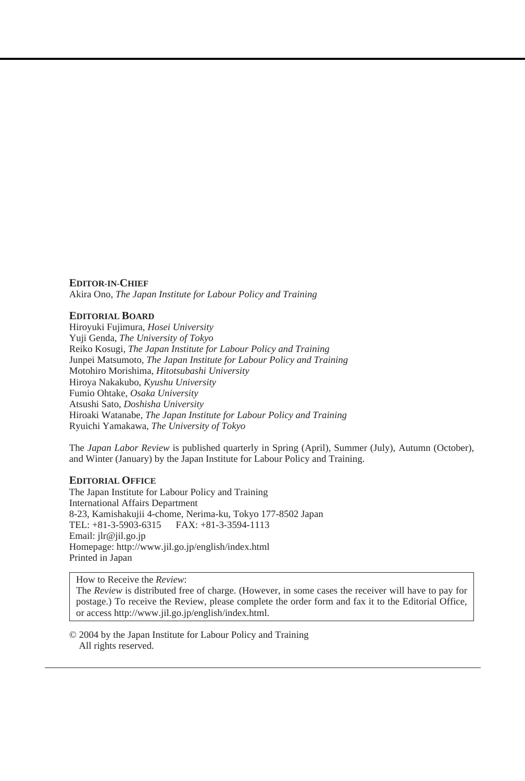#### **EDITOR-IN-CHIEF**

Akira Ono, *The Japan Institute for Labour Policy and Training*

#### **EDITORIAL BOARD**

Hiroyuki Fujimura, *Hosei University* Yuji Genda, *The University of Tokyo* Reiko Kosugi, *The Japan Institute for Labour Policy and Training* Junpei Matsumoto, *The Japan Institute for Labour Policy and Training* Motohiro Morishima, *Hitotsubashi University* Hiroya Nakakubo, *Kyushu University* Fumio Ohtake, *Osaka University* Atsushi Sato, *Doshisha University* Hiroaki Watanabe, *The Japan Institute for Labour Policy and Training* Ryuichi Yamakawa, *The University of Tokyo*

The *Japan Labor Review* is published quarterly in Spring (April), Summer (July), Autumn (October), and Winter (January) by the Japan Institute for Labour Policy and Training.

#### **EDITORIAL OFFICE**

The Japan Institute for Labour Policy and Training International Affairs Department 8-23, Kamishakujii 4-chome, Nerima-ku, Tokyo 177-8502 Japan FAX: +81-3-3594-1113 Email: jlr@jil.go.jp Homepage: http://www.jil.go.jp/english/index.html Printed in Japan

How to Receive the *Review*:

The *Review* is distributed free of charge. (However, in some cases the receiver will have to pay for postage.) To receive the Review, please complete the order form and fax it to the Editorial Office, or access http://www.jil.go.jp/english/index.html.

© 2004 by the Japan Institute for Labour Policy and Training All rights reserved.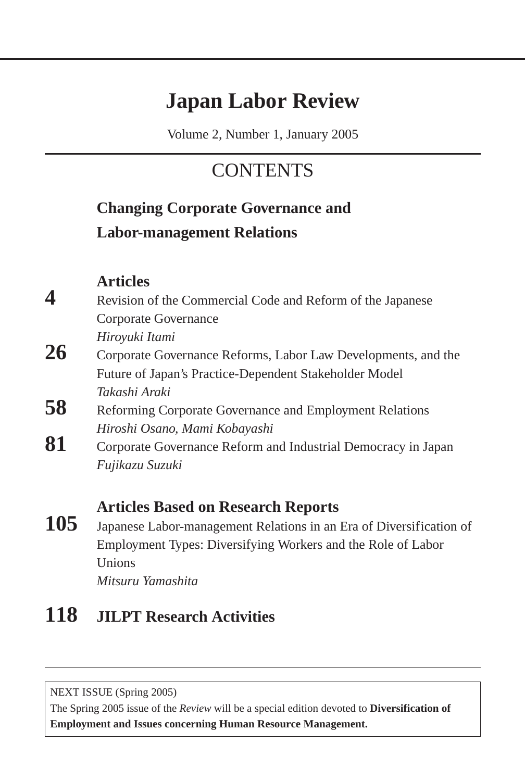# **Japan Labor Review**

Volume 2, Number 1, January 2005

# **CONTENTS**

# **Changing Corporate Governance and Labor-management Relations**

**Articles**

**4** Revision of the Commercial Code and Reform of the Japanese Corporate Governance

*Hiroyuki Itami*

- 26 Corporate Governance Reforms, Labor Law Developments, and the Future of Japan's Practice-Dependent Stakeholder Model *Takashi Araki*
- **58** Reforming Corporate Governance and Employment Relations *Hiroshi Osano, Mami Kobayashi*
- **81** Corporate Governance Reform and Industrial Democracy in Japan *Fujikazu Suzuki*

# **Articles Based on Research Reports**

**105** Japanese Labor-management Relations in an Era of Diversification of Employment Types: Diversifying Workers and the Role of Labor Unions *Mitsuru Yamashita*

# **118 JILPT Research Activities**

NEXT ISSUE (Spring 2005)

The Spring 2005 issue of the *Review* will be a special edition devoted to **Diversification of Employment and Issues concerning Human Resource Management.**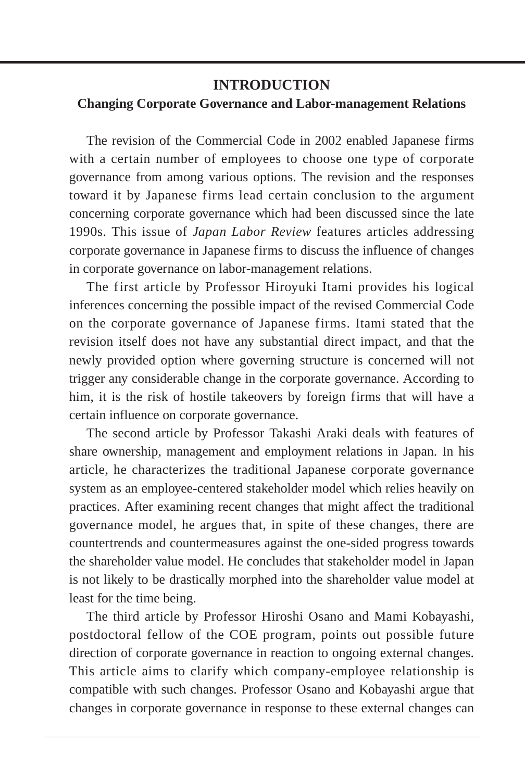### **INTRODUCTION**

### **Changing Corporate Governance and Labor-management Relations**

The revision of the Commercial Code in 2002 enabled Japanese firms with a certain number of employees to choose one type of corporate governance from among various options. The revision and the responses toward it by Japanese firms lead certain conclusion to the argument concerning corporate governance which had been discussed since the late 1990s. This issue of *Japan Labor Review* features articles addressing corporate governance in Japanese firms to discuss the influence of changes in corporate governance on labor-management relations.

The first article by Professor Hiroyuki Itami provides his logical inferences concerning the possible impact of the revised Commercial Code on the corporate governance of Japanese firms. Itami stated that the revision itself does not have any substantial direct impact, and that the newly provided option where governing structure is concerned will not trigger any considerable change in the corporate governance. According to him, it is the risk of hostile takeovers by foreign firms that will have a certain influence on corporate governance.

The second article by Professor Takashi Araki deals with features of share ownership, management and employment relations in Japan. In his article, he characterizes the traditional Japanese corporate governance system as an employee-centered stakeholder model which relies heavily on practices. After examining recent changes that might affect the traditional governance model, he argues that, in spite of these changes, there are countertrends and countermeasures against the one-sided progress towards the shareholder value model. He concludes that stakeholder model in Japan is not likely to be drastically morphed into the shareholder value model at least for the time being.

The third article by Professor Hiroshi Osano and Mami Kobayashi, postdoctoral fellow of the COE program, points out possible future direction of corporate governance in reaction to ongoing external changes. This article aims to clarify which company-employee relationship is compatible with such changes. Professor Osano and Kobayashi argue that changes in corporate governance in response to these external changes can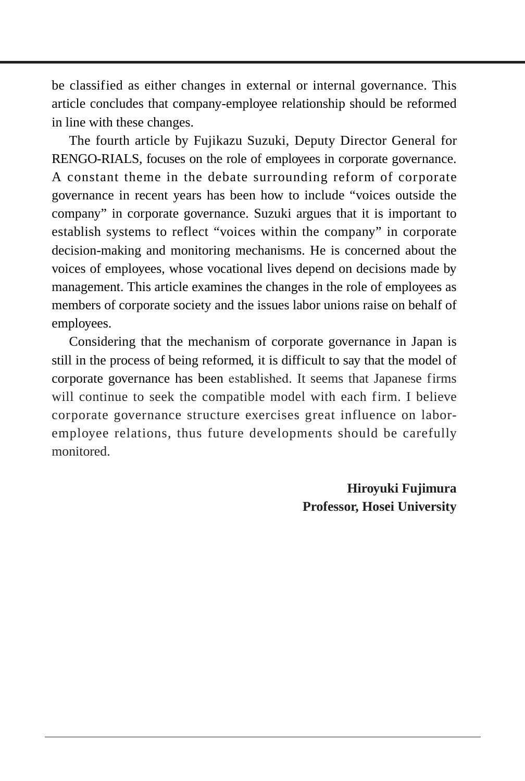be classified as either changes in external or internal governance. This article concludes that company-employee relationship should be reformed in line with these changes.

The fourth article by Fujikazu Suzuki, Deputy Director General for RENGO-RIALS, focuses on the role of employees in corporate governance. A constant theme in the debate surrounding reform of corporate governance in recent years has been how to include "voices outside the company" in corporate governance. Suzuki argues that it is important to establish systems to reflect "voices within the company" in corporate decision-making and monitoring mechanisms. He is concerned about the voices of employees, whose vocational lives depend on decisions made by management. This article examines the changes in the role of employees as members of corporate society and the issues labor unions raise on behalf of employees.

Considering that the mechanism of corporate governance in Japan is still in the process of being reformed, it is difficult to say that the model of corporate governance has been established. It seems that Japanese firms will continue to seek the compatible model with each firm. I believe corporate governance structure exercises great influence on laboremployee relations, thus future developments should be carefully monitored.

> **Hiroyuki Fujimura Professor, Hosei University**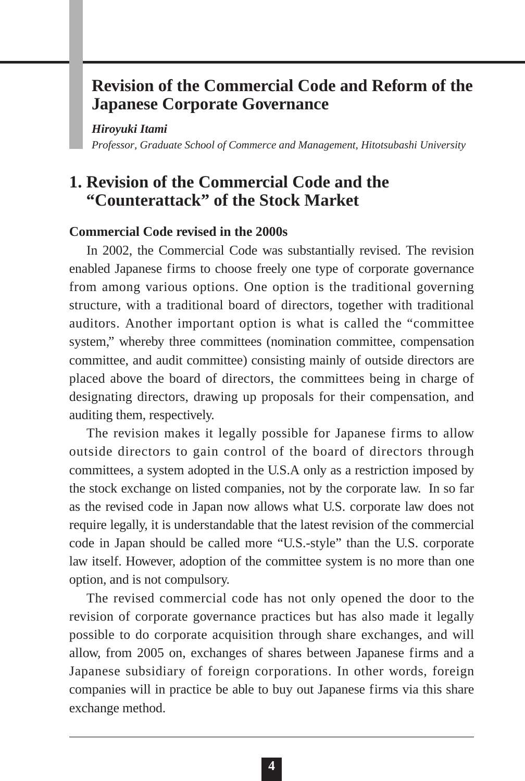# **Revision of the Commercial Code and Reform of the Japanese Corporate Governance**

*Hiroyuki Itami*

*Professor, Graduate School of Commerce and Management, Hitotsubashi University*

# **1. Revision of the Commercial Code and the "Counterattack" of the Stock Market**

### **Commercial Code revised in the 2000s**

In 2002, the Commercial Code was substantially revised. The revision enabled Japanese firms to choose freely one type of corporate governance from among various options. One option is the traditional governing structure, with a traditional board of directors, together with traditional auditors. Another important option is what is called the "committee system," whereby three committees (nomination committee, compensation committee, and audit committee) consisting mainly of outside directors are placed above the board of directors, the committees being in charge of designating directors, drawing up proposals for their compensation, and auditing them, respectively.

The revision makes it legally possible for Japanese firms to allow outside directors to gain control of the board of directors through committees, a system adopted in the U.S.A only as a restriction imposed by the stock exchange on listed companies, not by the corporate law. In so far as the revised code in Japan now allows what U.S. corporate law does not require legally, it is understandable that the latest revision of the commercial code in Japan should be called more "U.S.-style" than the U.S. corporate law itself. However, adoption of the committee system is no more than one option, and is not compulsory.

The revised commercial code has not only opened the door to the revision of corporate governance practices but has also made it legally possible to do corporate acquisition through share exchanges, and will allow, from 2005 on, exchanges of shares between Japanese firms and a Japanese subsidiary of foreign corporations. In other words, foreign companies will in practice be able to buy out Japanese firms via this share exchange method.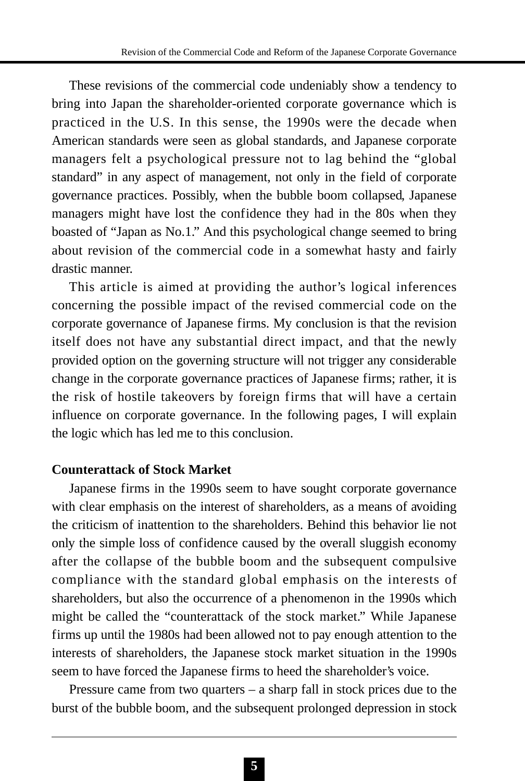These revisions of the commercial code undeniably show a tendency to bring into Japan the shareholder-oriented corporate governance which is practiced in the U.S. In this sense, the 1990s were the decade when American standards were seen as global standards, and Japanese corporate managers felt a psychological pressure not to lag behind the "global standard" in any aspect of management, not only in the field of corporate governance practices. Possibly, when the bubble boom collapsed, Japanese managers might have lost the confidence they had in the 80s when they boasted of "Japan as No.1." And this psychological change seemed to bring about revision of the commercial code in a somewhat hasty and fairly drastic manner.

This article is aimed at providing the author's logical inferences concerning the possible impact of the revised commercial code on the corporate governance of Japanese firms. My conclusion is that the revision itself does not have any substantial direct impact, and that the newly provided option on the governing structure will not trigger any considerable change in the corporate governance practices of Japanese firms; rather, it is the risk of hostile takeovers by foreign firms that will have a certain influence on corporate governance. In the following pages, I will explain the logic which has led me to this conclusion.

### **Counterattack of Stock Market**

Japanese firms in the 1990s seem to have sought corporate governance with clear emphasis on the interest of shareholders, as a means of avoiding the criticism of inattention to the shareholders. Behind this behavior lie not only the simple loss of confidence caused by the overall sluggish economy after the collapse of the bubble boom and the subsequent compulsive compliance with the standard global emphasis on the interests of shareholders, but also the occurrence of a phenomenon in the 1990s which might be called the "counterattack of the stock market." While Japanese firms up until the 1980s had been allowed not to pay enough attention to the interests of shareholders, the Japanese stock market situation in the 1990s seem to have forced the Japanese firms to heed the shareholder's voice.

Pressure came from two quarters – a sharp fall in stock prices due to the burst of the bubble boom, and the subsequent prolonged depression in stock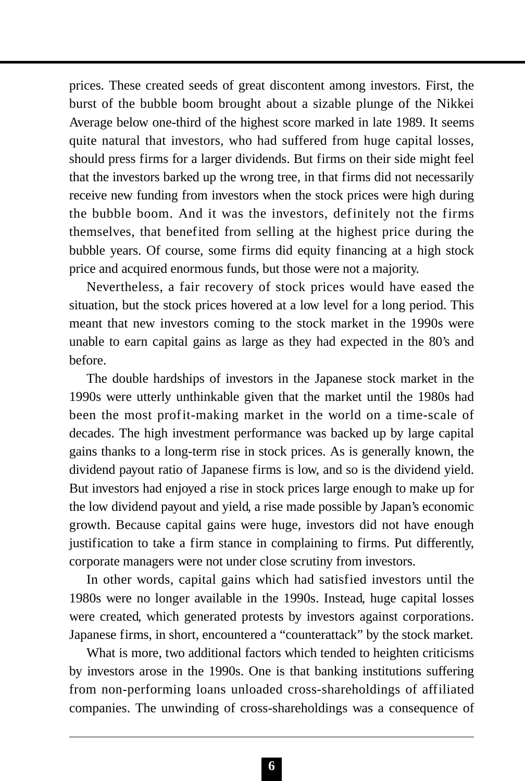prices. These created seeds of great discontent among investors. First, the burst of the bubble boom brought about a sizable plunge of the Nikkei Average below one-third of the highest score marked in late 1989. It seems quite natural that investors, who had suffered from huge capital losses, should press firms for a larger dividends. But firms on their side might feel that the investors barked up the wrong tree, in that firms did not necessarily receive new funding from investors when the stock prices were high during the bubble boom. And it was the investors, definitely not the firms themselves, that benefited from selling at the highest price during the bubble years. Of course, some firms did equity financing at a high stock price and acquired enormous funds, but those were not a majority.

Nevertheless, a fair recovery of stock prices would have eased the situation, but the stock prices hovered at a low level for a long period. This meant that new investors coming to the stock market in the 1990s were unable to earn capital gains as large as they had expected in the 80's and before.

The double hardships of investors in the Japanese stock market in the 1990s were utterly unthinkable given that the market until the 1980s had been the most profit-making market in the world on a time-scale of decades. The high investment performance was backed up by large capital gains thanks to a long-term rise in stock prices. As is generally known, the dividend payout ratio of Japanese firms is low, and so is the dividend yield. But investors had enjoyed a rise in stock prices large enough to make up for the low dividend payout and yield, a rise made possible by Japan's economic growth. Because capital gains were huge, investors did not have enough justification to take a firm stance in complaining to firms. Put differently, corporate managers were not under close scrutiny from investors.

In other words, capital gains which had satisfied investors until the 1980s were no longer available in the 1990s. Instead, huge capital losses were created, which generated protests by investors against corporations. Japanese firms, in short, encountered a "counterattack" by the stock market.

What is more, two additional factors which tended to heighten criticisms by investors arose in the 1990s. One is that banking institutions suffering from non-performing loans unloaded cross-shareholdings of affiliated companies. The unwinding of cross-shareholdings was a consequence of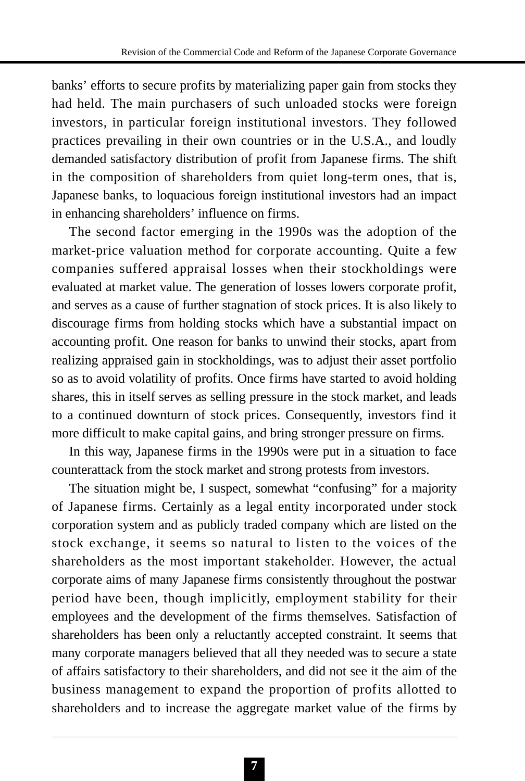banks' efforts to secure profits by materializing paper gain from stocks they had held. The main purchasers of such unloaded stocks were foreign investors, in particular foreign institutional investors. They followed practices prevailing in their own countries or in the U.S.A., and loudly demanded satisfactory distribution of profit from Japanese firms. The shift in the composition of shareholders from quiet long-term ones, that is, Japanese banks, to loquacious foreign institutional investors had an impact in enhancing shareholders' influence on firms.

The second factor emerging in the 1990s was the adoption of the market-price valuation method for corporate accounting. Quite a few companies suffered appraisal losses when their stockholdings were evaluated at market value. The generation of losses lowers corporate profit, and serves as a cause of further stagnation of stock prices. It is also likely to discourage firms from holding stocks which have a substantial impact on accounting profit. One reason for banks to unwind their stocks, apart from realizing appraised gain in stockholdings, was to adjust their asset portfolio so as to avoid volatility of profits. Once firms have started to avoid holding shares, this in itself serves as selling pressure in the stock market, and leads to a continued downturn of stock prices. Consequently, investors find it more difficult to make capital gains, and bring stronger pressure on firms.

In this way, Japanese firms in the 1990s were put in a situation to face counterattack from the stock market and strong protests from investors.

The situation might be, I suspect, somewhat "confusing" for a majority of Japanese firms. Certainly as a legal entity incorporated under stock corporation system and as publicly traded company which are listed on the stock exchange, it seems so natural to listen to the voices of the shareholders as the most important stakeholder. However, the actual corporate aims of many Japanese firms consistently throughout the postwar period have been, though implicitly, employment stability for their employees and the development of the firms themselves. Satisfaction of shareholders has been only a reluctantly accepted constraint. It seems that many corporate managers believed that all they needed was to secure a state of affairs satisfactory to their shareholders, and did not see it the aim of the business management to expand the proportion of profits allotted to shareholders and to increase the aggregate market value of the firms by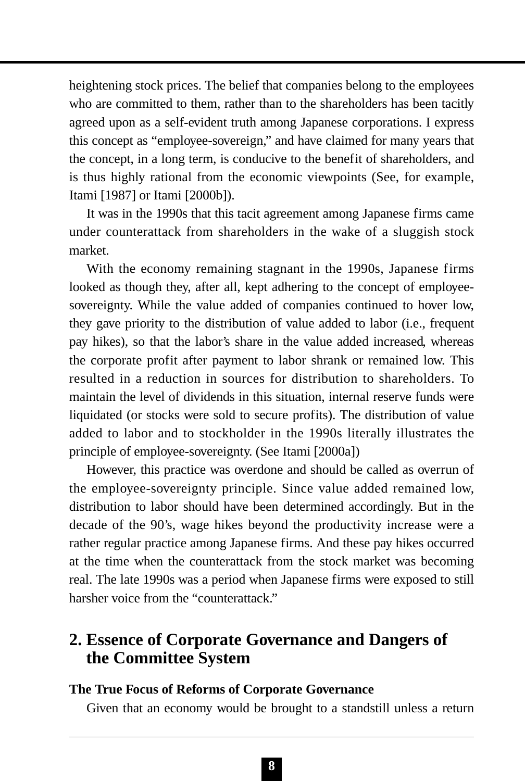heightening stock prices. The belief that companies belong to the employees who are committed to them, rather than to the shareholders has been tacitly agreed upon as a self-evident truth among Japanese corporations. I express this concept as "employee-sovereign," and have claimed for many years that the concept, in a long term, is conducive to the benefit of shareholders, and is thus highly rational from the economic viewpoints (See, for example, Itami [1987] or Itami [2000b]).

It was in the 1990s that this tacit agreement among Japanese firms came under counterattack from shareholders in the wake of a sluggish stock market.

With the economy remaining stagnant in the 1990s, Japanese firms looked as though they, after all, kept adhering to the concept of employeesovereignty. While the value added of companies continued to hover low, they gave priority to the distribution of value added to labor (i.e., frequent pay hikes), so that the labor's share in the value added increased, whereas the corporate profit after payment to labor shrank or remained low. This resulted in a reduction in sources for distribution to shareholders. To maintain the level of dividends in this situation, internal reserve funds were liquidated (or stocks were sold to secure profits). The distribution of value added to labor and to stockholder in the 1990s literally illustrates the principle of employee-sovereignty. (See Itami [2000a])

However, this practice was overdone and should be called as overrun of the employee-sovereignty principle. Since value added remained low, distribution to labor should have been determined accordingly. But in the decade of the 90's, wage hikes beyond the productivity increase were a rather regular practice among Japanese firms. And these pay hikes occurred at the time when the counterattack from the stock market was becoming real. The late 1990s was a period when Japanese firms were exposed to still harsher voice from the "counterattack."

# **2. Essence of Corporate Governance and Dangers of the Committee System**

### **The True Focus of Reforms of Corporate Governance**

Given that an economy would be brought to a standstill unless a return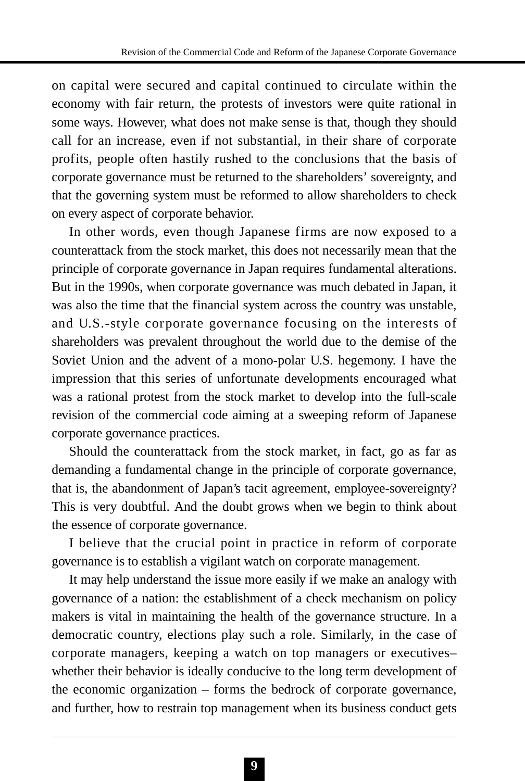on capital were secured and capital continued to circulate within the economy with fair return, the protests of investors were quite rational in some ways. However, what does not make sense is that, though they should call for an increase, even if not substantial, in their share of corporate profits, people often hastily rushed to the conclusions that the basis of corporate governance must be returned to the shareholders' sovereignty, and that the governing system must be reformed to allow shareholders to check on every aspect of corporate behavior.

In other words, even though Japanese firms are now exposed to a counterattack from the stock market, this does not necessarily mean that the principle of corporate governance in Japan requires fundamental alterations. But in the 1990s, when corporate governance was much debated in Japan, it was also the time that the financial system across the country was unstable, and U.S.-style corporate governance focusing on the interests of shareholders was prevalent throughout the world due to the demise of the Soviet Union and the advent of a mono-polar U.S. hegemony. I have the impression that this series of unfortunate developments encouraged what was a rational protest from the stock market to develop into the full-scale revision of the commercial code aiming at a sweeping reform of Japanese corporate governance practices.

Should the counterattack from the stock market, in fact, go as far as demanding a fundamental change in the principle of corporate governance, that is, the abandonment of Japan's tacit agreement, employee-sovereignty? This is very doubtful. And the doubt grows when we begin to think about the essence of corporate governance.

I believe that the crucial point in practice in reform of corporate governance is to establish a vigilant watch on corporate management.

It may help understand the issue more easily if we make an analogy with governance of a nation: the establishment of a check mechanism on policy makers is vital in maintaining the health of the governance structure. In a democratic country, elections play such a role. Similarly, in the case of corporate managers, keeping a watch on top managers or executives– whether their behavior is ideally conducive to the long term development of the economic organization – forms the bedrock of corporate governance, and further, how to restrain top management when its business conduct gets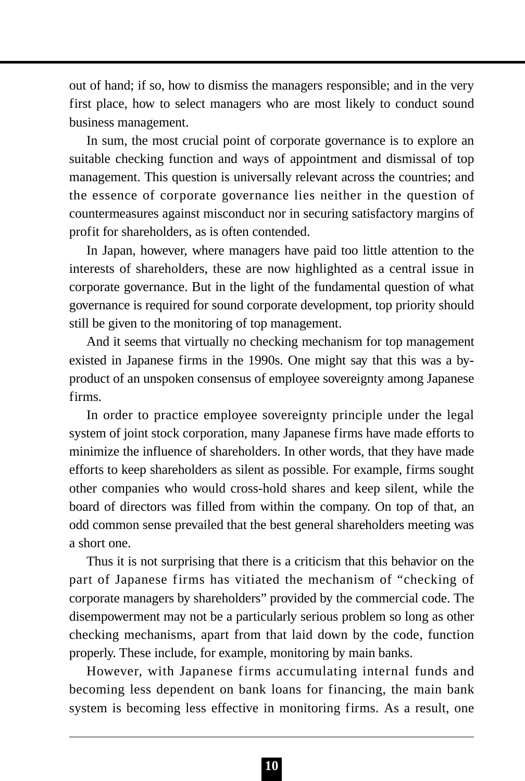out of hand; if so, how to dismiss the managers responsible; and in the very first place, how to select managers who are most likely to conduct sound business management.

In sum, the most crucial point of corporate governance is to explore an suitable checking function and ways of appointment and dismissal of top management. This question is universally relevant across the countries; and the essence of corporate governance lies neither in the question of countermeasures against misconduct nor in securing satisfactory margins of profit for shareholders, as is often contended.

In Japan, however, where managers have paid too little attention to the interests of shareholders, these are now highlighted as a central issue in corporate governance. But in the light of the fundamental question of what governance is required for sound corporate development, top priority should still be given to the monitoring of top management.

And it seems that virtually no checking mechanism for top management existed in Japanese firms in the 1990s. One might say that this was a byproduct of an unspoken consensus of employee sovereignty among Japanese firms.

In order to practice employee sovereignty principle under the legal system of joint stock corporation, many Japanese firms have made efforts to minimize the influence of shareholders. In other words, that they have made efforts to keep shareholders as silent as possible. For example, firms sought other companies who would cross-hold shares and keep silent, while the board of directors was filled from within the company. On top of that, an odd common sense prevailed that the best general shareholders meeting was a short one.

Thus it is not surprising that there is a criticism that this behavior on the part of Japanese firms has vitiated the mechanism of "checking of corporate managers by shareholders" provided by the commercial code. The disempowerment may not be a particularly serious problem so long as other checking mechanisms, apart from that laid down by the code, function properly. These include, for example, monitoring by main banks.

However, with Japanese firms accumulating internal funds and becoming less dependent on bank loans for financing, the main bank system is becoming less effective in monitoring firms. As a result, one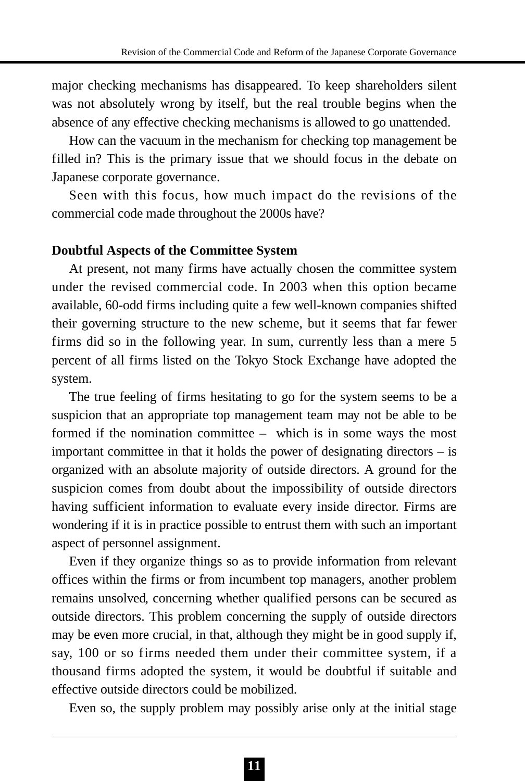major checking mechanisms has disappeared. To keep shareholders silent was not absolutely wrong by itself, but the real trouble begins when the absence of any effective checking mechanisms is allowed to go unattended.

How can the vacuum in the mechanism for checking top management be filled in? This is the primary issue that we should focus in the debate on Japanese corporate governance.

Seen with this focus, how much impact do the revisions of the commercial code made throughout the 2000s have?

#### **Doubtful Aspects of the Committee System**

At present, not many firms have actually chosen the committee system under the revised commercial code. In 2003 when this option became available, 60-odd firms including quite a few well-known companies shifted their governing structure to the new scheme, but it seems that far fewer firms did so in the following year. In sum, currently less than a mere 5 percent of all firms listed on the Tokyo Stock Exchange have adopted the system.

The true feeling of firms hesitating to go for the system seems to be a suspicion that an appropriate top management team may not be able to be formed if the nomination committee – which is in some ways the most important committee in that it holds the power of designating directors – is organized with an absolute majority of outside directors. A ground for the suspicion comes from doubt about the impossibility of outside directors having sufficient information to evaluate every inside director. Firms are wondering if it is in practice possible to entrust them with such an important aspect of personnel assignment.

Even if they organize things so as to provide information from relevant offices within the firms or from incumbent top managers, another problem remains unsolved, concerning whether qualified persons can be secured as outside directors. This problem concerning the supply of outside directors may be even more crucial, in that, although they might be in good supply if, say, 100 or so firms needed them under their committee system, if a thousand firms adopted the system, it would be doubtful if suitable and effective outside directors could be mobilized.

Even so, the supply problem may possibly arise only at the initial stage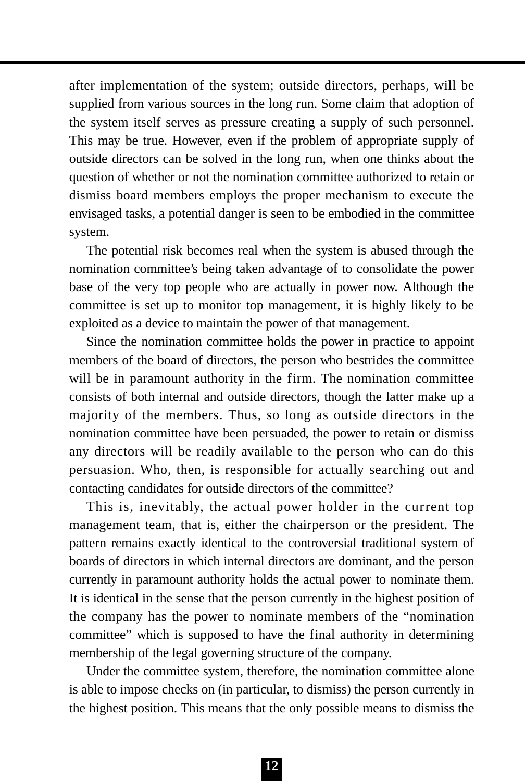after implementation of the system; outside directors, perhaps, will be supplied from various sources in the long run. Some claim that adoption of the system itself serves as pressure creating a supply of such personnel. This may be true. However, even if the problem of appropriate supply of outside directors can be solved in the long run, when one thinks about the question of whether or not the nomination committee authorized to retain or dismiss board members employs the proper mechanism to execute the envisaged tasks, a potential danger is seen to be embodied in the committee system.

The potential risk becomes real when the system is abused through the nomination committee's being taken advantage of to consolidate the power base of the very top people who are actually in power now. Although the committee is set up to monitor top management, it is highly likely to be exploited as a device to maintain the power of that management.

Since the nomination committee holds the power in practice to appoint members of the board of directors, the person who bestrides the committee will be in paramount authority in the firm. The nomination committee consists of both internal and outside directors, though the latter make up a majority of the members. Thus, so long as outside directors in the nomination committee have been persuaded, the power to retain or dismiss any directors will be readily available to the person who can do this persuasion. Who, then, is responsible for actually searching out and contacting candidates for outside directors of the committee?

This is, inevitably, the actual power holder in the current top management team, that is, either the chairperson or the president. The pattern remains exactly identical to the controversial traditional system of boards of directors in which internal directors are dominant, and the person currently in paramount authority holds the actual power to nominate them. It is identical in the sense that the person currently in the highest position of the company has the power to nominate members of the "nomination committee" which is supposed to have the final authority in determining membership of the legal governing structure of the company.

Under the committee system, therefore, the nomination committee alone is able to impose checks on (in particular, to dismiss) the person currently in the highest position. This means that the only possible means to dismiss the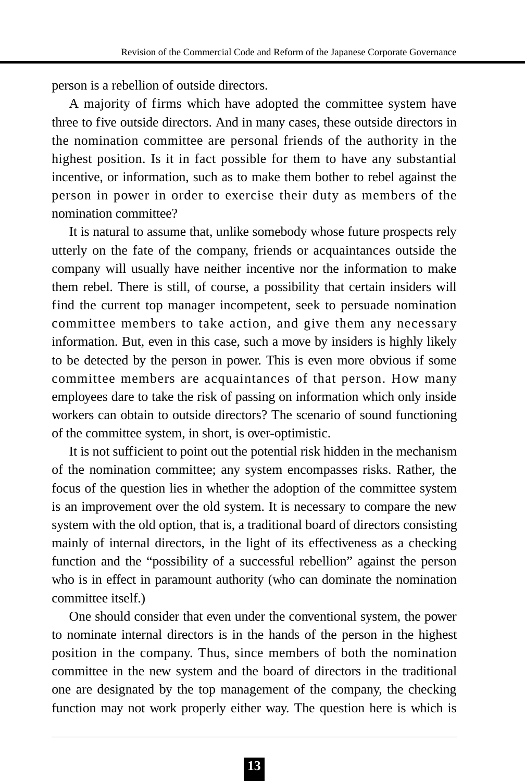person is a rebellion of outside directors.

A majority of firms which have adopted the committee system have three to five outside directors. And in many cases, these outside directors in the nomination committee are personal friends of the authority in the highest position. Is it in fact possible for them to have any substantial incentive, or information, such as to make them bother to rebel against the person in power in order to exercise their duty as members of the nomination committee?

It is natural to assume that, unlike somebody whose future prospects rely utterly on the fate of the company, friends or acquaintances outside the company will usually have neither incentive nor the information to make them rebel. There is still, of course, a possibility that certain insiders will find the current top manager incompetent, seek to persuade nomination committee members to take action, and give them any necessary information. But, even in this case, such a move by insiders is highly likely to be detected by the person in power. This is even more obvious if some committee members are acquaintances of that person. How many employees dare to take the risk of passing on information which only inside workers can obtain to outside directors? The scenario of sound functioning of the committee system, in short, is over-optimistic.

It is not sufficient to point out the potential risk hidden in the mechanism of the nomination committee; any system encompasses risks. Rather, the focus of the question lies in whether the adoption of the committee system is an improvement over the old system. It is necessary to compare the new system with the old option, that is, a traditional board of directors consisting mainly of internal directors, in the light of its effectiveness as a checking function and the "possibility of a successful rebellion" against the person who is in effect in paramount authority (who can dominate the nomination committee itself.)

One should consider that even under the conventional system, the power to nominate internal directors is in the hands of the person in the highest position in the company. Thus, since members of both the nomination committee in the new system and the board of directors in the traditional one are designated by the top management of the company, the checking function may not work properly either way. The question here is which is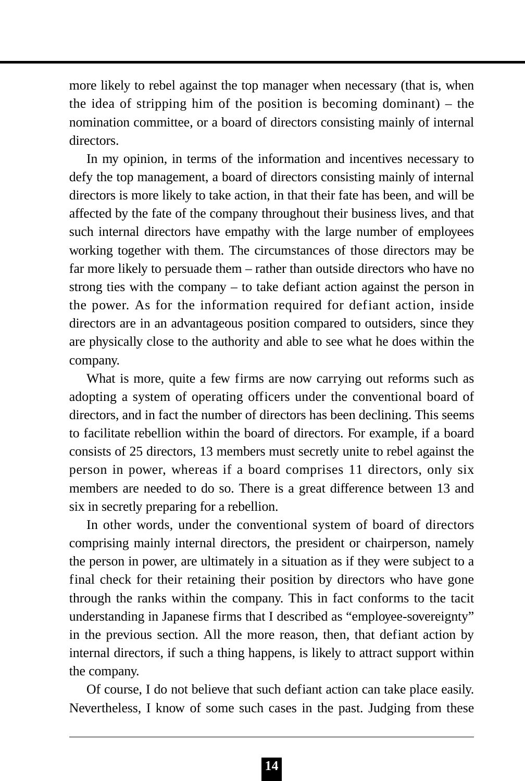more likely to rebel against the top manager when necessary (that is, when the idea of stripping him of the position is becoming dominant) – the nomination committee, or a board of directors consisting mainly of internal directors.

In my opinion, in terms of the information and incentives necessary to defy the top management, a board of directors consisting mainly of internal directors is more likely to take action, in that their fate has been, and will be affected by the fate of the company throughout their business lives, and that such internal directors have empathy with the large number of employees working together with them. The circumstances of those directors may be far more likely to persuade them – rather than outside directors who have no strong ties with the company – to take defiant action against the person in the power. As for the information required for defiant action, inside directors are in an advantageous position compared to outsiders, since they are physically close to the authority and able to see what he does within the company.

What is more, quite a few firms are now carrying out reforms such as adopting a system of operating officers under the conventional board of directors, and in fact the number of directors has been declining. This seems to facilitate rebellion within the board of directors. For example, if a board consists of 25 directors, 13 members must secretly unite to rebel against the person in power, whereas if a board comprises 11 directors, only six members are needed to do so. There is a great difference between 13 and six in secretly preparing for a rebellion.

In other words, under the conventional system of board of directors comprising mainly internal directors, the president or chairperson, namely the person in power, are ultimately in a situation as if they were subject to a final check for their retaining their position by directors who have gone through the ranks within the company. This in fact conforms to the tacit understanding in Japanese firms that I described as "employee-sovereignty" in the previous section. All the more reason, then, that defiant action by internal directors, if such a thing happens, is likely to attract support within the company.

Of course, I do not believe that such defiant action can take place easily. Nevertheless, I know of some such cases in the past. Judging from these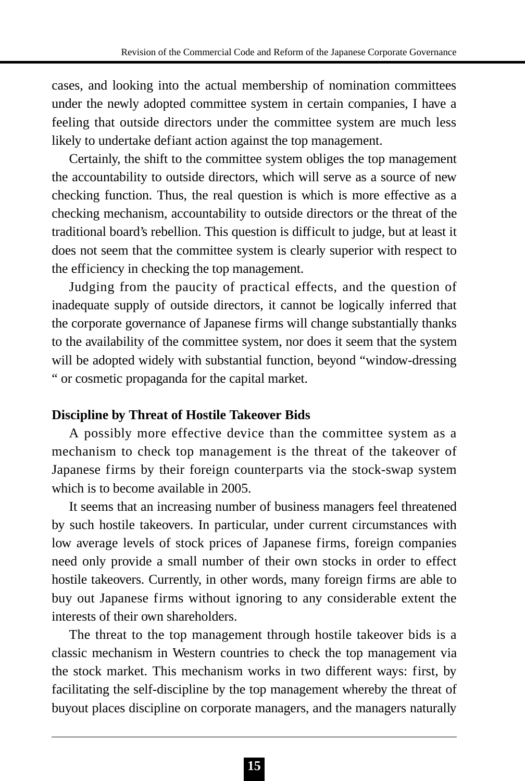cases, and looking into the actual membership of nomination committees under the newly adopted committee system in certain companies, I have a feeling that outside directors under the committee system are much less likely to undertake defiant action against the top management.

Certainly, the shift to the committee system obliges the top management the accountability to outside directors, which will serve as a source of new checking function. Thus, the real question is which is more effective as a checking mechanism, accountability to outside directors or the threat of the traditional board's rebellion. This question is difficult to judge, but at least it does not seem that the committee system is clearly superior with respect to the efficiency in checking the top management.

Judging from the paucity of practical effects, and the question of inadequate supply of outside directors, it cannot be logically inferred that the corporate governance of Japanese firms will change substantially thanks to the availability of the committee system, nor does it seem that the system will be adopted widely with substantial function, beyond "window-dressing " or cosmetic propaganda for the capital market.

### **Discipline by Threat of Hostile Takeover Bids**

A possibly more effective device than the committee system as a mechanism to check top management is the threat of the takeover of Japanese firms by their foreign counterparts via the stock-swap system which is to become available in 2005.

It seems that an increasing number of business managers feel threatened by such hostile takeovers. In particular, under current circumstances with low average levels of stock prices of Japanese firms, foreign companies need only provide a small number of their own stocks in order to effect hostile takeovers. Currently, in other words, many foreign firms are able to buy out Japanese firms without ignoring to any considerable extent the interests of their own shareholders.

The threat to the top management through hostile takeover bids is a classic mechanism in Western countries to check the top management via the stock market. This mechanism works in two different ways: first, by facilitating the self-discipline by the top management whereby the threat of buyout places discipline on corporate managers, and the managers naturally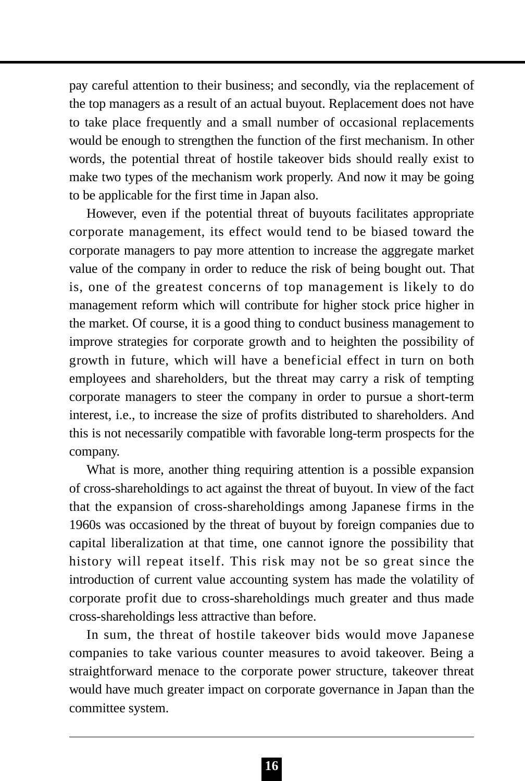pay careful attention to their business; and secondly, via the replacement of the top managers as a result of an actual buyout. Replacement does not have to take place frequently and a small number of occasional replacements would be enough to strengthen the function of the first mechanism. In other words, the potential threat of hostile takeover bids should really exist to make two types of the mechanism work properly. And now it may be going to be applicable for the first time in Japan also.

However, even if the potential threat of buyouts facilitates appropriate corporate management, its effect would tend to be biased toward the corporate managers to pay more attention to increase the aggregate market value of the company in order to reduce the risk of being bought out. That is, one of the greatest concerns of top management is likely to do management reform which will contribute for higher stock price higher in the market. Of course, it is a good thing to conduct business management to improve strategies for corporate growth and to heighten the possibility of growth in future, which will have a beneficial effect in turn on both employees and shareholders, but the threat may carry a risk of tempting corporate managers to steer the company in order to pursue a short-term interest, i.e., to increase the size of profits distributed to shareholders. And this is not necessarily compatible with favorable long-term prospects for the company.

What is more, another thing requiring attention is a possible expansion of cross-shareholdings to act against the threat of buyout. In view of the fact that the expansion of cross-shareholdings among Japanese firms in the 1960s was occasioned by the threat of buyout by foreign companies due to capital liberalization at that time, one cannot ignore the possibility that history will repeat itself. This risk may not be so great since the introduction of current value accounting system has made the volatility of corporate profit due to cross-shareholdings much greater and thus made cross-shareholdings less attractive than before.

In sum, the threat of hostile takeover bids would move Japanese companies to take various counter measures to avoid takeover. Being a straightforward menace to the corporate power structure, takeover threat would have much greater impact on corporate governance in Japan than the committee system.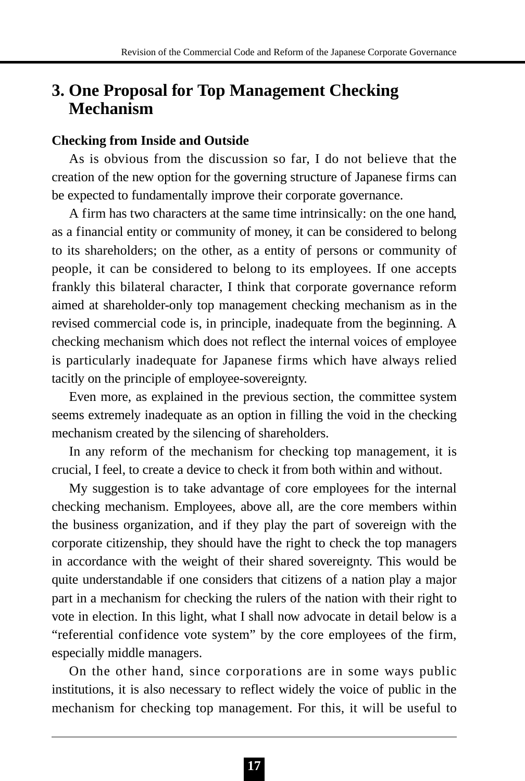# **3. One Proposal for Top Management Checking Mechanism**

### **Checking from Inside and Outside**

As is obvious from the discussion so far, I do not believe that the creation of the new option for the governing structure of Japanese firms can be expected to fundamentally improve their corporate governance.

A firm has two characters at the same time intrinsically: on the one hand, as a financial entity or community of money, it can be considered to belong to its shareholders; on the other, as a entity of persons or community of people, it can be considered to belong to its employees. If one accepts frankly this bilateral character, I think that corporate governance reform aimed at shareholder-only top management checking mechanism as in the revised commercial code is, in principle, inadequate from the beginning. A checking mechanism which does not reflect the internal voices of employee is particularly inadequate for Japanese firms which have always relied tacitly on the principle of employee-sovereignty.

Even more, as explained in the previous section, the committee system seems extremely inadequate as an option in filling the void in the checking mechanism created by the silencing of shareholders.

In any reform of the mechanism for checking top management, it is crucial, I feel, to create a device to check it from both within and without.

My suggestion is to take advantage of core employees for the internal checking mechanism. Employees, above all, are the core members within the business organization, and if they play the part of sovereign with the corporate citizenship, they should have the right to check the top managers in accordance with the weight of their shared sovereignty. This would be quite understandable if one considers that citizens of a nation play a major part in a mechanism for checking the rulers of the nation with their right to vote in election. In this light, what I shall now advocate in detail below is a "referential confidence vote system" by the core employees of the firm, especially middle managers.

On the other hand, since corporations are in some ways public institutions, it is also necessary to reflect widely the voice of public in the mechanism for checking top management. For this, it will be useful to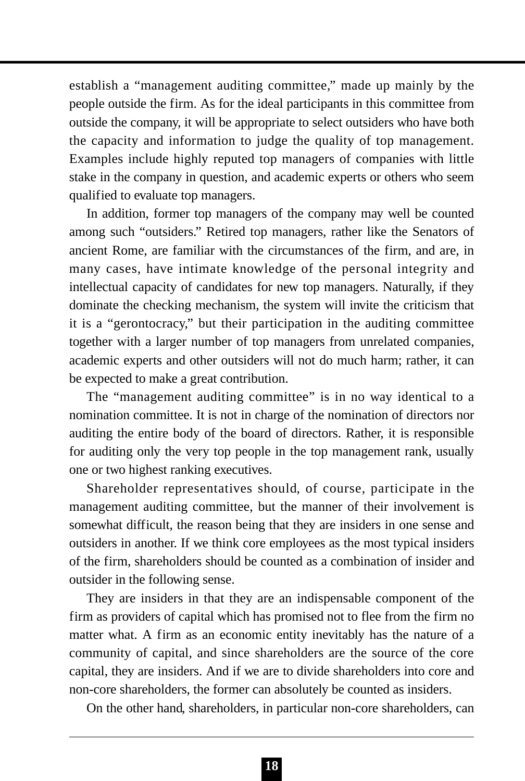establish a "management auditing committee," made up mainly by the people outside the firm. As for the ideal participants in this committee from outside the company, it will be appropriate to select outsiders who have both the capacity and information to judge the quality of top management. Examples include highly reputed top managers of companies with little stake in the company in question, and academic experts or others who seem qualified to evaluate top managers.

In addition, former top managers of the company may well be counted among such "outsiders." Retired top managers, rather like the Senators of ancient Rome, are familiar with the circumstances of the firm, and are, in many cases, have intimate knowledge of the personal integrity and intellectual capacity of candidates for new top managers. Naturally, if they dominate the checking mechanism, the system will invite the criticism that it is a "gerontocracy," but their participation in the auditing committee together with a larger number of top managers from unrelated companies, academic experts and other outsiders will not do much harm; rather, it can be expected to make a great contribution.

The "management auditing committee" is in no way identical to a nomination committee. It is not in charge of the nomination of directors nor auditing the entire body of the board of directors. Rather, it is responsible for auditing only the very top people in the top management rank, usually one or two highest ranking executives.

Shareholder representatives should, of course, participate in the management auditing committee, but the manner of their involvement is somewhat difficult, the reason being that they are insiders in one sense and outsiders in another. If we think core employees as the most typical insiders of the firm, shareholders should be counted as a combination of insider and outsider in the following sense.

They are insiders in that they are an indispensable component of the firm as providers of capital which has promised not to flee from the firm no matter what. A firm as an economic entity inevitably has the nature of a community of capital, and since shareholders are the source of the core capital, they are insiders. And if we are to divide shareholders into core and non-core shareholders, the former can absolutely be counted as insiders.

On the other hand, shareholders, in particular non-core shareholders, can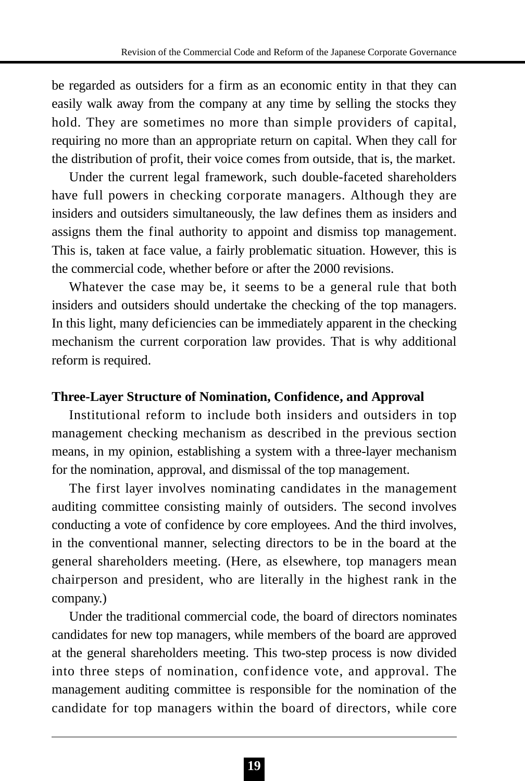be regarded as outsiders for a firm as an economic entity in that they can easily walk away from the company at any time by selling the stocks they hold. They are sometimes no more than simple providers of capital, requiring no more than an appropriate return on capital. When they call for the distribution of profit, their voice comes from outside, that is, the market.

Under the current legal framework, such double-faceted shareholders have full powers in checking corporate managers. Although they are insiders and outsiders simultaneously, the law defines them as insiders and assigns them the final authority to appoint and dismiss top management. This is, taken at face value, a fairly problematic situation. However, this is the commercial code, whether before or after the 2000 revisions.

Whatever the case may be, it seems to be a general rule that both insiders and outsiders should undertake the checking of the top managers. In this light, many deficiencies can be immediately apparent in the checking mechanism the current corporation law provides. That is why additional reform is required.

### **Three-Layer Structure of Nomination, Confidence, and Approval**

Institutional reform to include both insiders and outsiders in top management checking mechanism as described in the previous section means, in my opinion, establishing a system with a three-layer mechanism for the nomination, approval, and dismissal of the top management.

The first layer involves nominating candidates in the management auditing committee consisting mainly of outsiders. The second involves conducting a vote of confidence by core employees. And the third involves, in the conventional manner, selecting directors to be in the board at the general shareholders meeting. (Here, as elsewhere, top managers mean chairperson and president, who are literally in the highest rank in the company.)

Under the traditional commercial code, the board of directors nominates candidates for new top managers, while members of the board are approved at the general shareholders meeting. This two-step process is now divided into three steps of nomination, confidence vote, and approval. The management auditing committee is responsible for the nomination of the candidate for top managers within the board of directors, while core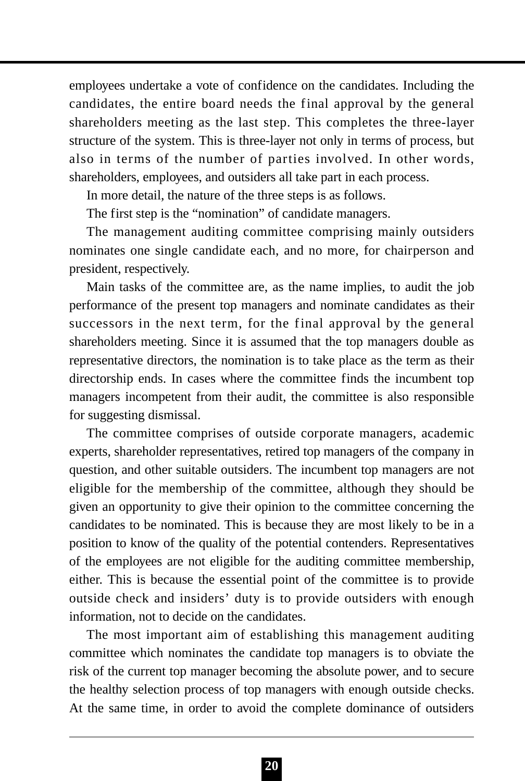employees undertake a vote of confidence on the candidates. Including the candidates, the entire board needs the final approval by the general shareholders meeting as the last step. This completes the three-layer structure of the system. This is three-layer not only in terms of process, but also in terms of the number of parties involved. In other words, shareholders, employees, and outsiders all take part in each process.

In more detail, the nature of the three steps is as follows.

The first step is the "nomination" of candidate managers.

The management auditing committee comprising mainly outsiders nominates one single candidate each, and no more, for chairperson and president, respectively.

Main tasks of the committee are, as the name implies, to audit the job performance of the present top managers and nominate candidates as their successors in the next term, for the final approval by the general shareholders meeting. Since it is assumed that the top managers double as representative directors, the nomination is to take place as the term as their directorship ends. In cases where the committee finds the incumbent top managers incompetent from their audit, the committee is also responsible for suggesting dismissal.

The committee comprises of outside corporate managers, academic experts, shareholder representatives, retired top managers of the company in question, and other suitable outsiders. The incumbent top managers are not eligible for the membership of the committee, although they should be given an opportunity to give their opinion to the committee concerning the candidates to be nominated. This is because they are most likely to be in a position to know of the quality of the potential contenders. Representatives of the employees are not eligible for the auditing committee membership, either. This is because the essential point of the committee is to provide outside check and insiders' duty is to provide outsiders with enough information, not to decide on the candidates.

The most important aim of establishing this management auditing committee which nominates the candidate top managers is to obviate the risk of the current top manager becoming the absolute power, and to secure the healthy selection process of top managers with enough outside checks. At the same time, in order to avoid the complete dominance of outsiders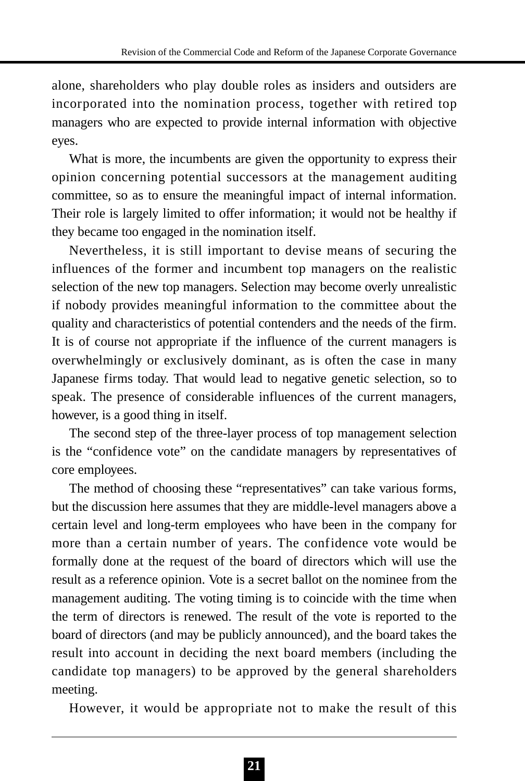alone, shareholders who play double roles as insiders and outsiders are incorporated into the nomination process, together with retired top managers who are expected to provide internal information with objective eyes.

What is more, the incumbents are given the opportunity to express their opinion concerning potential successors at the management auditing committee, so as to ensure the meaningful impact of internal information. Their role is largely limited to offer information; it would not be healthy if they became too engaged in the nomination itself.

Nevertheless, it is still important to devise means of securing the influences of the former and incumbent top managers on the realistic selection of the new top managers. Selection may become overly unrealistic if nobody provides meaningful information to the committee about the quality and characteristics of potential contenders and the needs of the firm. It is of course not appropriate if the influence of the current managers is overwhelmingly or exclusively dominant, as is often the case in many Japanese firms today. That would lead to negative genetic selection, so to speak. The presence of considerable influences of the current managers, however, is a good thing in itself.

The second step of the three-layer process of top management selection is the "confidence vote" on the candidate managers by representatives of core employees.

The method of choosing these "representatives" can take various forms, but the discussion here assumes that they are middle-level managers above a certain level and long-term employees who have been in the company for more than a certain number of years. The confidence vote would be formally done at the request of the board of directors which will use the result as a reference opinion. Vote is a secret ballot on the nominee from the management auditing. The voting timing is to coincide with the time when the term of directors is renewed. The result of the vote is reported to the board of directors (and may be publicly announced), and the board takes the result into account in deciding the next board members (including the candidate top managers) to be approved by the general shareholders meeting.

However, it would be appropriate not to make the result of this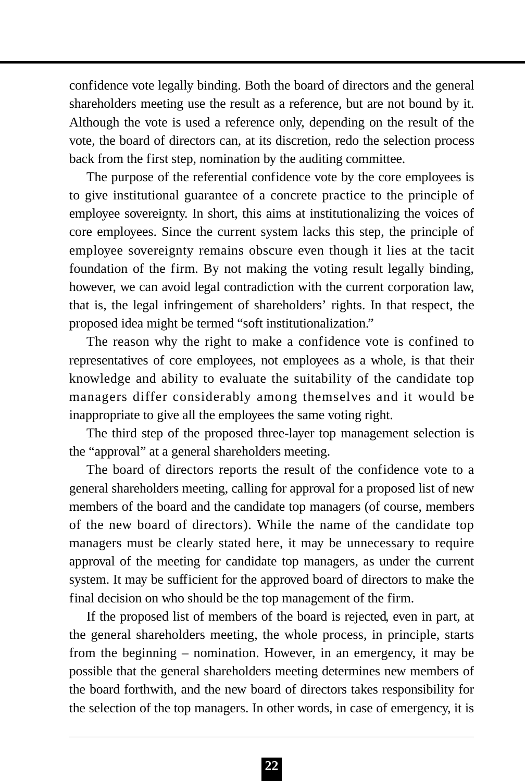confidence vote legally binding. Both the board of directors and the general shareholders meeting use the result as a reference, but are not bound by it. Although the vote is used a reference only, depending on the result of the vote, the board of directors can, at its discretion, redo the selection process back from the first step, nomination by the auditing committee.

The purpose of the referential confidence vote by the core employees is to give institutional guarantee of a concrete practice to the principle of employee sovereignty. In short, this aims at institutionalizing the voices of core employees. Since the current system lacks this step, the principle of employee sovereignty remains obscure even though it lies at the tacit foundation of the firm. By not making the voting result legally binding, however, we can avoid legal contradiction with the current corporation law, that is, the legal infringement of shareholders' rights. In that respect, the proposed idea might be termed "soft institutionalization."

The reason why the right to make a confidence vote is confined to representatives of core employees, not employees as a whole, is that their knowledge and ability to evaluate the suitability of the candidate top managers differ considerably among themselves and it would be inappropriate to give all the employees the same voting right.

The third step of the proposed three-layer top management selection is the "approval" at a general shareholders meeting.

The board of directors reports the result of the confidence vote to a general shareholders meeting, calling for approval for a proposed list of new members of the board and the candidate top managers (of course, members of the new board of directors). While the name of the candidate top managers must be clearly stated here, it may be unnecessary to require approval of the meeting for candidate top managers, as under the current system. It may be sufficient for the approved board of directors to make the final decision on who should be the top management of the firm.

If the proposed list of members of the board is rejected, even in part, at the general shareholders meeting, the whole process, in principle, starts from the beginning – nomination. However, in an emergency, it may be possible that the general shareholders meeting determines new members of the board forthwith, and the new board of directors takes responsibility for the selection of the top managers. In other words, in case of emergency, it is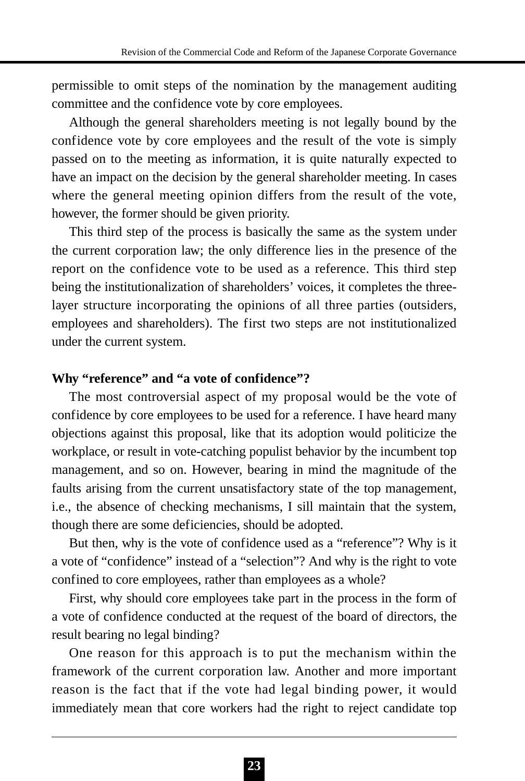permissible to omit steps of the nomination by the management auditing committee and the confidence vote by core employees.

Although the general shareholders meeting is not legally bound by the confidence vote by core employees and the result of the vote is simply passed on to the meeting as information, it is quite naturally expected to have an impact on the decision by the general shareholder meeting. In cases where the general meeting opinion differs from the result of the vote, however, the former should be given priority.

This third step of the process is basically the same as the system under the current corporation law; the only difference lies in the presence of the report on the confidence vote to be used as a reference. This third step being the institutionalization of shareholders' voices, it completes the threelayer structure incorporating the opinions of all three parties (outsiders, employees and shareholders). The first two steps are not institutionalized under the current system.

### **Why "reference" and "a vote of confidence"?**

The most controversial aspect of my proposal would be the vote of confidence by core employees to be used for a reference. I have heard many objections against this proposal, like that its adoption would politicize the workplace, or result in vote-catching populist behavior by the incumbent top management, and so on. However, bearing in mind the magnitude of the faults arising from the current unsatisfactory state of the top management, i.e., the absence of checking mechanisms, I sill maintain that the system, though there are some deficiencies, should be adopted.

But then, why is the vote of confidence used as a "reference"? Why is it a vote of "confidence" instead of a "selection"? And why is the right to vote confined to core employees, rather than employees as a whole?

First, why should core employees take part in the process in the form of a vote of confidence conducted at the request of the board of directors, the result bearing no legal binding?

One reason for this approach is to put the mechanism within the framework of the current corporation law. Another and more important reason is the fact that if the vote had legal binding power, it would immediately mean that core workers had the right to reject candidate top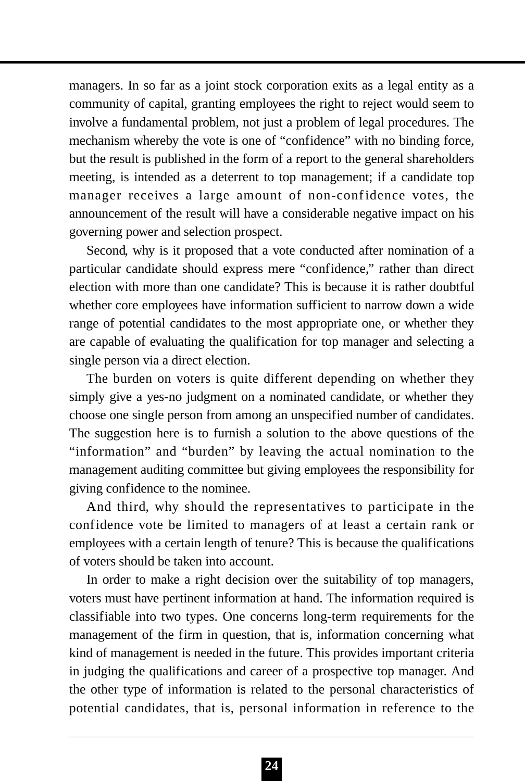managers. In so far as a joint stock corporation exits as a legal entity as a community of capital, granting employees the right to reject would seem to involve a fundamental problem, not just a problem of legal procedures. The mechanism whereby the vote is one of "confidence" with no binding force, but the result is published in the form of a report to the general shareholders meeting, is intended as a deterrent to top management; if a candidate top manager receives a large amount of non-confidence votes, the announcement of the result will have a considerable negative impact on his governing power and selection prospect.

Second, why is it proposed that a vote conducted after nomination of a particular candidate should express mere "confidence," rather than direct election with more than one candidate? This is because it is rather doubtful whether core employees have information sufficient to narrow down a wide range of potential candidates to the most appropriate one, or whether they are capable of evaluating the qualification for top manager and selecting a single person via a direct election.

The burden on voters is quite different depending on whether they simply give a yes-no judgment on a nominated candidate, or whether they choose one single person from among an unspecified number of candidates. The suggestion here is to furnish a solution to the above questions of the "information" and "burden" by leaving the actual nomination to the management auditing committee but giving employees the responsibility for giving confidence to the nominee.

And third, why should the representatives to participate in the confidence vote be limited to managers of at least a certain rank or employees with a certain length of tenure? This is because the qualifications of voters should be taken into account.

In order to make a right decision over the suitability of top managers, voters must have pertinent information at hand. The information required is classifiable into two types. One concerns long-term requirements for the management of the firm in question, that is, information concerning what kind of management is needed in the future. This provides important criteria in judging the qualifications and career of a prospective top manager. And the other type of information is related to the personal characteristics of potential candidates, that is, personal information in reference to the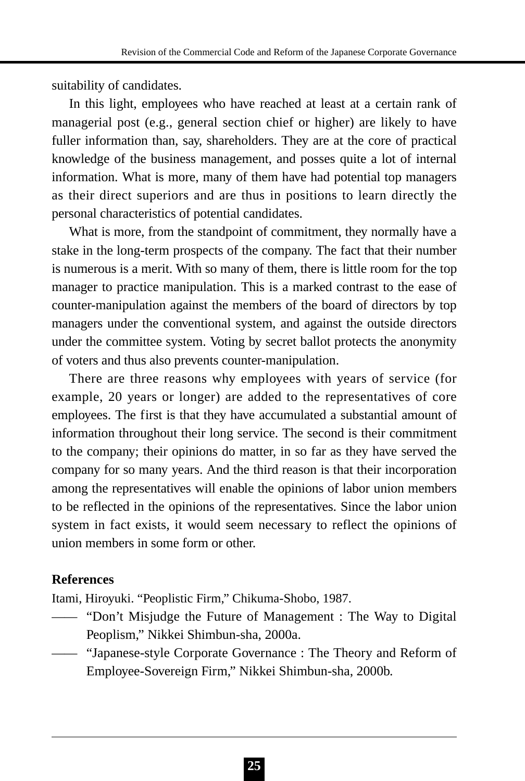suitability of candidates.

In this light, employees who have reached at least at a certain rank of managerial post (e.g., general section chief or higher) are likely to have fuller information than, say, shareholders. They are at the core of practical knowledge of the business management, and posses quite a lot of internal information. What is more, many of them have had potential top managers as their direct superiors and are thus in positions to learn directly the personal characteristics of potential candidates.

What is more, from the standpoint of commitment, they normally have a stake in the long-term prospects of the company. The fact that their number is numerous is a merit. With so many of them, there is little room for the top manager to practice manipulation. This is a marked contrast to the ease of counter-manipulation against the members of the board of directors by top managers under the conventional system, and against the outside directors under the committee system. Voting by secret ballot protects the anonymity of voters and thus also prevents counter-manipulation.

There are three reasons why employees with years of service (for example, 20 years or longer) are added to the representatives of core employees. The first is that they have accumulated a substantial amount of information throughout their long service. The second is their commitment to the company; their opinions do matter, in so far as they have served the company for so many years. And the third reason is that their incorporation among the representatives will enable the opinions of labor union members to be reflected in the opinions of the representatives. Since the labor union system in fact exists, it would seem necessary to reflect the opinions of union members in some form or other.

### **References**

Itami, Hiroyuki. "Peoplistic Firm," Chikuma-Shobo, 1987.

- —— "Don't Misjudge the Future of Management : The Way to Digital Peoplism," Nikkei Shimbun-sha, 2000a.
- —— "Japanese-style Corporate Governance : The Theory and Reform of Employee-Sovereign Firm," Nikkei Shimbun-sha, 2000b.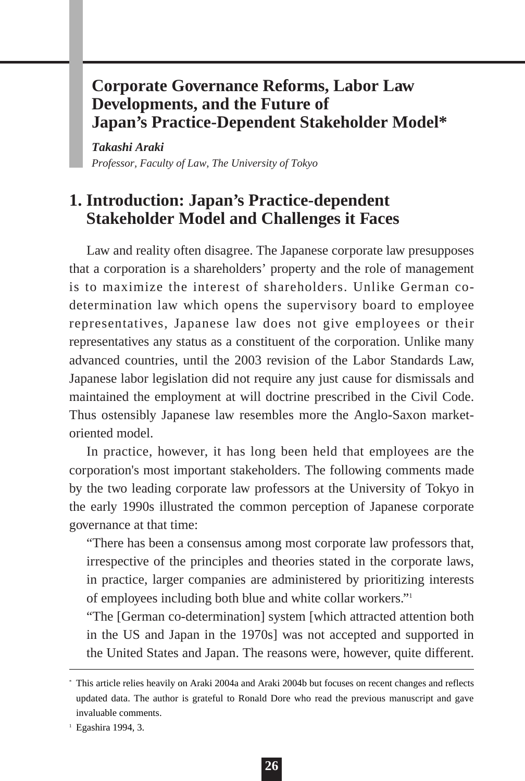# **Corporate Governance Reforms, Labor Law Developments, and the Future of Japan's Practice-Dependent Stakeholder Model\***

*Takashi Araki Professor, Faculty of Law, The University of Tokyo*

# **1. Introduction: Japan's Practice-dependent Stakeholder Model and Challenges it Faces**

Law and reality often disagree. The Japanese corporate law presupposes that a corporation is a shareholders' property and the role of management is to maximize the interest of shareholders. Unlike German codetermination law which opens the supervisory board to employee representatives, Japanese law does not give employees or their representatives any status as a constituent of the corporation. Unlike many advanced countries, until the 2003 revision of the Labor Standards Law, Japanese labor legislation did not require any just cause for dismissals and maintained the employment at will doctrine prescribed in the Civil Code. Thus ostensibly Japanese law resembles more the Anglo-Saxon marketoriented model.

In practice, however, it has long been held that employees are the corporation's most important stakeholders. The following comments made by the two leading corporate law professors at the University of Tokyo in the early 1990s illustrated the common perception of Japanese corporate governance at that time:

"There has been a consensus among most corporate law professors that, irrespective of the principles and theories stated in the corporate laws, in practice, larger companies are administered by prioritizing interests of employees including both blue and white collar workers."1

"The [German co-determination] system [which attracted attention both in the US and Japan in the 1970s] was not accepted and supported in the United States and Japan. The reasons were, however, quite different.

<sup>\*</sup> This article relies heavily on Araki 2004a and Araki 2004b but focuses on recent changes and reflects updated data. The author is grateful to Ronald Dore who read the previous manuscript and gave invaluable comments.

<sup>1</sup> Egashira 1994, 3.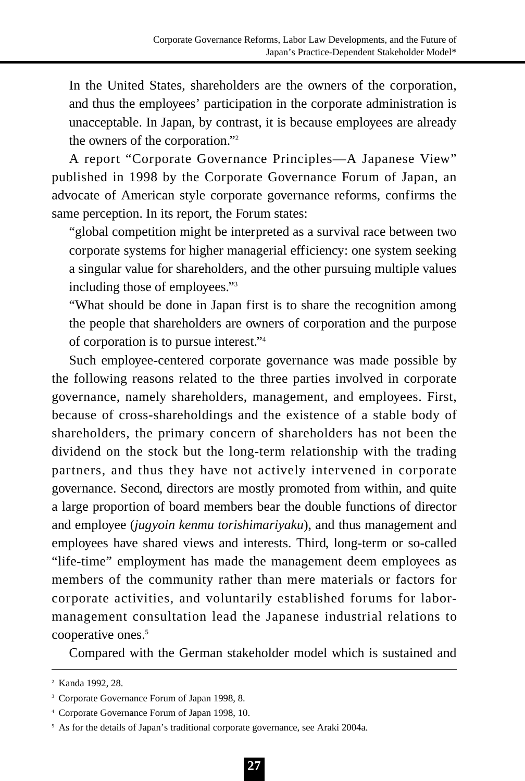In the United States, shareholders are the owners of the corporation, and thus the employees' participation in the corporate administration is unacceptable. In Japan, by contrast, it is because employees are already the owners of the corporation."2

A report "Corporate Governance Principles—A Japanese View" published in 1998 by the Corporate Governance Forum of Japan, an advocate of American style corporate governance reforms, confirms the same perception. In its report, the Forum states:

"global competition might be interpreted as a survival race between two corporate systems for higher managerial efficiency: one system seeking a singular value for shareholders, and the other pursuing multiple values including those of employees."3

"What should be done in Japan first is to share the recognition among the people that shareholders are owners of corporation and the purpose of corporation is to pursue interest."4

Such employee-centered corporate governance was made possible by the following reasons related to the three parties involved in corporate governance, namely shareholders, management, and employees. First, because of cross-shareholdings and the existence of a stable body of shareholders, the primary concern of shareholders has not been the dividend on the stock but the long-term relationship with the trading partners, and thus they have not actively intervened in corporate governance. Second, directors are mostly promoted from within, and quite a large proportion of board members bear the double functions of director and employee (*jugyoin kenmu torishimariyaku*), and thus management and employees have shared views and interests. Third, long-term or so-called "life-time" employment has made the management deem employees as members of the community rather than mere materials or factors for corporate activities, and voluntarily established forums for labormanagement consultation lead the Japanese industrial relations to cooperative ones.<sup>5</sup>

Compared with the German stakeholder model which is sustained and

<sup>2</sup> Kanda 1992, 28.

<sup>&</sup>lt;sup>3</sup> Corporate Governance Forum of Japan 1998, 8.

<sup>4</sup> Corporate Governance Forum of Japan 1998, 10.

<sup>&</sup>lt;sup>5</sup> As for the details of Japan's traditional corporate governance, see Araki 2004a.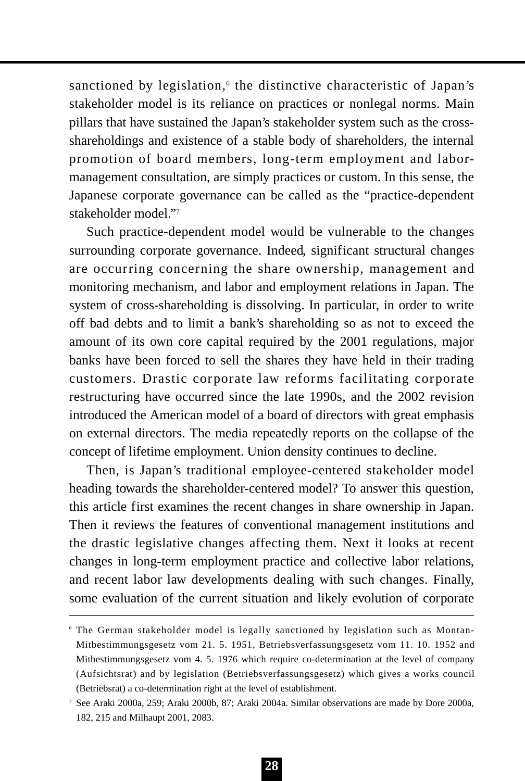sanctioned by legislation,<sup>6</sup> the distinctive characteristic of Japan's stakeholder model is its reliance on practices or nonlegal norms. Main pillars that have sustained the Japan's stakeholder system such as the crossshareholdings and existence of a stable body of shareholders, the internal promotion of board members, long-term employment and labormanagement consultation, are simply practices or custom. In this sense, the Japanese corporate governance can be called as the "practice-dependent stakeholder model."7

Such practice-dependent model would be vulnerable to the changes surrounding corporate governance. Indeed, significant structural changes are occurring concerning the share ownership, management and monitoring mechanism, and labor and employment relations in Japan. The system of cross-shareholding is dissolving. In particular, in order to write off bad debts and to limit a bank's shareholding so as not to exceed the amount of its own core capital required by the 2001 regulations, major banks have been forced to sell the shares they have held in their trading customers. Drastic corporate law reforms facilitating corporate restructuring have occurred since the late 1990s, and the 2002 revision introduced the American model of a board of directors with great emphasis on external directors. The media repeatedly reports on the collapse of the concept of lifetime employment. Union density continues to decline.

Then, is Japan's traditional employee-centered stakeholder model heading towards the shareholder-centered model? To answer this question, this article first examines the recent changes in share ownership in Japan. Then it reviews the features of conventional management institutions and the drastic legislative changes affecting them. Next it looks at recent changes in long-term employment practice and collective labor relations, and recent labor law developments dealing with such changes. Finally, some evaluation of the current situation and likely evolution of corporate

<sup>6</sup> The German stakeholder model is legally sanctioned by legislation such as Montan-Mitbestimmungsgesetz vom 21. 5. 1951, Betriebsverfassungsgesetz vom 11. 10. 1952 and Mitbestimmungsgesetz vom 4. 5. 1976 which require co-determination at the level of company (Aufsichtsrat) and by legislation (Betriebsverfassungsgesetz) which gives a works council (Betriebsrat) a co-determination right at the level of establishment.

<sup>7</sup> See Araki 2000a, 259; Araki 2000b, 87; Araki 2004a. Similar observations are made by Dore 2000a, 182, 215 and Milhaupt 2001, 2083.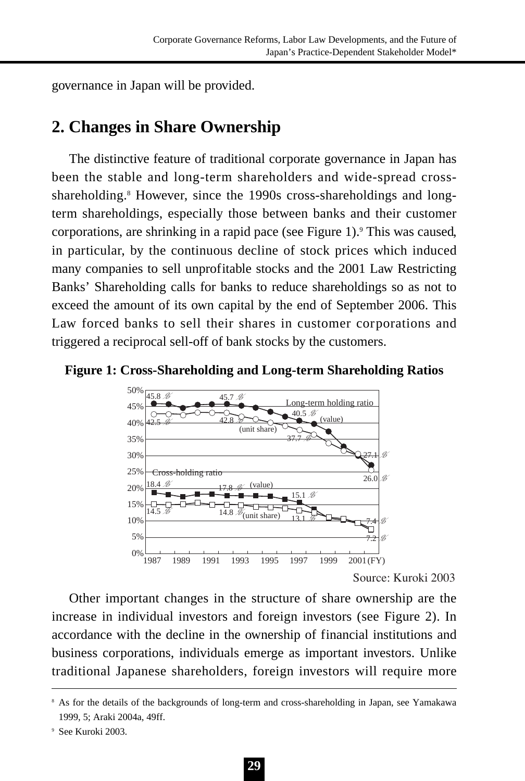governance in Japan will be provided.

## **2. Changes in Share Ownership**

The distinctive feature of traditional corporate governance in Japan has been the stable and long-term shareholders and wide-spread crossshareholding.<sup>8</sup> However, since the 1990s cross-shareholdings and longterm shareholdings, especially those between banks and their customer corporations, are shrinking in a rapid pace (see Figure 1).9 This was caused, in particular, by the continuous decline of stock prices which induced many companies to sell unprofitable stocks and the 2001 Law Restricting Banks' Shareholding calls for banks to reduce shareholdings so as not to exceed the amount of its own capital by the end of September 2006. This Law forced banks to sell their shares in customer corporations and triggered a reciprocal sell-off of bank stocks by the customers.





Source: Kuroki 2003

Other important changes in the structure of share ownership are the increase in individual investors and foreign investors (see Figure 2). In accordance with the decline in the ownership of financial institutions and business corporations, individuals emerge as important investors. Unlike traditional Japanese shareholders, foreign investors will require more

<sup>8</sup> As for the details of the backgrounds of long-term and cross-shareholding in Japan, see Yamakawa 1999, 5; Araki 2004a, 49ff.

<sup>9</sup> See Kuroki 2003.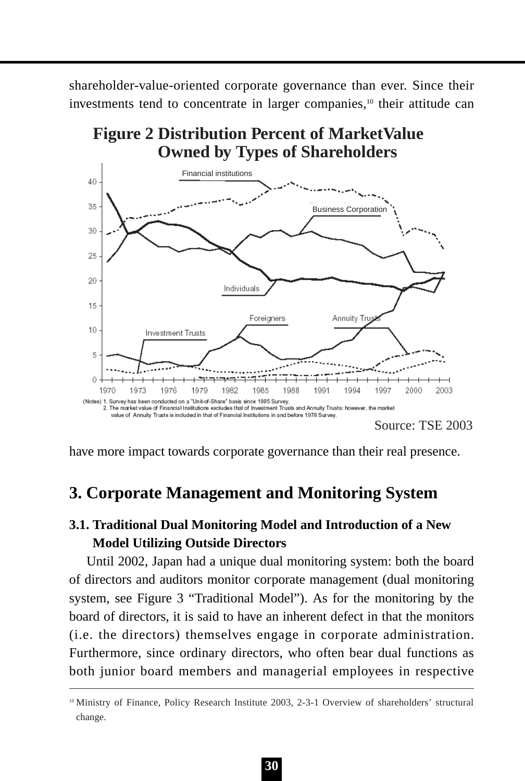shareholder-value-oriented corporate governance than ever. Since their investments tend to concentrate in larger companies.<sup>10</sup> their attitude can



**Figure 2 Distribution Percent of MarketValue Owned by Types of Shareholders**

have more impact towards corporate governance than their real presence.

## **3. Corporate Management and Monitoring System**

## **3.1. Traditional Dual Monitoring Model and Introduction of a New Model Utilizing Outside Directors**

Until 2002, Japan had a unique dual monitoring system: both the board of directors and auditors monitor corporate management (dual monitoring system, see Figure 3 "Traditional Model"). As for the monitoring by the board of directors, it is said to have an inherent defect in that the monitors (i.e. the directors) themselves engage in corporate administration. Furthermore, since ordinary directors, who often bear dual functions as both junior board members and managerial employees in respective

<sup>10</sup> Ministry of Finance, Policy Research Institute 2003, 2-3-1 Overview of shareholders' structural change.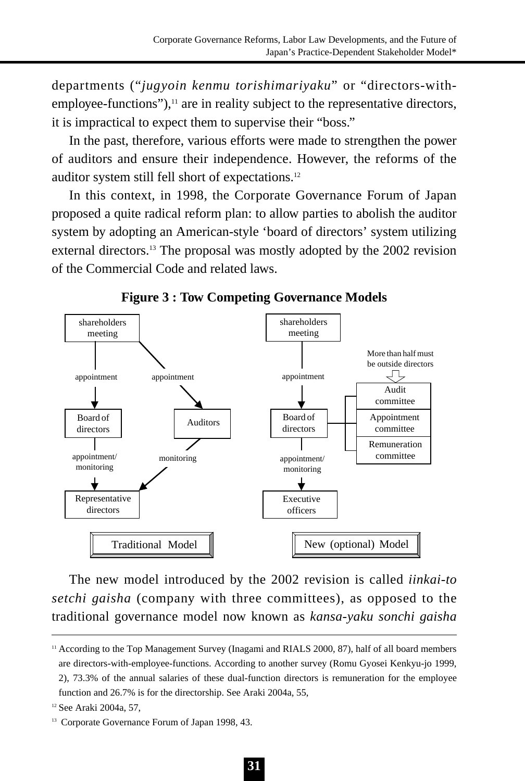departments ("*jugyoin kenmu torishimariyaku*" or "directors-with $emplovee-functions$ "), $<sup>11</sup>$  are in reality subject to the representative directors,</sup> it is impractical to expect them to supervise their "boss."

In the past, therefore, various efforts were made to strengthen the power of auditors and ensure their independence. However, the reforms of the auditor system still fell short of expectations.12

In this context, in 1998, the Corporate Governance Forum of Japan proposed a quite radical reform plan: to allow parties to abolish the auditor system by adopting an American-style 'board of directors' system utilizing external directors.<sup>13</sup> The proposal was mostly adopted by the 2002 revision of the Commercial Code and related laws.



**Figure 3 : Tow Competing Governance Models**

The new model introduced by the 2002 revision is called *iinkai-to setchi gaisha* (company with three committees), as opposed to the traditional governance model now known as *kansa-yaku sonchi gaisha*

<sup>&</sup>lt;sup>11</sup> According to the Top Management Survey (Inagami and RIALS 2000, 87), half of all board members are directors-with-employee-functions. According to another survey (Romu Gyosei Kenkyu-jo 1999, 2), 73.3% of the annual salaries of these dual-function directors is remuneration for the employee function and 26.7% is for the directorship. See Araki 2004a, 55,

<sup>12</sup> See Araki 2004a, 57,

<sup>&</sup>lt;sup>13</sup> Corporate Governance Forum of Japan 1998, 43.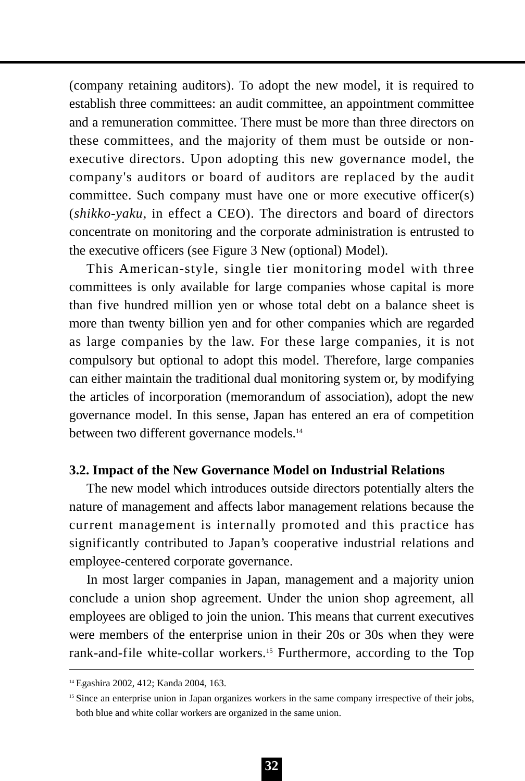(company retaining auditors). To adopt the new model, it is required to establish three committees: an audit committee, an appointment committee and a remuneration committee. There must be more than three directors on these committees, and the majority of them must be outside or nonexecutive directors. Upon adopting this new governance model, the company's auditors or board of auditors are replaced by the audit committee. Such company must have one or more executive officer(s) (*shikko-yaku*, in effect a CEO). The directors and board of directors concentrate on monitoring and the corporate administration is entrusted to the executive officers (see Figure 3 New (optional) Model).

This American-style, single tier monitoring model with three committees is only available for large companies whose capital is more than five hundred million yen or whose total debt on a balance sheet is more than twenty billion yen and for other companies which are regarded as large companies by the law. For these large companies, it is not compulsory but optional to adopt this model. Therefore, large companies can either maintain the traditional dual monitoring system or, by modifying the articles of incorporation (memorandum of association), adopt the new governance model. In this sense, Japan has entered an era of competition between two different governance models.<sup>14</sup>

### **3.2. Impact of the New Governance Model on Industrial Relations**

The new model which introduces outside directors potentially alters the nature of management and affects labor management relations because the current management is internally promoted and this practice has significantly contributed to Japan's cooperative industrial relations and employee-centered corporate governance.

In most larger companies in Japan, management and a majority union conclude a union shop agreement. Under the union shop agreement, all employees are obliged to join the union. This means that current executives were members of the enterprise union in their 20s or 30s when they were rank-and-file white-collar workers.15 Furthermore, according to the Top

<sup>14</sup> Egashira 2002, 412; Kanda 2004, 163.

<sup>&</sup>lt;sup>15</sup> Since an enterprise union in Japan organizes workers in the same company irrespective of their jobs, both blue and white collar workers are organized in the same union.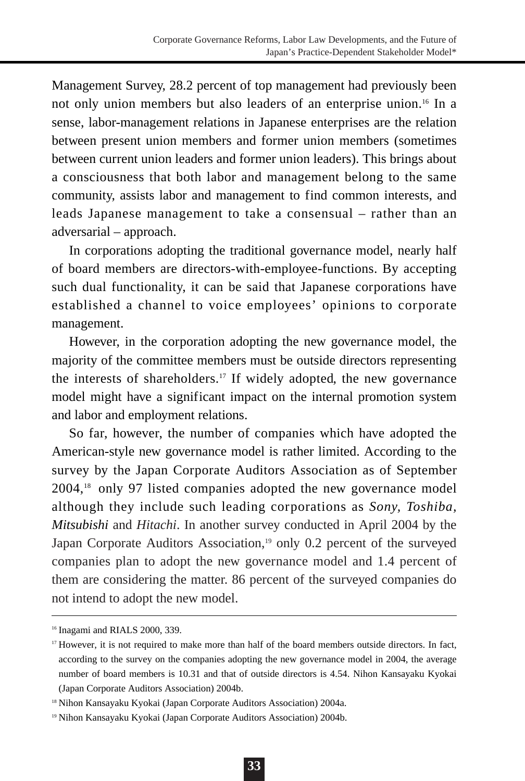Management Survey, 28.2 percent of top management had previously been not only union members but also leaders of an enterprise union.<sup>16</sup> In a sense, labor-management relations in Japanese enterprises are the relation between present union members and former union members (sometimes between current union leaders and former union leaders). This brings about a consciousness that both labor and management belong to the same community, assists labor and management to find common interests, and leads Japanese management to take a consensual – rather than an adversarial – approach.

In corporations adopting the traditional governance model, nearly half of board members are directors-with-employee-functions. By accepting such dual functionality, it can be said that Japanese corporations have established a channel to voice employees' opinions to corporate management.

However, in the corporation adopting the new governance model, the majority of the committee members must be outside directors representing the interests of shareholders.17 If widely adopted, the new governance model might have a significant impact on the internal promotion system and labor and employment relations.

So far, however, the number of companies which have adopted the American-style new governance model is rather limited. According to the survey by the Japan Corporate Auditors Association as of September 2004,18 only 97 listed companies adopted the new governance model although they include such leading corporations as *Sony, Toshiba, Mitsubishi* and *Hitachi*. In another survey conducted in April 2004 by the Japan Corporate Auditors Association,<sup>19</sup> only 0.2 percent of the surveyed companies plan to adopt the new governance model and 1.4 percent of them are considering the matter. 86 percent of the surveyed companies do not intend to adopt the new model.

<sup>16</sup> Inagami and RIALS 2000, 339.

<sup>&</sup>lt;sup>17</sup> However, it is not required to make more than half of the board members outside directors. In fact, according to the survey on the companies adopting the new governance model in 2004, the average number of board members is 10.31 and that of outside directors is 4.54. Nihon Kansayaku Kyokai (Japan Corporate Auditors Association) 2004b.

<sup>18</sup> Nihon Kansayaku Kyokai (Japan Corporate Auditors Association) 2004a.

<sup>19</sup> Nihon Kansayaku Kyokai (Japan Corporate Auditors Association) 2004b.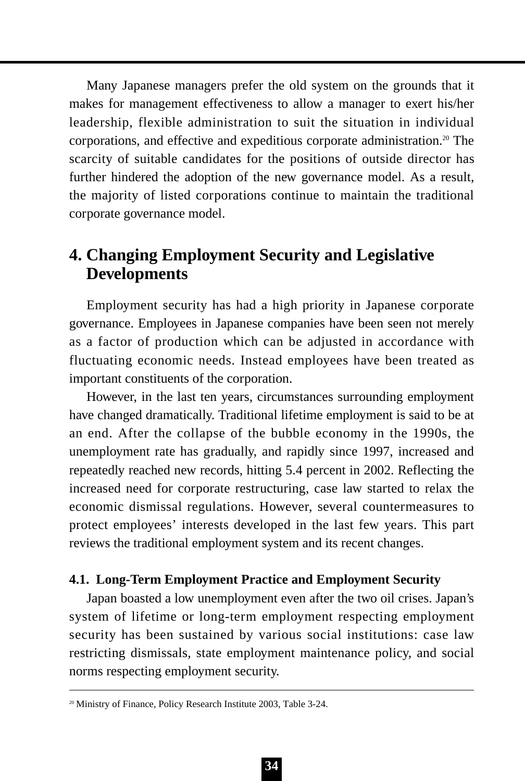Many Japanese managers prefer the old system on the grounds that it makes for management effectiveness to allow a manager to exert his/her leadership, flexible administration to suit the situation in individual corporations, and effective and expeditious corporate administration.20 The scarcity of suitable candidates for the positions of outside director has further hindered the adoption of the new governance model. As a result, the majority of listed corporations continue to maintain the traditional corporate governance model.

# **4. Changing Employment Security and Legislative Developments**

Employment security has had a high priority in Japanese corporate governance. Employees in Japanese companies have been seen not merely as a factor of production which can be adjusted in accordance with fluctuating economic needs. Instead employees have been treated as important constituents of the corporation.

However, in the last ten years, circumstances surrounding employment have changed dramatically. Traditional lifetime employment is said to be at an end. After the collapse of the bubble economy in the 1990s, the unemployment rate has gradually, and rapidly since 1997, increased and repeatedly reached new records, hitting 5.4 percent in 2002. Reflecting the increased need for corporate restructuring, case law started to relax the economic dismissal regulations. However, several countermeasures to protect employees' interests developed in the last few years. This part reviews the traditional employment system and its recent changes.

### **4.1. Long-Term Employment Practice and Employment Security**

Japan boasted a low unemployment even after the two oil crises. Japan's system of lifetime or long-term employment respecting employment security has been sustained by various social institutions: case law restricting dismissals, state employment maintenance policy, and social norms respecting employment security.

<sup>20</sup> Ministry of Finance, Policy Research Institute 2003, Table 3-24.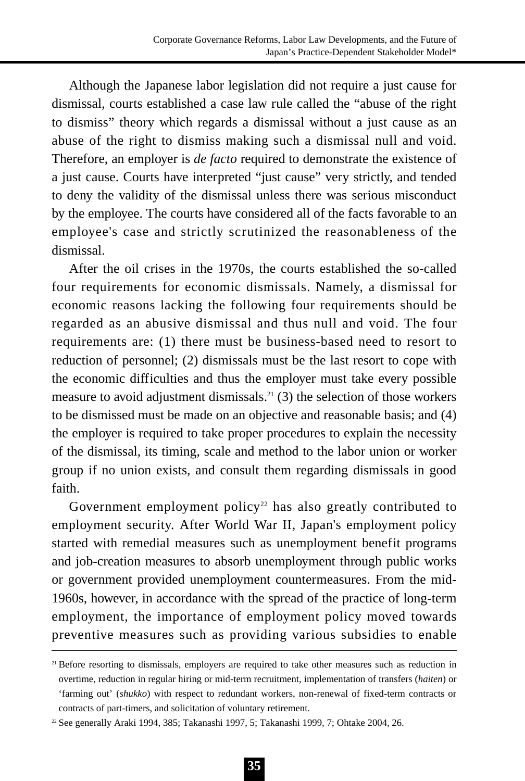Although the Japanese labor legislation did not require a just cause for dismissal, courts established a case law rule called the "abuse of the right to dismiss" theory which regards a dismissal without a just cause as an abuse of the right to dismiss making such a dismissal null and void. Therefore, an employer is *de facto* required to demonstrate the existence of a just cause. Courts have interpreted "just cause" very strictly, and tended to deny the validity of the dismissal unless there was serious misconduct by the employee. The courts have considered all of the facts favorable to an employee's case and strictly scrutinized the reasonableness of the dismissal.

After the oil crises in the 1970s, the courts established the so-called four requirements for economic dismissals. Namely, a dismissal for economic reasons lacking the following four requirements should be regarded as an abusive dismissal and thus null and void. The four requirements are: (1) there must be business-based need to resort to reduction of personnel; (2) dismissals must be the last resort to cope with the economic difficulties and thus the employer must take every possible measure to avoid adjustment dismissals.<sup>21</sup> (3) the selection of those workers to be dismissed must be made on an objective and reasonable basis; and (4) the employer is required to take proper procedures to explain the necessity of the dismissal, its timing, scale and method to the labor union or worker group if no union exists, and consult them regarding dismissals in good faith.

Government employment policy<sup>22</sup> has also greatly contributed to employment security. After World War II, Japan's employment policy started with remedial measures such as unemployment benefit programs and job-creation measures to absorb unemployment through public works or government provided unemployment countermeasures. From the mid-1960s, however, in accordance with the spread of the practice of long-term employment, the importance of employment policy moved towards preventive measures such as providing various subsidies to enable

<sup>&</sup>lt;sup>21</sup> Before resorting to dismissals, employers are required to take other measures such as reduction in overtime, reduction in regular hiring or mid-term recruitment, implementation of transfers (*haiten*) or 'farming out' (*shukko*) with respect to redundant workers, non-renewal of fixed-term contracts or contracts of part-timers, and solicitation of voluntary retirement.

<sup>22</sup> See generally Araki 1994, 385; Takanashi 1997, 5; Takanashi 1999, 7; Ohtake 2004, 26.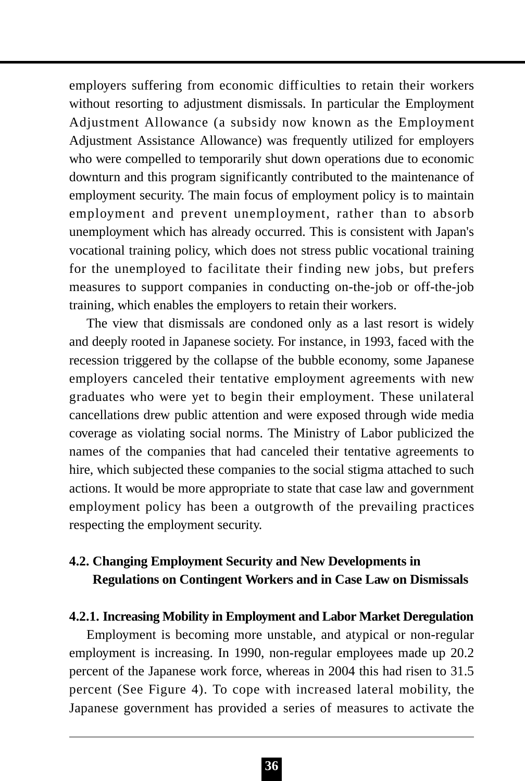employers suffering from economic difficulties to retain their workers without resorting to adjustment dismissals. In particular the Employment Adjustment Allowance (a subsidy now known as the Employment Adjustment Assistance Allowance) was frequently utilized for employers who were compelled to temporarily shut down operations due to economic downturn and this program significantly contributed to the maintenance of employment security. The main focus of employment policy is to maintain employment and prevent unemployment, rather than to absorb unemployment which has already occurred. This is consistent with Japan's vocational training policy, which does not stress public vocational training for the unemployed to facilitate their finding new jobs, but prefers measures to support companies in conducting on-the-job or off-the-job training, which enables the employers to retain their workers.

The view that dismissals are condoned only as a last resort is widely and deeply rooted in Japanese society. For instance, in 1993, faced with the recession triggered by the collapse of the bubble economy, some Japanese employers canceled their tentative employment agreements with new graduates who were yet to begin their employment. These unilateral cancellations drew public attention and were exposed through wide media coverage as violating social norms. The Ministry of Labor publicized the names of the companies that had canceled their tentative agreements to hire, which subjected these companies to the social stigma attached to such actions. It would be more appropriate to state that case law and government employment policy has been a outgrowth of the prevailing practices respecting the employment security.

## **4.2. Changing Employment Security and New Developments in Regulations on Contingent Workers and in Case Law on Dismissals**

#### **4.2.1. Increasing Mobility in Employment and Labor Market Deregulation**

Employment is becoming more unstable, and atypical or non-regular employment is increasing. In 1990, non-regular employees made up 20.2 percent of the Japanese work force, whereas in 2004 this had risen to 31.5 percent (See Figure 4). To cope with increased lateral mobility, the Japanese government has provided a series of measures to activate the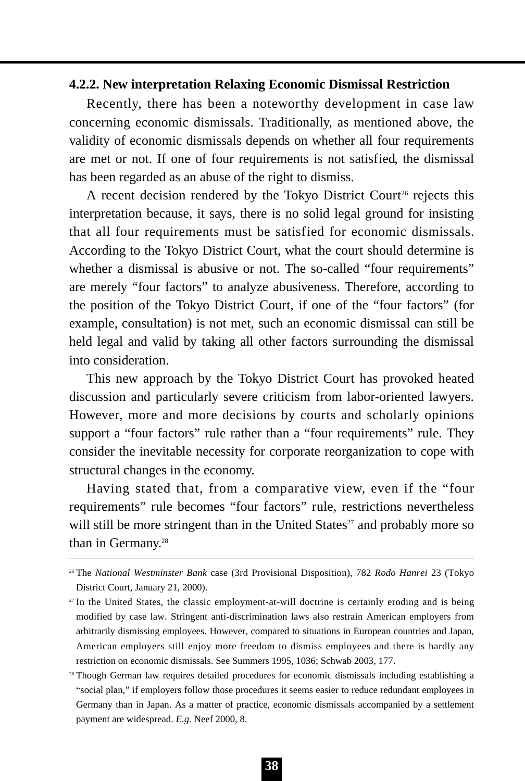#### **4.2.2. New interpretation Relaxing Economic Dismissal Restriction**

Recently, there has been a noteworthy development in case law concerning economic dismissals. Traditionally, as mentioned above, the validity of economic dismissals depends on whether all four requirements are met or not. If one of four requirements is not satisfied, the dismissal has been regarded as an abuse of the right to dismiss.

A recent decision rendered by the Tokyo District Court<sup>26</sup> rejects this interpretation because, it says, there is no solid legal ground for insisting that all four requirements must be satisfied for economic dismissals. According to the Tokyo District Court, what the court should determine is whether a dismissal is abusive or not. The so-called "four requirements" are merely "four factors" to analyze abusiveness. Therefore, according to the position of the Tokyo District Court, if one of the "four factors" (for example, consultation) is not met, such an economic dismissal can still be held legal and valid by taking all other factors surrounding the dismissal into consideration.

This new approach by the Tokyo District Court has provoked heated discussion and particularly severe criticism from labor-oriented lawyers. However, more and more decisions by courts and scholarly opinions support a "four factors" rule rather than a "four requirements" rule. They consider the inevitable necessity for corporate reorganization to cope with structural changes in the economy.

Having stated that, from a comparative view, even if the "four requirements" rule becomes "four factors" rule, restrictions nevertheless will still be more stringent than in the United States $27$  and probably more so than in Germany.<sup>28</sup>

<sup>26</sup> The *National Westminster Bank* case (3rd Provisional Disposition), 782 *Rodo Hanrei* 23 (Tokyo District Court, January 21, 2000).

<sup>27</sup> In the United States, the classic employment-at-will doctrine is certainly eroding and is being modified by case law. Stringent anti-discrimination laws also restrain American employers from arbitrarily dismissing employees. However, compared to situations in European countries and Japan, American employers still enjoy more freedom to dismiss employees and there is hardly any restriction on economic dismissals. See Summers 1995, 1036; Schwab 2003, 177.

<sup>&</sup>lt;sup>28</sup> Though German law requires detailed procedures for economic dismissals including establishing a "social plan," if employers follow those procedures it seems easier to reduce redundant employees in Germany than in Japan. As a matter of practice, economic dismissals accompanied by a settlement payment are widespread. *E.g.* Neef 2000, 8.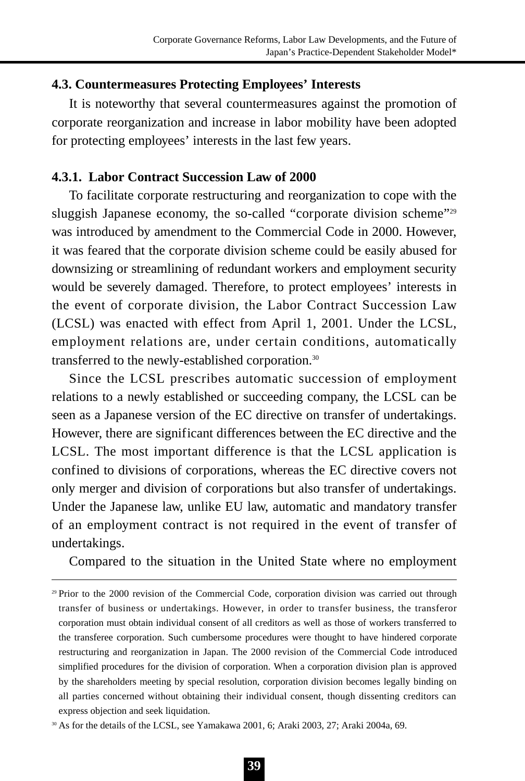### **4.3. Countermeasures Protecting Employees' Interests**

It is noteworthy that several countermeasures against the promotion of corporate reorganization and increase in labor mobility have been adopted for protecting employees' interests in the last few years.

#### **4.3.1. Labor Contract Succession Law of 2000**

To facilitate corporate restructuring and reorganization to cope with the sluggish Japanese economy, the so-called "corporate division scheme"<sup>29</sup> was introduced by amendment to the Commercial Code in 2000. However, it was feared that the corporate division scheme could be easily abused for downsizing or streamlining of redundant workers and employment security would be severely damaged. Therefore, to protect employees' interests in the event of corporate division, the Labor Contract Succession Law (LCSL) was enacted with effect from April 1, 2001. Under the LCSL, employment relations are, under certain conditions, automatically transferred to the newly-established corporation.30

Since the LCSL prescribes automatic succession of employment relations to a newly established or succeeding company, the LCSL can be seen as a Japanese version of the EC directive on transfer of undertakings. However, there are significant differences between the EC directive and the LCSL. The most important difference is that the LCSL application is confined to divisions of corporations, whereas the EC directive covers not only merger and division of corporations but also transfer of undertakings. Under the Japanese law, unlike EU law, automatic and mandatory transfer of an employment contract is not required in the event of transfer of undertakings.

Compared to the situation in the United State where no employment

<sup>29</sup> Prior to the 2000 revision of the Commercial Code, corporation division was carried out through transfer of business or undertakings. However, in order to transfer business, the transferor corporation must obtain individual consent of all creditors as well as those of workers transferred to the transferee corporation. Such cumbersome procedures were thought to have hindered corporate restructuring and reorganization in Japan. The 2000 revision of the Commercial Code introduced simplified procedures for the division of corporation. When a corporation division plan is approved by the shareholders meeting by special resolution, corporation division becomes legally binding on all parties concerned without obtaining their individual consent, though dissenting creditors can express objection and seek liquidation.

<sup>&</sup>lt;sup>30</sup> As for the details of the LCSL, see Yamakawa 2001, 6; Araki 2003, 27; Araki 2004a, 69.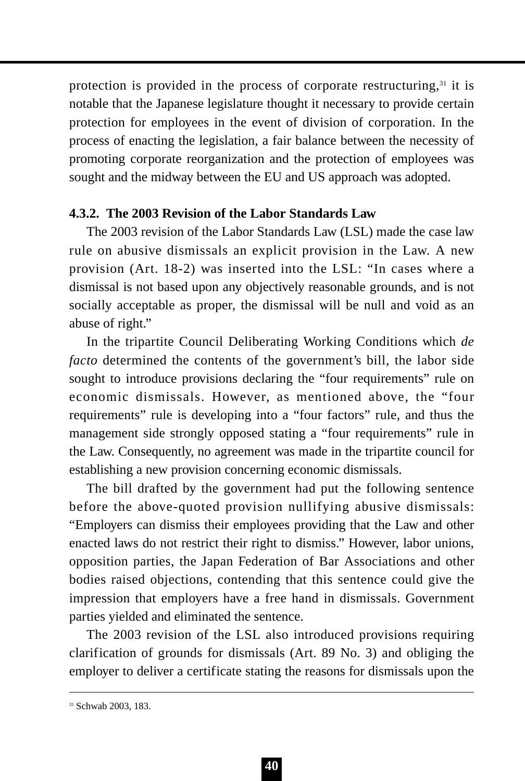protection is provided in the process of corporate restructuring.<sup>31</sup> it is notable that the Japanese legislature thought it necessary to provide certain protection for employees in the event of division of corporation. In the process of enacting the legislation, a fair balance between the necessity of promoting corporate reorganization and the protection of employees was sought and the midway between the EU and US approach was adopted.

### **4.3.2. The 2003 Revision of the Labor Standards Law**

The 2003 revision of the Labor Standards Law (LSL) made the case law rule on abusive dismissals an explicit provision in the Law. A new provision (Art. 18-2) was inserted into the LSL: "In cases where a dismissal is not based upon any objectively reasonable grounds, and is not socially acceptable as proper, the dismissal will be null and void as an abuse of right."

In the tripartite Council Deliberating Working Conditions which *de facto* determined the contents of the government's bill, the labor side sought to introduce provisions declaring the "four requirements" rule on economic dismissals. However, as mentioned above, the "four requirements" rule is developing into a "four factors" rule, and thus the management side strongly opposed stating a "four requirements" rule in the Law. Consequently, no agreement was made in the tripartite council for establishing a new provision concerning economic dismissals.

The bill drafted by the government had put the following sentence before the above-quoted provision nullifying abusive dismissals: "Employers can dismiss their employees providing that the Law and other enacted laws do not restrict their right to dismiss." However, labor unions, opposition parties, the Japan Federation of Bar Associations and other bodies raised objections, contending that this sentence could give the impression that employers have a free hand in dismissals. Government parties yielded and eliminated the sentence.

The 2003 revision of the LSL also introduced provisions requiring clarification of grounds for dismissals (Art. 89 No. 3) and obliging the employer to deliver a certificate stating the reasons for dismissals upon the

<sup>31</sup> Schwab 2003, 183.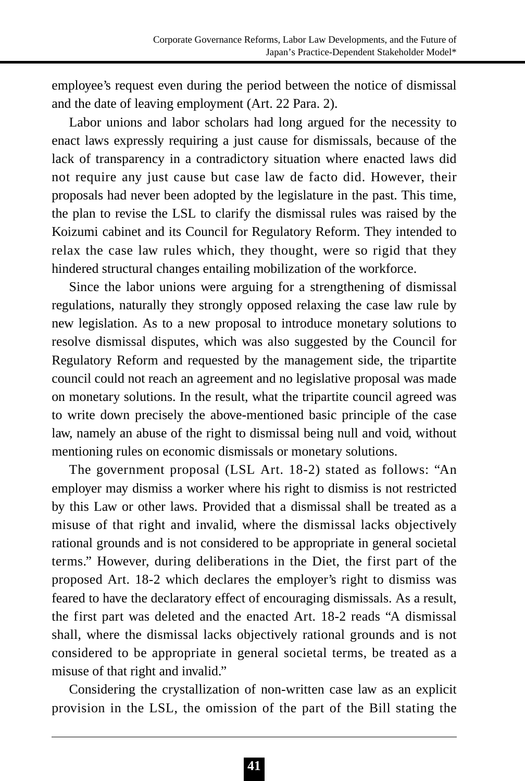employee's request even during the period between the notice of dismissal and the date of leaving employment (Art. 22 Para. 2).

Labor unions and labor scholars had long argued for the necessity to enact laws expressly requiring a just cause for dismissals, because of the lack of transparency in a contradictory situation where enacted laws did not require any just cause but case law de facto did. However, their proposals had never been adopted by the legislature in the past. This time, the plan to revise the LSL to clarify the dismissal rules was raised by the Koizumi cabinet and its Council for Regulatory Reform. They intended to relax the case law rules which, they thought, were so rigid that they hindered structural changes entailing mobilization of the workforce.

Since the labor unions were arguing for a strengthening of dismissal regulations, naturally they strongly opposed relaxing the case law rule by new legislation. As to a new proposal to introduce monetary solutions to resolve dismissal disputes, which was also suggested by the Council for Regulatory Reform and requested by the management side, the tripartite council could not reach an agreement and no legislative proposal was made on monetary solutions. In the result, what the tripartite council agreed was to write down precisely the above-mentioned basic principle of the case law, namely an abuse of the right to dismissal being null and void, without mentioning rules on economic dismissals or monetary solutions.

The government proposal (LSL Art. 18-2) stated as follows: "An employer may dismiss a worker where his right to dismiss is not restricted by this Law or other laws. Provided that a dismissal shall be treated as a misuse of that right and invalid, where the dismissal lacks objectively rational grounds and is not considered to be appropriate in general societal terms." However, during deliberations in the Diet, the first part of the proposed Art. 18-2 which declares the employer's right to dismiss was feared to have the declaratory effect of encouraging dismissals. As a result, the first part was deleted and the enacted Art. 18-2 reads "A dismissal shall, where the dismissal lacks objectively rational grounds and is not considered to be appropriate in general societal terms, be treated as a misuse of that right and invalid."

Considering the crystallization of non-written case law as an explicit provision in the LSL, the omission of the part of the Bill stating the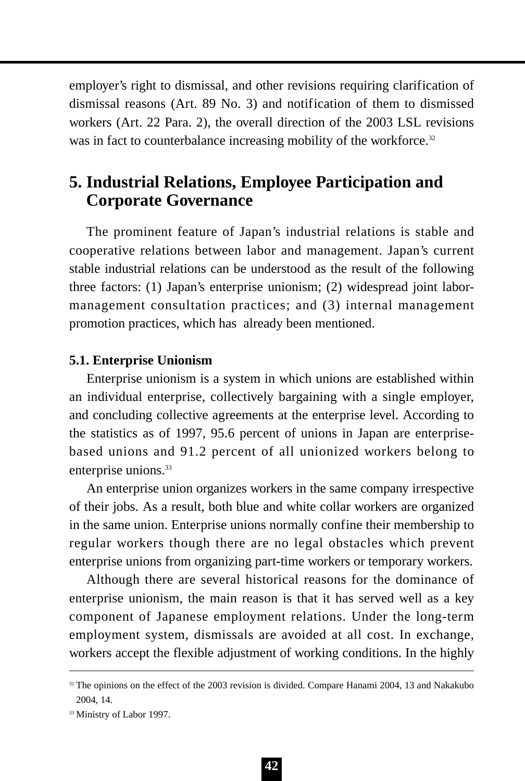employer's right to dismissal, and other revisions requiring clarification of dismissal reasons (Art. 89 No. 3) and notification of them to dismissed workers (Art. 22 Para. 2), the overall direction of the 2003 LSL revisions was in fact to counterbalance increasing mobility of the workforce.<sup>32</sup>

# **5. Industrial Relations, Employee Participation and Corporate Governance**

The prominent feature of Japan's industrial relations is stable and cooperative relations between labor and management. Japan's current stable industrial relations can be understood as the result of the following three factors: (1) Japan's enterprise unionism; (2) widespread joint labormanagement consultation practices; and (3) internal management promotion practices, which has already been mentioned.

#### **5.1. Enterprise Unionism**

Enterprise unionism is a system in which unions are established within an individual enterprise, collectively bargaining with a single employer, and concluding collective agreements at the enterprise level. According to the statistics as of 1997, 95.6 percent of unions in Japan are enterprisebased unions and 91.2 percent of all unionized workers belong to enterprise unions.<sup>33</sup>

An enterprise union organizes workers in the same company irrespective of their jobs. As a result, both blue and white collar workers are organized in the same union. Enterprise unions normally confine their membership to regular workers though there are no legal obstacles which prevent enterprise unions from organizing part-time workers or temporary workers.

Although there are several historical reasons for the dominance of enterprise unionism, the main reason is that it has served well as a key component of Japanese employment relations. Under the long-term employment system, dismissals are avoided at all cost. In exchange, workers accept the flexible adjustment of working conditions. In the highly

<sup>&</sup>lt;sup>32</sup> The opinions on the effect of the 2003 revision is divided. Compare Hanami 2004, 13 and Nakakubo 2004, 14.

<sup>&</sup>lt;sup>33</sup> Ministry of Labor 1997.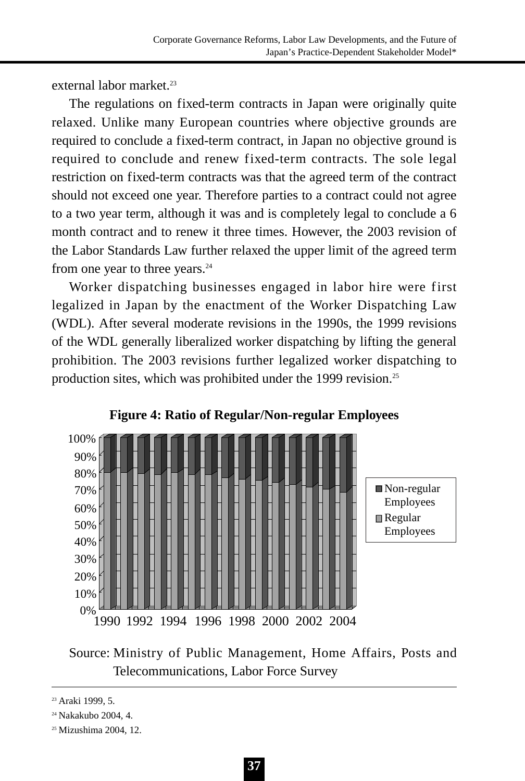external labor market.<sup>23</sup>

The regulations on fixed-term contracts in Japan were originally quite relaxed. Unlike many European countries where objective grounds are required to conclude a fixed-term contract, in Japan no objective ground is required to conclude and renew fixed-term contracts. The sole legal restriction on fixed-term contracts was that the agreed term of the contract should not exceed one year. Therefore parties to a contract could not agree to a two year term, although it was and is completely legal to conclude a 6 month contract and to renew it three times. However, the 2003 revision of the Labor Standards Law further relaxed the upper limit of the agreed term from one year to three years.<sup>24</sup>

Worker dispatching businesses engaged in labor hire were first legalized in Japan by the enactment of the Worker Dispatching Law (WDL). After several moderate revisions in the 1990s, the 1999 revisions of the WDL generally liberalized worker dispatching by lifting the general prohibition. The 2003 revisions further legalized worker dispatching to production sites, which was prohibited under the 1999 revision.<sup>25</sup>



#### **Figure 4: Ratio of Regular/Non-regular Employees**

Source: Ministry of Public Management, Home Affairs, Posts and Telecommunications, Labor Force Survey

<sup>&</sup>lt;sup>23</sup> Araki 1999, 5.

<sup>24</sup> Nakakubo 2004, 4.

<sup>25</sup> Mizushima 2004, 12.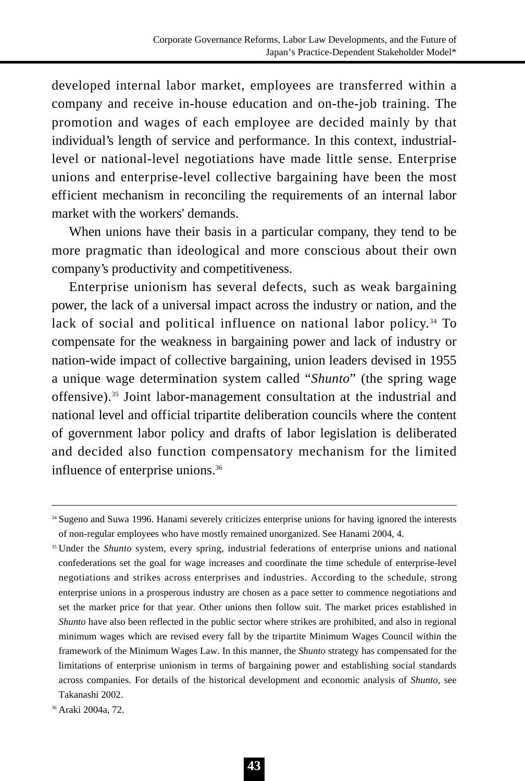developed internal labor market, employees are transferred within a company and receive in-house education and on-the-job training. The promotion and wages of each employee are decided mainly by that individual's length of service and performance. In this context, industriallevel or national-level negotiations have made little sense. Enterprise unions and enterprise-level collective bargaining have been the most efficient mechanism in reconciling the requirements of an internal labor market with the workers' demands.

When unions have their basis in a particular company, they tend to be more pragmatic than ideological and more conscious about their own company's productivity and competitiveness.

Enterprise unionism has several defects, such as weak bargaining power, the lack of a universal impact across the industry or nation, and the lack of social and political influence on national labor policy.<sup>34</sup> To compensate for the weakness in bargaining power and lack of industry or nation-wide impact of collective bargaining, union leaders devised in 1955 a unique wage determination system called "*Shunto*" (the spring wage offensive).35 Joint labor-management consultation at the industrial and national level and official tripartite deliberation councils where the content of government labor policy and drafts of labor legislation is deliberated and decided also function compensatory mechanism for the limited influence of enterprise unions.36

<sup>34</sup> Sugeno and Suwa 1996. Hanami severely criticizes enterprise unions for having ignored the interests of non-regular employees who have mostly remained unorganized. See Hanami 2004, 4.

<sup>&</sup>lt;sup>35</sup> Under the *Shunto* system, every spring, industrial federations of enterprise unions and national confederations set the goal for wage increases and coordinate the time schedule of enterprise-level negotiations and strikes across enterprises and industries. According to the schedule, strong enterprise unions in a prosperous industry are chosen as a pace setter to commence negotiations and set the market price for that year. Other unions then follow suit. The market prices established in *Shunto* have also been reflected in the public sector where strikes are prohibited, and also in regional minimum wages which are revised every fall by the tripartite Minimum Wages Council within the framework of the Minimum Wages Law. In this manner, the *Shunto* strategy has compensated for the limitations of enterprise unionism in terms of bargaining power and establishing social standards across companies. For details of the historical development and economic analysis of *Shunto*, see Takanashi 2002.

<sup>36</sup> Araki 2004a, 72.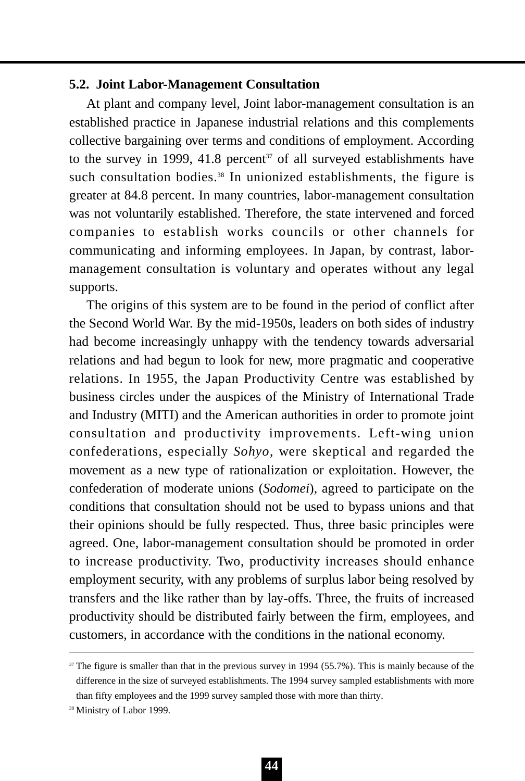### **5.2. Joint Labor-Management Consultation**

At plant and company level, Joint labor-management consultation is an established practice in Japanese industrial relations and this complements collective bargaining over terms and conditions of employment. According to the survey in 1999, 41.8 percent<sup>37</sup> of all surveyed establishments have such consultation bodies.<sup>38</sup> In unionized establishments, the figure is greater at 84.8 percent. In many countries, labor-management consultation was not voluntarily established. Therefore, the state intervened and forced companies to establish works councils or other channels for communicating and informing employees. In Japan, by contrast, labormanagement consultation is voluntary and operates without any legal supports.

The origins of this system are to be found in the period of conflict after the Second World War. By the mid-1950s, leaders on both sides of industry had become increasingly unhappy with the tendency towards adversarial relations and had begun to look for new, more pragmatic and cooperative relations. In 1955, the Japan Productivity Centre was established by business circles under the auspices of the Ministry of International Trade and Industry (MITI) and the American authorities in order to promote joint consultation and productivity improvements. Left-wing union confederations, especially *Sohyo*, were skeptical and regarded the movement as a new type of rationalization or exploitation. However, the confederation of moderate unions (*Sodomei*), agreed to participate on the conditions that consultation should not be used to bypass unions and that their opinions should be fully respected. Thus, three basic principles were agreed. One, labor-management consultation should be promoted in order to increase productivity. Two, productivity increases should enhance employment security, with any problems of surplus labor being resolved by transfers and the like rather than by lay-offs. Three, the fruits of increased productivity should be distributed fairly between the firm, employees, and customers, in accordance with the conditions in the national economy.

<sup>&</sup>lt;sup>37</sup> The figure is smaller than that in the previous survey in 1994 (55.7%). This is mainly because of the difference in the size of surveyed establishments. The 1994 survey sampled establishments with more than fifty employees and the 1999 survey sampled those with more than thirty.

<sup>38</sup> Ministry of Labor 1999.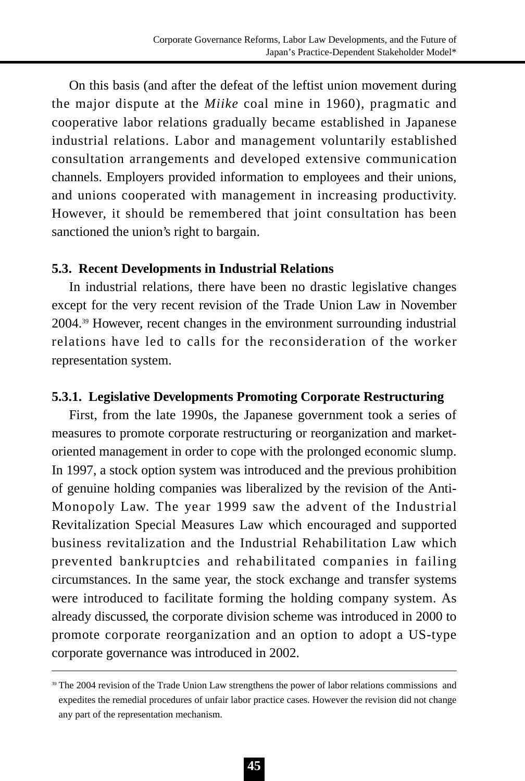On this basis (and after the defeat of the leftist union movement during the major dispute at the *Miike* coal mine in 1960), pragmatic and cooperative labor relations gradually became established in Japanese industrial relations. Labor and management voluntarily established consultation arrangements and developed extensive communication channels. Employers provided information to employees and their unions, and unions cooperated with management in increasing productivity. However, it should be remembered that joint consultation has been sanctioned the union's right to bargain.

### **5.3. Recent Developments in Industrial Relations**

In industrial relations, there have been no drastic legislative changes except for the very recent revision of the Trade Union Law in November 2004.39 However, recent changes in the environment surrounding industrial relations have led to calls for the reconsideration of the worker representation system.

## **5.3.1. Legislative Developments Promoting Corporate Restructuring**

First, from the late 1990s, the Japanese government took a series of measures to promote corporate restructuring or reorganization and marketoriented management in order to cope with the prolonged economic slump. In 1997, a stock option system was introduced and the previous prohibition of genuine holding companies was liberalized by the revision of the Anti-Monopoly Law. The year 1999 saw the advent of the Industrial Revitalization Special Measures Law which encouraged and supported business revitalization and the Industrial Rehabilitation Law which prevented bankruptcies and rehabilitated companies in failing circumstances. In the same year, the stock exchange and transfer systems were introduced to facilitate forming the holding company system. As already discussed, the corporate division scheme was introduced in 2000 to promote corporate reorganization and an option to adopt a US-type corporate governance was introduced in 2002.

<sup>&</sup>lt;sup>39</sup> The 2004 revision of the Trade Union Law strengthens the power of labor relations commissions and expedites the remedial procedures of unfair labor practice cases. However the revision did not change any part of the representation mechanism.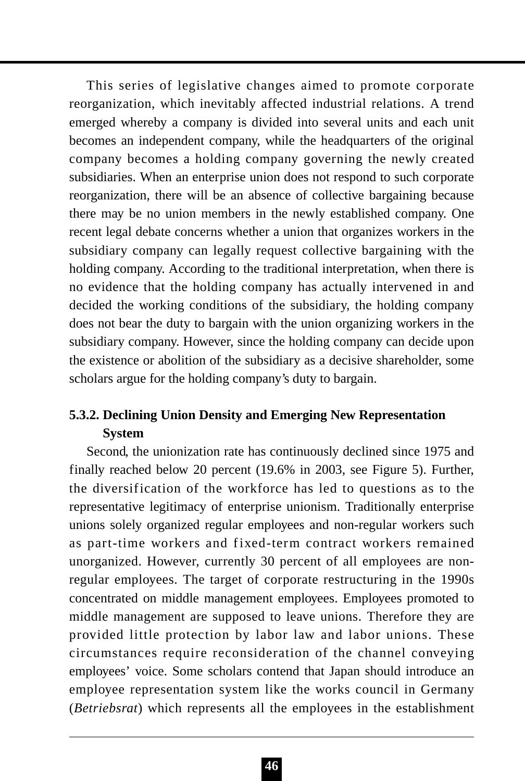This series of legislative changes aimed to promote corporate reorganization, which inevitably affected industrial relations. A trend emerged whereby a company is divided into several units and each unit becomes an independent company, while the headquarters of the original company becomes a holding company governing the newly created subsidiaries. When an enterprise union does not respond to such corporate reorganization, there will be an absence of collective bargaining because there may be no union members in the newly established company. One recent legal debate concerns whether a union that organizes workers in the subsidiary company can legally request collective bargaining with the holding company. According to the traditional interpretation, when there is no evidence that the holding company has actually intervened in and decided the working conditions of the subsidiary, the holding company does not bear the duty to bargain with the union organizing workers in the subsidiary company. However, since the holding company can decide upon the existence or abolition of the subsidiary as a decisive shareholder, some scholars argue for the holding company's duty to bargain.

## **5.3.2. Declining Union Density and Emerging New Representation System**

Second, the unionization rate has continuously declined since 1975 and finally reached below 20 percent (19.6% in 2003, see Figure 5). Further, the diversification of the workforce has led to questions as to the representative legitimacy of enterprise unionism. Traditionally enterprise unions solely organized regular employees and non-regular workers such as part-time workers and fixed-term contract workers remained unorganized. However, currently 30 percent of all employees are nonregular employees. The target of corporate restructuring in the 1990s concentrated on middle management employees. Employees promoted to middle management are supposed to leave unions. Therefore they are provided little protection by labor law and labor unions. These circumstances require reconsideration of the channel conveying employees' voice. Some scholars contend that Japan should introduce an employee representation system like the works council in Germany (*Betriebsrat*) which represents all the employees in the establishment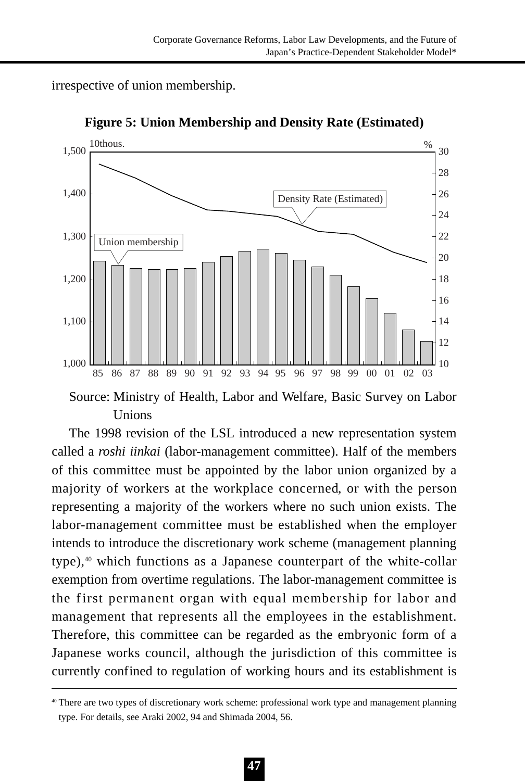irrespective of union membership.



**Figure 5: Union Membership and Density Rate (Estimated)**

Source: Ministry of Health, Labor and Welfare, Basic Survey on Labor Unions

The 1998 revision of the LSL introduced a new representation system called a *roshi iinkai* (labor-management committee). Half of the members of this committee must be appointed by the labor union organized by a majority of workers at the workplace concerned, or with the person representing a majority of the workers where no such union exists. The labor-management committee must be established when the employer intends to introduce the discretionary work scheme (management planning type),<sup>40</sup> which functions as a Japanese counterpart of the white-collar exemption from overtime regulations. The labor-management committee is the first permanent organ with equal membership for labor and management that represents all the employees in the establishment. Therefore, this committee can be regarded as the embryonic form of a Japanese works council, although the jurisdiction of this committee is currently confined to regulation of working hours and its establishment is

<sup>40</sup> There are two types of discretionary work scheme: professional work type and management planning type. For details, see Araki 2002, 94 and Shimada 2004, 56.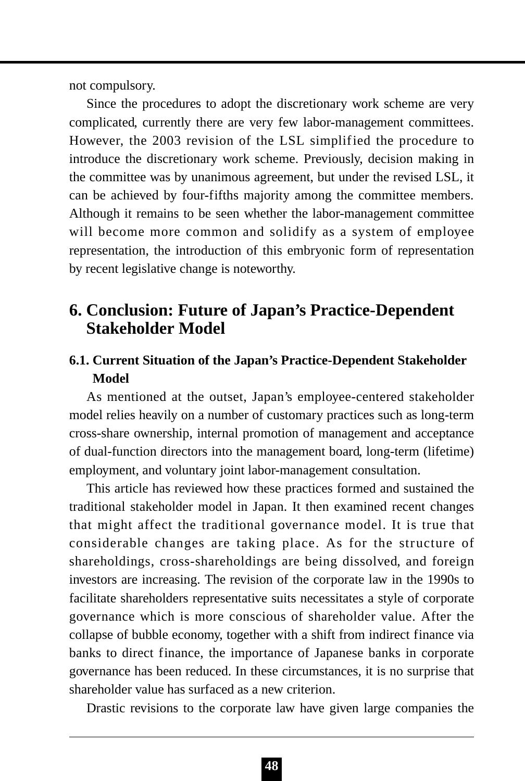not compulsory.

Since the procedures to adopt the discretionary work scheme are very complicated, currently there are very few labor-management committees. However, the 2003 revision of the LSL simplified the procedure to introduce the discretionary work scheme. Previously, decision making in the committee was by unanimous agreement, but under the revised LSL, it can be achieved by four-fifths majority among the committee members. Although it remains to be seen whether the labor-management committee will become more common and solidify as a system of employee representation, the introduction of this embryonic form of representation by recent legislative change is noteworthy.

# **6. Conclusion: Future of Japan's Practice-Dependent Stakeholder Model**

## **6.1. Current Situation of the Japan's Practice-Dependent Stakeholder Model**

As mentioned at the outset, Japan's employee-centered stakeholder model relies heavily on a number of customary practices such as long-term cross-share ownership, internal promotion of management and acceptance of dual-function directors into the management board, long-term (lifetime) employment, and voluntary joint labor-management consultation.

This article has reviewed how these practices formed and sustained the traditional stakeholder model in Japan. It then examined recent changes that might affect the traditional governance model. It is true that considerable changes are taking place. As for the structure of shareholdings, cross-shareholdings are being dissolved, and foreign investors are increasing. The revision of the corporate law in the 1990s to facilitate shareholders representative suits necessitates a style of corporate governance which is more conscious of shareholder value. After the collapse of bubble economy, together with a shift from indirect finance via banks to direct finance, the importance of Japanese banks in corporate governance has been reduced. In these circumstances, it is no surprise that shareholder value has surfaced as a new criterion.

Drastic revisions to the corporate law have given large companies the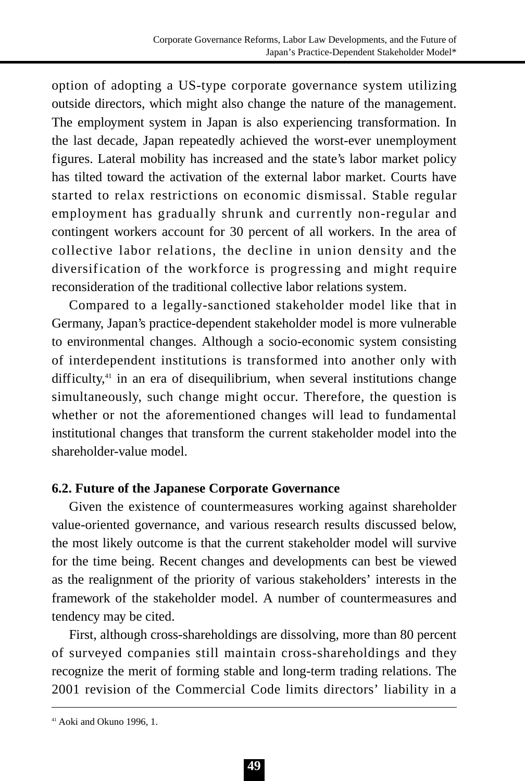option of adopting a US-type corporate governance system utilizing outside directors, which might also change the nature of the management. The employment system in Japan is also experiencing transformation. In the last decade, Japan repeatedly achieved the worst-ever unemployment figures. Lateral mobility has increased and the state's labor market policy has tilted toward the activation of the external labor market. Courts have started to relax restrictions on economic dismissal. Stable regular employment has gradually shrunk and currently non-regular and contingent workers account for 30 percent of all workers. In the area of collective labor relations, the decline in union density and the diversification of the workforce is progressing and might require reconsideration of the traditional collective labor relations system.

Compared to a legally-sanctioned stakeholder model like that in Germany, Japan's practice-dependent stakeholder model is more vulnerable to environmental changes. Although a socio-economic system consisting of interdependent institutions is transformed into another only with difficulty,<sup>41</sup> in an era of disequilibrium, when several institutions change simultaneously, such change might occur. Therefore, the question is whether or not the aforementioned changes will lead to fundamental institutional changes that transform the current stakeholder model into the shareholder-value model.

## **6.2. Future of the Japanese Corporate Governance**

Given the existence of countermeasures working against shareholder value-oriented governance, and various research results discussed below, the most likely outcome is that the current stakeholder model will survive for the time being. Recent changes and developments can best be viewed as the realignment of the priority of various stakeholders' interests in the framework of the stakeholder model. A number of countermeasures and tendency may be cited.

First, although cross-shareholdings are dissolving, more than 80 percent of surveyed companies still maintain cross-shareholdings and they recognize the merit of forming stable and long-term trading relations. The 2001 revision of the Commercial Code limits directors' liability in a

<sup>41</sup> Aoki and Okuno 1996, 1.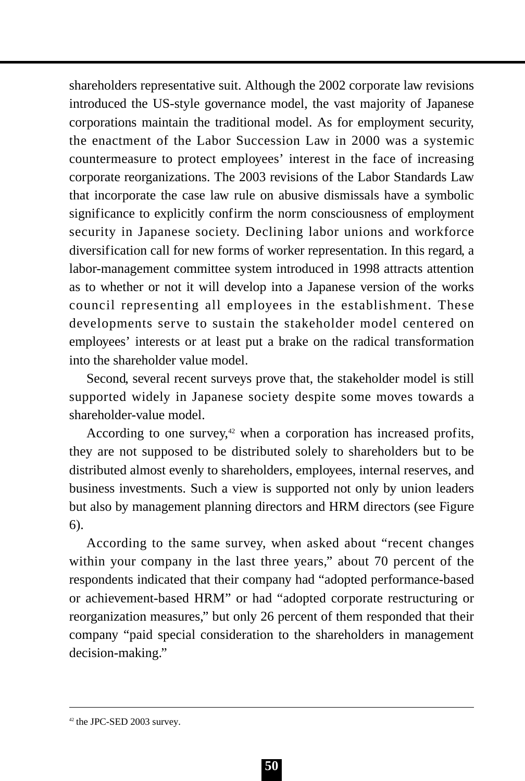shareholders representative suit. Although the 2002 corporate law revisions introduced the US-style governance model, the vast majority of Japanese corporations maintain the traditional model. As for employment security, the enactment of the Labor Succession Law in 2000 was a systemic countermeasure to protect employees' interest in the face of increasing corporate reorganizations. The 2003 revisions of the Labor Standards Law that incorporate the case law rule on abusive dismissals have a symbolic significance to explicitly confirm the norm consciousness of employment security in Japanese society. Declining labor unions and workforce diversification call for new forms of worker representation. In this regard, a labor-management committee system introduced in 1998 attracts attention as to whether or not it will develop into a Japanese version of the works council representing all employees in the establishment. These developments serve to sustain the stakeholder model centered on employees' interests or at least put a brake on the radical transformation into the shareholder value model.

Second, several recent surveys prove that, the stakeholder model is still supported widely in Japanese society despite some moves towards a shareholder-value model.

According to one survey, $42$  when a corporation has increased profits, they are not supposed to be distributed solely to shareholders but to be distributed almost evenly to shareholders, employees, internal reserves, and business investments. Such a view is supported not only by union leaders but also by management planning directors and HRM directors (see Figure 6).

According to the same survey, when asked about "recent changes within your company in the last three years," about 70 percent of the respondents indicated that their company had "adopted performance-based or achievement-based HRM" or had "adopted corporate restructuring or reorganization measures," but only 26 percent of them responded that their company "paid special consideration to the shareholders in management decision-making."

<sup>42</sup> the JPC-SED 2003 survey.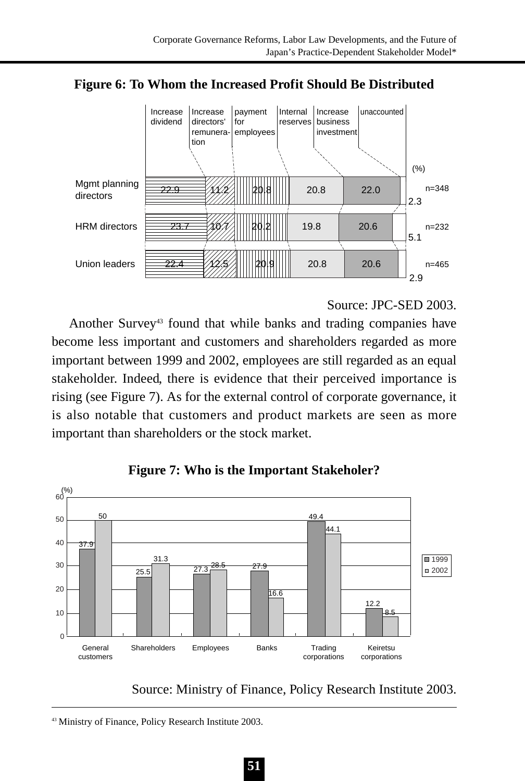

**Figure 6: To Whom the Increased Profit Should Be Distributed**

Source: JPC-SED 2003.

Another Survey<sup>43</sup> found that while banks and trading companies have become less important and customers and shareholders regarded as more important between 1999 and 2002, employees are still regarded as an equal stakeholder. Indeed, there is evidence that their perceived importance is rising (see Figure 7). As for the external control of corporate governance, it is also notable that customers and product markets are seen as more important than shareholders or the stock market.



**Figure 7: Who is the Important Stakeholer?**

Source: Ministry of Finance, Policy Research Institute 2003.

<sup>43</sup> Ministry of Finance, Policy Research Institute 2003.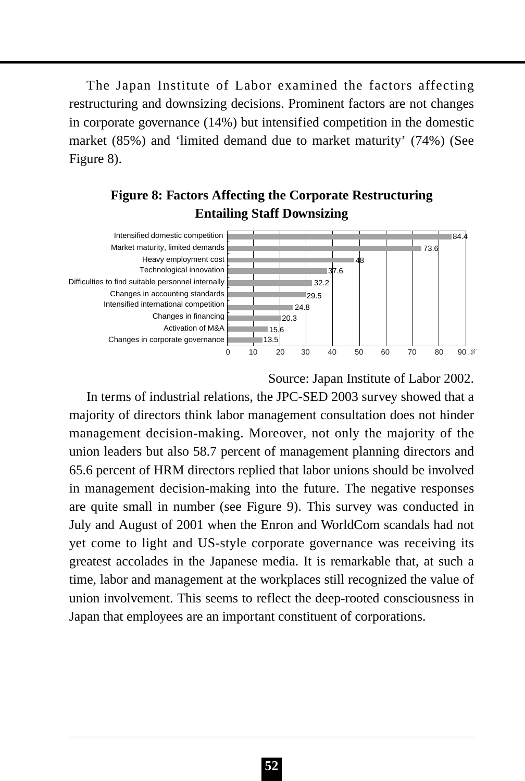The Japan Institute of Labor examined the factors affecting restructuring and downsizing decisions. Prominent factors are not changes in corporate governance (14%) but intensified competition in the domestic market (85%) and 'limited demand due to market maturity' (74%) (See Figure 8).

## **Figure 8: Factors Affecting the Corporate Restructuring Entailing Staff Downsizing**



Source: Japan Institute of Labor 2002.

In terms of industrial relations, the JPC-SED 2003 survey showed that a majority of directors think labor management consultation does not hinder management decision-making. Moreover, not only the majority of the union leaders but also 58.7 percent of management planning directors and 65.6 percent of HRM directors replied that labor unions should be involved in management decision-making into the future. The negative responses are quite small in number (see Figure 9). This survey was conducted in July and August of 2001 when the Enron and WorldCom scandals had not yet come to light and US-style corporate governance was receiving its greatest accolades in the Japanese media. It is remarkable that, at such a time, labor and management at the workplaces still recognized the value of union involvement. This seems to reflect the deep-rooted consciousness in Japan that employees are an important constituent of corporations.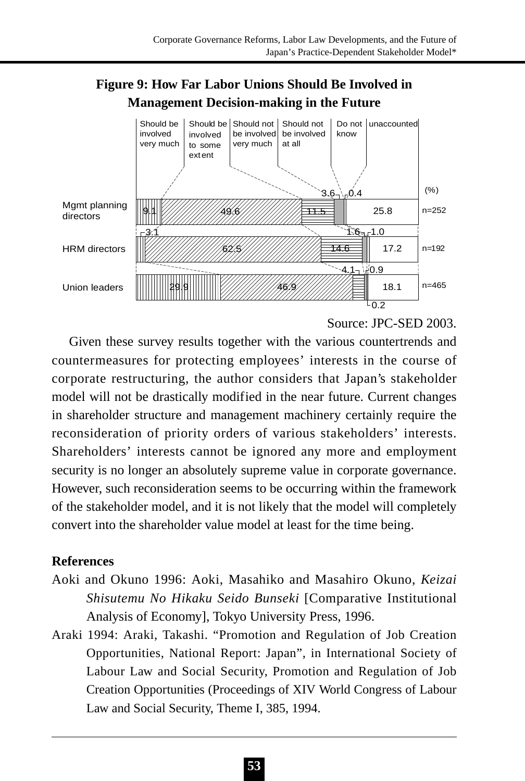# **Figure 9: How Far Labor Unions Should Be Involved in Management Decision-making in the Future**



Source: JPC-SED 2003.

Given these survey results together with the various countertrends and countermeasures for protecting employees' interests in the course of corporate restructuring, the author considers that Japan's stakeholder model will not be drastically modified in the near future. Current changes in shareholder structure and management machinery certainly require the reconsideration of priority orders of various stakeholders' interests. Shareholders' interests cannot be ignored any more and employment security is no longer an absolutely supreme value in corporate governance. However, such reconsideration seems to be occurring within the framework of the stakeholder model, and it is not likely that the model will completely convert into the shareholder value model at least for the time being.

## **References**

- Aoki and Okuno 1996: Aoki, Masahiko and Masahiro Okuno, *Keizai Shisutemu No Hikaku Seido Bunseki* [Comparative Institutional Analysis of Economy], Tokyo University Press, 1996.
- Araki 1994: Araki, Takashi. "Promotion and Regulation of Job Creation Opportunities, National Report: Japan", in International Society of Labour Law and Social Security, Promotion and Regulation of Job Creation Opportunities (Proceedings of XIV World Congress of Labour Law and Social Security, Theme I, 385, 1994.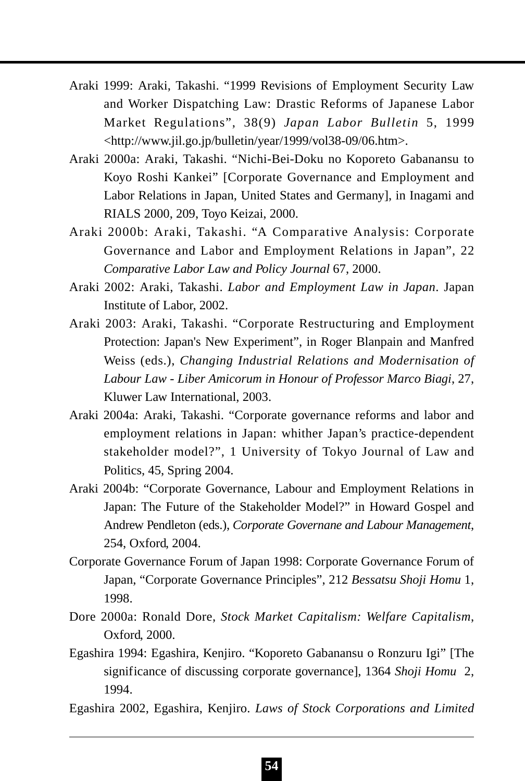- Araki 1999: Araki, Takashi. "1999 Revisions of Employment Security Law and Worker Dispatching Law: Drastic Reforms of Japanese Labor Market Regulations", 38(9) *Japan Labor Bulletin* 5, 1999 <http://www.jil.go.jp/bulletin/year/1999/vol38-09/06.htm>.
- Araki 2000a: Araki, Takashi. "Nichi-Bei-Doku no Koporeto Gabanansu to Koyo Roshi Kankei" [Corporate Governance and Employment and Labor Relations in Japan, United States and Germany], in Inagami and RIALS 2000, 209, Toyo Keizai, 2000.
- Araki 2000b: Araki, Takashi. "A Comparative Analysis: Corporate Governance and Labor and Employment Relations in Japan", 22 *Comparative Labor Law and Policy Journal* 67, 2000.
- Araki 2002: Araki, Takashi. *Labor and Employment Law in Japan*. Japan Institute of Labor, 2002.
- Araki 2003: Araki, Takashi. "Corporate Restructuring and Employment Protection: Japan's New Experiment", in Roger Blanpain and Manfred Weiss (eds.), *Changing Industrial Relations and Modernisation of Labour Law - Liber Amicorum in Honour of Professor Marco Biagi*, 27, Kluwer Law International, 2003.
- Araki 2004a: Araki, Takashi. "Corporate governance reforms and labor and employment relations in Japan: whither Japan's practice-dependent stakeholder model?", 1 University of Tokyo Journal of Law and Politics, 45, Spring 2004.
- Araki 2004b: "Corporate Governance, Labour and Employment Relations in Japan: The Future of the Stakeholder Model?" in Howard Gospel and Andrew Pendleton (eds.), *Corporate Governane and Labour Management*, 254, Oxford, 2004.
- Corporate Governance Forum of Japan 1998: Corporate Governance Forum of Japan, "Corporate Governance Principles", 212 *Bessatsu Shoji Homu* 1, 1998.
- Dore 2000a: Ronald Dore, *Stock Market Capitalism: Welfare Capitalism*, Oxford, 2000.
- Egashira 1994: Egashira, Kenjiro. "Koporeto Gabanansu o Ronzuru Igi" [The significance of discussing corporate governance], 1364 *Shoji Homu* 2, 1994.
- Egashira 2002, Egashira, Kenjiro. *Laws of Stock Corporations and Limited*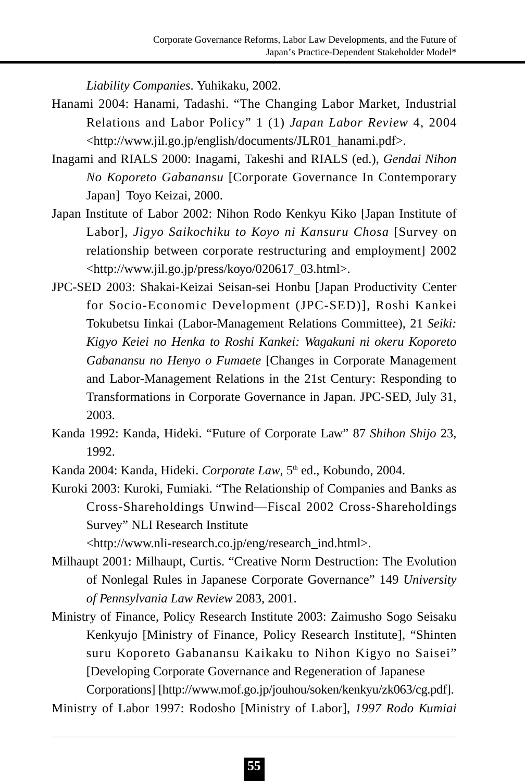*Liability Companies*. Yuhikaku, 2002.

- Hanami 2004: Hanami, Tadashi. "The Changing Labor Market, Industrial Relations and Labor Policy" 1 (1) *Japan Labor Review* 4, 2004 <http://www.jil.go.jp/english/documents/JLR01\_hanami.pdf>.
- Inagami and RIALS 2000: Inagami, Takeshi and RIALS (ed.), *Gendai Nihon No Koporeto Gabanansu* [Corporate Governance In Contemporary Japan] Toyo Keizai, 2000.
- Japan Institute of Labor 2002: Nihon Rodo Kenkyu Kiko [Japan Institute of Labor], *Jigyo Saikochiku to Koyo ni Kansuru Chosa* [Survey on relationship between corporate restructuring and employment] 2002 <http://www.jil.go.jp/press/koyo/020617\_03.html>.
- JPC-SED 2003: Shakai-Keizai Seisan-sei Honbu [Japan Productivity Center for Socio-Economic Development (JPC-SED)], Roshi Kankei Tokubetsu Iinkai (Labor-Management Relations Committee), 21 *Seiki: Kigyo Keiei no Henka to Roshi Kankei: Wagakuni ni okeru Koporeto Gabanansu no Henyo o Fumaete* [Changes in Corporate Management and Labor-Management Relations in the 21st Century: Responding to Transformations in Corporate Governance in Japan. JPC-SED, July 31, 2003.
- Kanda 1992: Kanda, Hideki. "Future of Corporate Law" 87 *Shihon Shijo* 23, 1992.
- Kanda 2004: Kanda, Hideki. *Corporate Law*, 5<sup>th</sup> ed., Kobundo, 2004.
- Kuroki 2003: Kuroki, Fumiaki. "The Relationship of Companies and Banks as Cross-Shareholdings Unwind—Fiscal 2002 Cross-Shareholdings Survey" NLI Research Institute

<http://www.nli-research.co.jp/eng/research\_ind.html>.

- Milhaupt 2001: Milhaupt, Curtis. "Creative Norm Destruction: The Evolution of Nonlegal Rules in Japanese Corporate Governance" 149 *University of Pennsylvania Law Review* 2083, 2001.
- Ministry of Finance, Policy Research Institute 2003: Zaimusho Sogo Seisaku Kenkyujo [Ministry of Finance, Policy Research Institute], "Shinten suru Koporeto Gabanansu Kaikaku to Nihon Kigyo no Saisei" [Developing Corporate Governance and Regeneration of Japanese Corporations] [http://www.mof.go.jp/jouhou/soken/kenkyu/zk063/cg.pdf].

Ministry of Labor 1997: Rodosho [Ministry of Labor], *1997 Rodo Kumiai*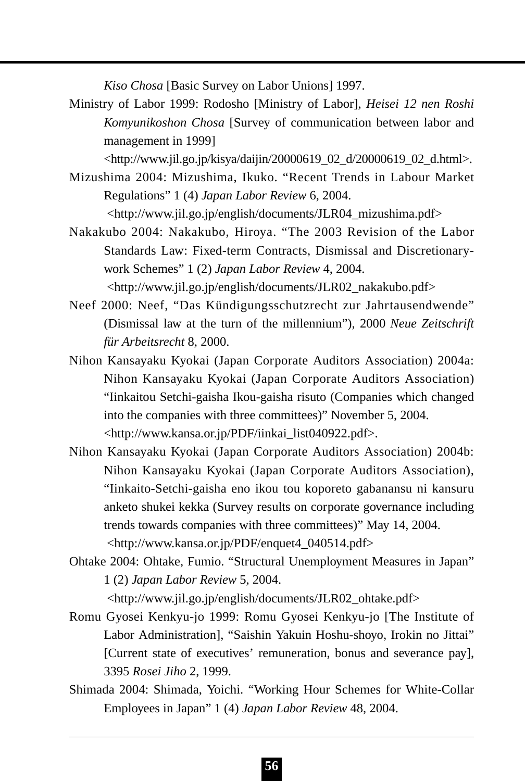*Kiso Chosa* [Basic Survey on Labor Unions] 1997.

Ministry of Labor 1999: Rodosho [Ministry of Labor], *Heisei 12 nen Roshi Komyunikoshon Chosa* [Survey of communication between labor and management in 1999]

<http://www.jil.go.jp/kisya/daijin/20000619\_02\_d/20000619\_02\_d.html>.

Mizushima 2004: Mizushima, Ikuko. "Recent Trends in Labour Market Regulations" 1 (4) *Japan Labor Review* 6, 2004.

<http://www.jil.go.jp/english/documents/JLR04\_mizushima.pdf>

Nakakubo 2004: Nakakubo, Hiroya. "The 2003 Revision of the Labor Standards Law: Fixed-term Contracts, Dismissal and Discretionarywork Schemes" 1 (2) *Japan Labor Review* 4, 2004.

<http://www.jil.go.jp/english/documents/JLR02\_nakakubo.pdf>

- Neef 2000: Neef, "Das Kündigungsschutzrecht zur Jahrtausendwende" (Dismissal law at the turn of the millennium"), 2000 *Neue Zeitschrift für Arbeitsrecht* 8, 2000.
- Nihon Kansayaku Kyokai (Japan Corporate Auditors Association) 2004a: Nihon Kansayaku Kyokai (Japan Corporate Auditors Association) "Iinkaitou Setchi-gaisha Ikou-gaisha risuto (Companies which changed into the companies with three committees)" November 5, 2004. <http://www.kansa.or.jp/PDF/iinkai\_list040922.pdf>.
- Nihon Kansayaku Kyokai (Japan Corporate Auditors Association) 2004b: Nihon Kansayaku Kyokai (Japan Corporate Auditors Association), "Iinkaito-Setchi-gaisha eno ikou tou koporeto gabanansu ni kansuru anketo shukei kekka (Survey results on corporate governance including trends towards companies with three committees)" May 14, 2004. <http://www.kansa.or.jp/PDF/enquet4\_040514.pdf>
- Ohtake 2004: Ohtake, Fumio. "Structural Unemployment Measures in Japan" 1 (2) *Japan Labor Review* 5, 2004.

<http://www.jil.go.jp/english/documents/JLR02\_ohtake.pdf>

- Romu Gyosei Kenkyu-jo 1999: Romu Gyosei Kenkyu-jo [The Institute of Labor Administration], "Saishin Yakuin Hoshu-shoyo, Irokin no Jittai" [Current state of executives' remuneration, bonus and severance pay], 3395 *Rosei Jiho* 2, 1999.
- Shimada 2004: Shimada, Yoichi. "Working Hour Schemes for White-Collar Employees in Japan" 1 (4) *Japan Labor Review* 48, 2004.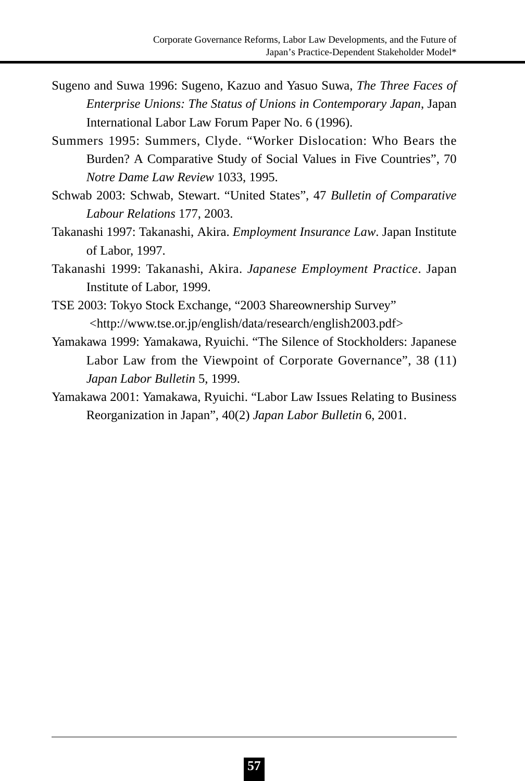- Sugeno and Suwa 1996: Sugeno, Kazuo and Yasuo Suwa, *The Three Faces of Enterprise Unions: The Status of Unions in Contemporary Japan*, Japan International Labor Law Forum Paper No. 6 (1996).
- Summers 1995: Summers, Clyde. "Worker Dislocation: Who Bears the Burden? A Comparative Study of Social Values in Five Countries", 70 *Notre Dame Law Review* 1033, 1995.
- Schwab 2003: Schwab, Stewart. "United States", 47 *Bulletin of Comparative Labour Relations* 177, 2003.
- Takanashi 1997: Takanashi, Akira. *Employment Insurance Law*. Japan Institute of Labor, 1997.
- Takanashi 1999: Takanashi, Akira. *Japanese Employment Practice*. Japan Institute of Labor, 1999.
- TSE 2003: Tokyo Stock Exchange, "2003 Shareownership Survey" <http://www.tse.or.jp/english/data/research/english2003.pdf>
- Yamakawa 1999: Yamakawa, Ryuichi. "The Silence of Stockholders: Japanese Labor Law from the Viewpoint of Corporate Governance", 38 (11) *Japan Labor Bulletin* 5, 1999.
- Yamakawa 2001: Yamakawa, Ryuichi. "Labor Law Issues Relating to Business Reorganization in Japan", 40(2) *Japan Labor Bulletin* 6, 2001.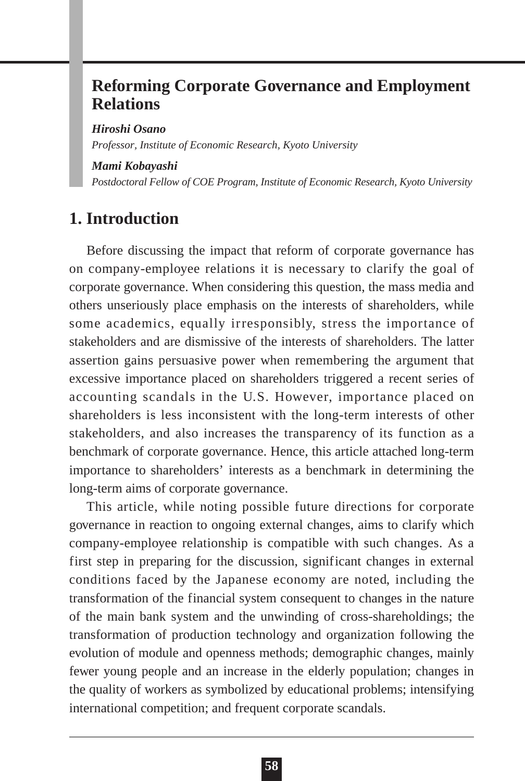# **Reforming Corporate Governance and Employment Relations**

*Hiroshi Osano*

*Professor, Institute of Economic Research, Kyoto University*

#### *Mami Kobayashi*

*Postdoctoral Fellow of COE Program, Institute of Economic Research, Kyoto University*

# **1. Introduction**

Before discussing the impact that reform of corporate governance has on company-employee relations it is necessary to clarify the goal of corporate governance. When considering this question, the mass media and others unseriously place emphasis on the interests of shareholders, while some academics, equally irresponsibly, stress the importance of stakeholders and are dismissive of the interests of shareholders. The latter assertion gains persuasive power when remembering the argument that excessive importance placed on shareholders triggered a recent series of accounting scandals in the U.S. However, importance placed on shareholders is less inconsistent with the long-term interests of other stakeholders, and also increases the transparency of its function as a benchmark of corporate governance. Hence, this article attached long-term importance to shareholders' interests as a benchmark in determining the long-term aims of corporate governance.

This article, while noting possible future directions for corporate governance in reaction to ongoing external changes, aims to clarify which company-employee relationship is compatible with such changes. As a first step in preparing for the discussion, significant changes in external conditions faced by the Japanese economy are noted, including the transformation of the financial system consequent to changes in the nature of the main bank system and the unwinding of cross-shareholdings; the transformation of production technology and organization following the evolution of module and openness methods; demographic changes, mainly fewer young people and an increase in the elderly population; changes in the quality of workers as symbolized by educational problems; intensifying international competition; and frequent corporate scandals.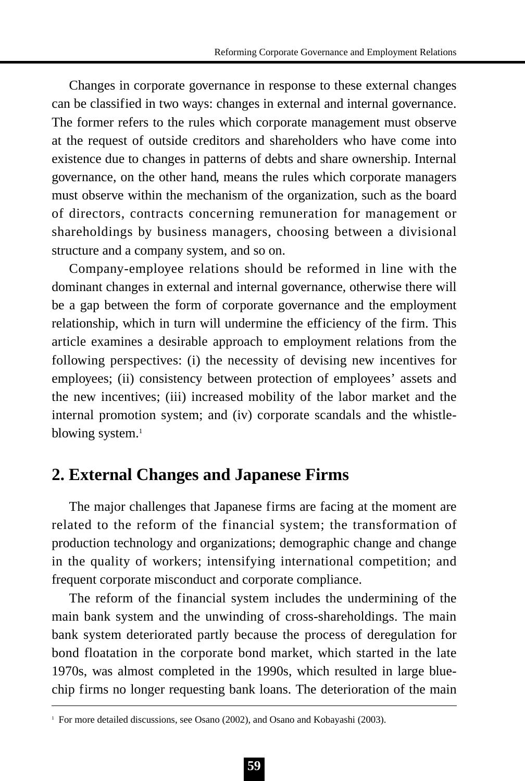Changes in corporate governance in response to these external changes can be classified in two ways: changes in external and internal governance. The former refers to the rules which corporate management must observe at the request of outside creditors and shareholders who have come into existence due to changes in patterns of debts and share ownership. Internal governance, on the other hand, means the rules which corporate managers must observe within the mechanism of the organization, such as the board of directors, contracts concerning remuneration for management or shareholdings by business managers, choosing between a divisional structure and a company system, and so on.

Company-employee relations should be reformed in line with the dominant changes in external and internal governance, otherwise there will be a gap between the form of corporate governance and the employment relationship, which in turn will undermine the efficiency of the firm. This article examines a desirable approach to employment relations from the following perspectives: (i) the necessity of devising new incentives for employees; (ii) consistency between protection of employees' assets and the new incentives; (iii) increased mobility of the labor market and the internal promotion system; and (iv) corporate scandals and the whistleblowing system.<sup>1</sup>

## **2. External Changes and Japanese Firms**

The major challenges that Japanese firms are facing at the moment are related to the reform of the financial system; the transformation of production technology and organizations; demographic change and change in the quality of workers; intensifying international competition; and frequent corporate misconduct and corporate compliance.

The reform of the financial system includes the undermining of the main bank system and the unwinding of cross-shareholdings. The main bank system deteriorated partly because the process of deregulation for bond floatation in the corporate bond market, which started in the late 1970s, was almost completed in the 1990s, which resulted in large bluechip firms no longer requesting bank loans. The deterioration of the main

<sup>&</sup>lt;sup>1</sup> For more detailed discussions, see Osano (2002), and Osano and Kobayashi (2003).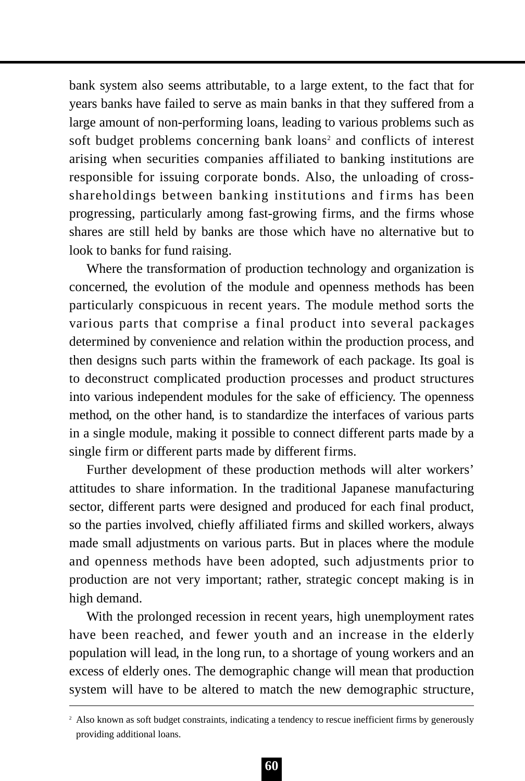bank system also seems attributable, to a large extent, to the fact that for years banks have failed to serve as main banks in that they suffered from a large amount of non-performing loans, leading to various problems such as soft budget problems concerning bank loans<sup>2</sup> and conflicts of interest arising when securities companies affiliated to banking institutions are responsible for issuing corporate bonds. Also, the unloading of crossshareholdings between banking institutions and firms has been progressing, particularly among fast-growing firms, and the firms whose shares are still held by banks are those which have no alternative but to look to banks for fund raising.

Where the transformation of production technology and organization is concerned, the evolution of the module and openness methods has been particularly conspicuous in recent years. The module method sorts the various parts that comprise a final product into several packages determined by convenience and relation within the production process, and then designs such parts within the framework of each package. Its goal is to deconstruct complicated production processes and product structures into various independent modules for the sake of efficiency. The openness method, on the other hand, is to standardize the interfaces of various parts in a single module, making it possible to connect different parts made by a single firm or different parts made by different firms.

Further development of these production methods will alter workers' attitudes to share information. In the traditional Japanese manufacturing sector, different parts were designed and produced for each final product, so the parties involved, chiefly affiliated firms and skilled workers, always made small adjustments on various parts. But in places where the module and openness methods have been adopted, such adjustments prior to production are not very important; rather, strategic concept making is in high demand.

With the prolonged recession in recent years, high unemployment rates have been reached, and fewer youth and an increase in the elderly population will lead, in the long run, to a shortage of young workers and an excess of elderly ones. The demographic change will mean that production system will have to be altered to match the new demographic structure,

<sup>&</sup>lt;sup>2</sup> Also known as soft budget constraints, indicating a tendency to rescue inefficient firms by generously providing additional loans.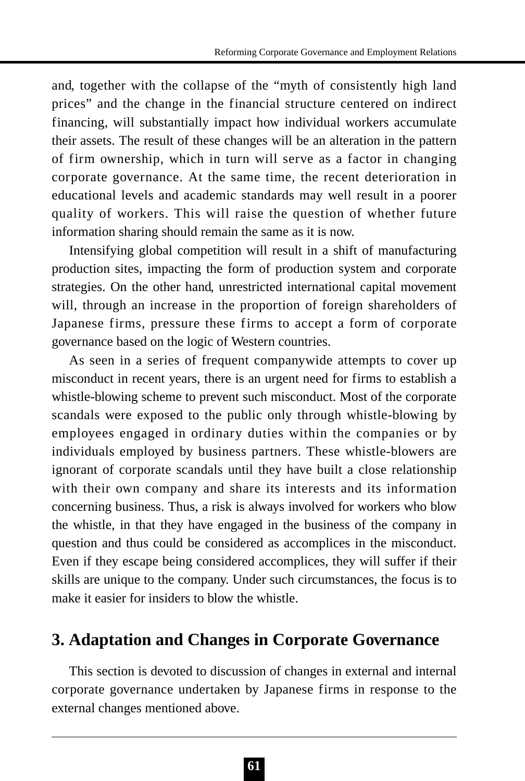and, together with the collapse of the "myth of consistently high land prices" and the change in the financial structure centered on indirect financing, will substantially impact how individual workers accumulate their assets. The result of these changes will be an alteration in the pattern of firm ownership, which in turn will serve as a factor in changing corporate governance. At the same time, the recent deterioration in educational levels and academic standards may well result in a poorer quality of workers. This will raise the question of whether future information sharing should remain the same as it is now.

Intensifying global competition will result in a shift of manufacturing production sites, impacting the form of production system and corporate strategies. On the other hand, unrestricted international capital movement will, through an increase in the proportion of foreign shareholders of Japanese firms, pressure these firms to accept a form of corporate governance based on the logic of Western countries.

As seen in a series of frequent companywide attempts to cover up misconduct in recent years, there is an urgent need for firms to establish a whistle-blowing scheme to prevent such misconduct. Most of the corporate scandals were exposed to the public only through whistle-blowing by employees engaged in ordinary duties within the companies or by individuals employed by business partners. These whistle-blowers are ignorant of corporate scandals until they have built a close relationship with their own company and share its interests and its information concerning business. Thus, a risk is always involved for workers who blow the whistle, in that they have engaged in the business of the company in question and thus could be considered as accomplices in the misconduct. Even if they escape being considered accomplices, they will suffer if their skills are unique to the company. Under such circumstances, the focus is to make it easier for insiders to blow the whistle.

# **3. Adaptation and Changes in Corporate Governance**

This section is devoted to discussion of changes in external and internal corporate governance undertaken by Japanese firms in response to the external changes mentioned above.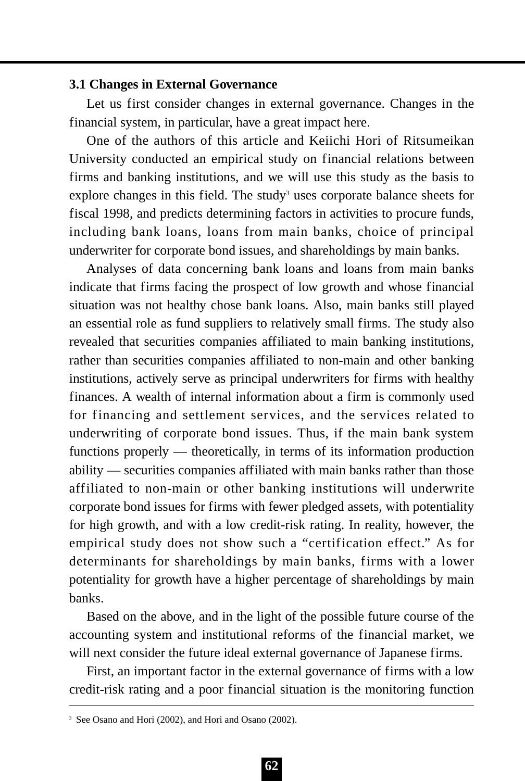### **3.1 Changes in External Governance**

Let us first consider changes in external governance. Changes in the financial system, in particular, have a great impact here.

One of the authors of this article and Keiichi Hori of Ritsumeikan University conducted an empirical study on financial relations between firms and banking institutions, and we will use this study as the basis to explore changes in this field. The study<sup>3</sup> uses corporate balance sheets for fiscal 1998, and predicts determining factors in activities to procure funds, including bank loans, loans from main banks, choice of principal underwriter for corporate bond issues, and shareholdings by main banks.

Analyses of data concerning bank loans and loans from main banks indicate that firms facing the prospect of low growth and whose financial situation was not healthy chose bank loans. Also, main banks still played an essential role as fund suppliers to relatively small firms. The study also revealed that securities companies affiliated to main banking institutions, rather than securities companies affiliated to non-main and other banking institutions, actively serve as principal underwriters for firms with healthy finances. A wealth of internal information about a firm is commonly used for financing and settlement services, and the services related to underwriting of corporate bond issues. Thus, if the main bank system functions properly — theoretically, in terms of its information production ability — securities companies affiliated with main banks rather than those affiliated to non-main or other banking institutions will underwrite corporate bond issues for firms with fewer pledged assets, with potentiality for high growth, and with a low credit-risk rating. In reality, however, the empirical study does not show such a "certification effect." As for determinants for shareholdings by main banks, firms with a lower potentiality for growth have a higher percentage of shareholdings by main banks.

Based on the above, and in the light of the possible future course of the accounting system and institutional reforms of the financial market, we will next consider the future ideal external governance of Japanese firms.

First, an important factor in the external governance of firms with a low credit-risk rating and a poor financial situation is the monitoring function

<sup>&</sup>lt;sup>3</sup> See Osano and Hori (2002), and Hori and Osano (2002).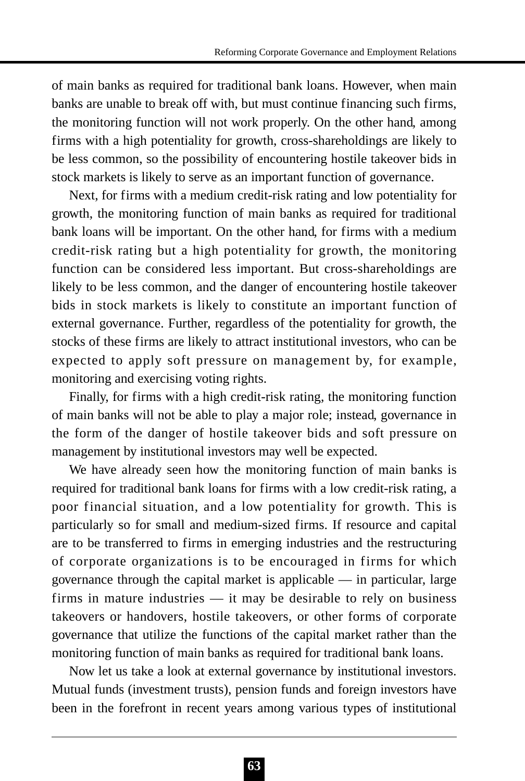of main banks as required for traditional bank loans. However, when main banks are unable to break off with, but must continue financing such firms, the monitoring function will not work properly. On the other hand, among firms with a high potentiality for growth, cross-shareholdings are likely to be less common, so the possibility of encountering hostile takeover bids in stock markets is likely to serve as an important function of governance.

Next, for firms with a medium credit-risk rating and low potentiality for growth, the monitoring function of main banks as required for traditional bank loans will be important. On the other hand, for firms with a medium credit-risk rating but a high potentiality for growth, the monitoring function can be considered less important. But cross-shareholdings are likely to be less common, and the danger of encountering hostile takeover bids in stock markets is likely to constitute an important function of external governance. Further, regardless of the potentiality for growth, the stocks of these firms are likely to attract institutional investors, who can be expected to apply soft pressure on management by, for example, monitoring and exercising voting rights.

Finally, for firms with a high credit-risk rating, the monitoring function of main banks will not be able to play a major role; instead, governance in the form of the danger of hostile takeover bids and soft pressure on management by institutional investors may well be expected.

We have already seen how the monitoring function of main banks is required for traditional bank loans for firms with a low credit-risk rating, a poor financial situation, and a low potentiality for growth. This is particularly so for small and medium-sized firms. If resource and capital are to be transferred to firms in emerging industries and the restructuring of corporate organizations is to be encouraged in firms for which governance through the capital market is applicable — in particular, large firms in mature industries — it may be desirable to rely on business takeovers or handovers, hostile takeovers, or other forms of corporate governance that utilize the functions of the capital market rather than the monitoring function of main banks as required for traditional bank loans.

Now let us take a look at external governance by institutional investors. Mutual funds (investment trusts), pension funds and foreign investors have been in the forefront in recent years among various types of institutional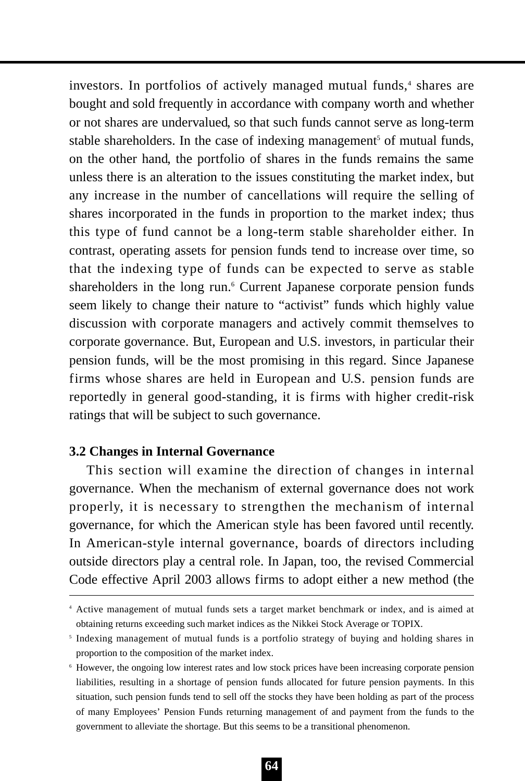investors. In portfolios of actively managed mutual funds,<sup>4</sup> shares are bought and sold frequently in accordance with company worth and whether or not shares are undervalued, so that such funds cannot serve as long-term stable shareholders. In the case of indexing management<sup>5</sup> of mutual funds, on the other hand, the portfolio of shares in the funds remains the same unless there is an alteration to the issues constituting the market index, but any increase in the number of cancellations will require the selling of shares incorporated in the funds in proportion to the market index; thus this type of fund cannot be a long-term stable shareholder either. In contrast, operating assets for pension funds tend to increase over time, so that the indexing type of funds can be expected to serve as stable shareholders in the long run.<sup>6</sup> Current Japanese corporate pension funds seem likely to change their nature to "activist" funds which highly value discussion with corporate managers and actively commit themselves to corporate governance. But, European and U.S. investors, in particular their pension funds, will be the most promising in this regard. Since Japanese firms whose shares are held in European and U.S. pension funds are reportedly in general good-standing, it is firms with higher credit-risk ratings that will be subject to such governance.

## **3.2 Changes in Internal Governance**

This section will examine the direction of changes in internal governance. When the mechanism of external governance does not work properly, it is necessary to strengthen the mechanism of internal governance, for which the American style has been favored until recently. In American-style internal governance, boards of directors including outside directors play a central role. In Japan, too, the revised Commercial Code effective April 2003 allows firms to adopt either a new method (the

<sup>4</sup> Active management of mutual funds sets a target market benchmark or index, and is aimed at obtaining returns exceeding such market indices as the Nikkei Stock Average or TOPIX.

<sup>5</sup> Indexing management of mutual funds is a portfolio strategy of buying and holding shares in proportion to the composition of the market index.

<sup>6</sup> However, the ongoing low interest rates and low stock prices have been increasing corporate pension liabilities, resulting in a shortage of pension funds allocated for future pension payments. In this situation, such pension funds tend to sell off the stocks they have been holding as part of the process of many Employees' Pension Funds returning management of and payment from the funds to the government to alleviate the shortage. But this seems to be a transitional phenomenon.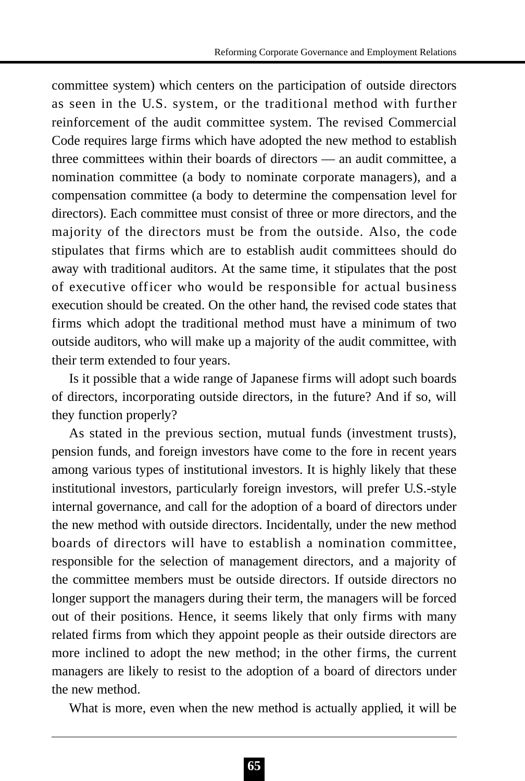committee system) which centers on the participation of outside directors as seen in the U.S. system, or the traditional method with further reinforcement of the audit committee system. The revised Commercial Code requires large firms which have adopted the new method to establish three committees within their boards of directors — an audit committee, a nomination committee (a body to nominate corporate managers), and a compensation committee (a body to determine the compensation level for directors). Each committee must consist of three or more directors, and the majority of the directors must be from the outside. Also, the code stipulates that firms which are to establish audit committees should do away with traditional auditors. At the same time, it stipulates that the post of executive officer who would be responsible for actual business execution should be created. On the other hand, the revised code states that firms which adopt the traditional method must have a minimum of two outside auditors, who will make up a majority of the audit committee, with their term extended to four years.

Is it possible that a wide range of Japanese firms will adopt such boards of directors, incorporating outside directors, in the future? And if so, will they function properly?

As stated in the previous section, mutual funds (investment trusts), pension funds, and foreign investors have come to the fore in recent years among various types of institutional investors. It is highly likely that these institutional investors, particularly foreign investors, will prefer U.S.-style internal governance, and call for the adoption of a board of directors under the new method with outside directors. Incidentally, under the new method boards of directors will have to establish a nomination committee, responsible for the selection of management directors, and a majority of the committee members must be outside directors. If outside directors no longer support the managers during their term, the managers will be forced out of their positions. Hence, it seems likely that only firms with many related firms from which they appoint people as their outside directors are more inclined to adopt the new method; in the other firms, the current managers are likely to resist to the adoption of a board of directors under the new method.

What is more, even when the new method is actually applied, it will be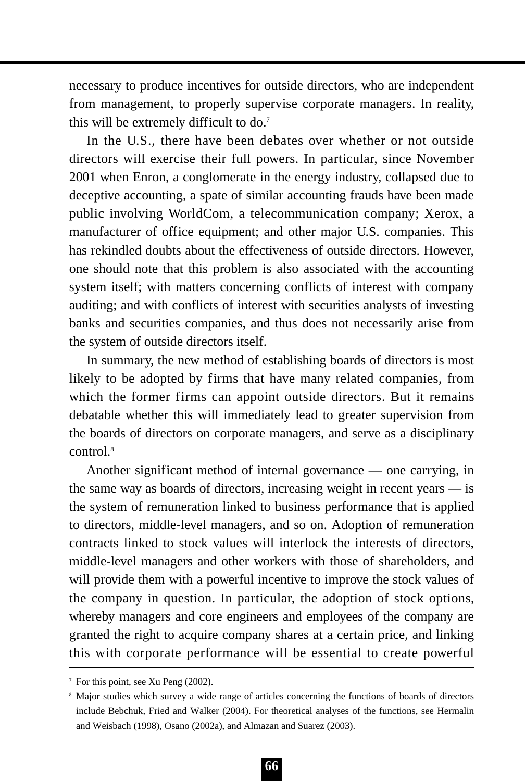necessary to produce incentives for outside directors, who are independent from management, to properly supervise corporate managers. In reality, this will be extremely difficult to do.7

In the U.S., there have been debates over whether or not outside directors will exercise their full powers. In particular, since November 2001 when Enron, a conglomerate in the energy industry, collapsed due to deceptive accounting, a spate of similar accounting frauds have been made public involving WorldCom, a telecommunication company; Xerox, a manufacturer of office equipment; and other major U.S. companies. This has rekindled doubts about the effectiveness of outside directors. However, one should note that this problem is also associated with the accounting system itself; with matters concerning conflicts of interest with company auditing; and with conflicts of interest with securities analysts of investing banks and securities companies, and thus does not necessarily arise from the system of outside directors itself.

In summary, the new method of establishing boards of directors is most likely to be adopted by firms that have many related companies, from which the former firms can appoint outside directors. But it remains debatable whether this will immediately lead to greater supervision from the boards of directors on corporate managers, and serve as a disciplinary control.8

Another significant method of internal governance — one carrying, in the same way as boards of directors, increasing weight in recent years — is the system of remuneration linked to business performance that is applied to directors, middle-level managers, and so on. Adoption of remuneration contracts linked to stock values will interlock the interests of directors, middle-level managers and other workers with those of shareholders, and will provide them with a powerful incentive to improve the stock values of the company in question. In particular, the adoption of stock options, whereby managers and core engineers and employees of the company are granted the right to acquire company shares at a certain price, and linking this with corporate performance will be essential to create powerful

<sup>7</sup> For this point, see Xu Peng (2002).

<sup>8</sup> Major studies which survey a wide range of articles concerning the functions of boards of directors include Bebchuk, Fried and Walker (2004). For theoretical analyses of the functions, see Hermalin and Weisbach (1998), Osano (2002a), and Almazan and Suarez (2003).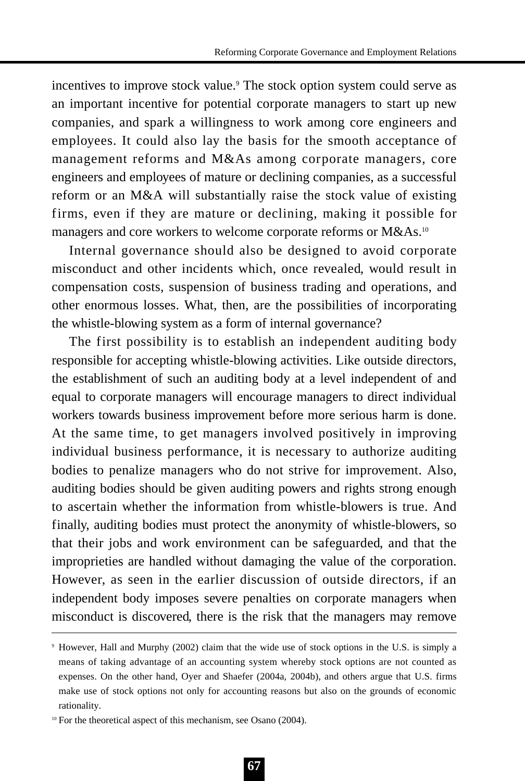incentives to improve stock value.<sup>9</sup> The stock option system could serve as an important incentive for potential corporate managers to start up new companies, and spark a willingness to work among core engineers and employees. It could also lay the basis for the smooth acceptance of management reforms and M&As among corporate managers, core engineers and employees of mature or declining companies, as a successful reform or an M&A will substantially raise the stock value of existing firms, even if they are mature or declining, making it possible for managers and core workers to welcome corporate reforms or M&As.<sup>10</sup>

Internal governance should also be designed to avoid corporate misconduct and other incidents which, once revealed, would result in compensation costs, suspension of business trading and operations, and other enormous losses. What, then, are the possibilities of incorporating the whistle-blowing system as a form of internal governance?

The first possibility is to establish an independent auditing body responsible for accepting whistle-blowing activities. Like outside directors, the establishment of such an auditing body at a level independent of and equal to corporate managers will encourage managers to direct individual workers towards business improvement before more serious harm is done. At the same time, to get managers involved positively in improving individual business performance, it is necessary to authorize auditing bodies to penalize managers who do not strive for improvement. Also, auditing bodies should be given auditing powers and rights strong enough to ascertain whether the information from whistle-blowers is true. And finally, auditing bodies must protect the anonymity of whistle-blowers, so that their jobs and work environment can be safeguarded, and that the improprieties are handled without damaging the value of the corporation. However, as seen in the earlier discussion of outside directors, if an independent body imposes severe penalties on corporate managers when misconduct is discovered, there is the risk that the managers may remove

<sup>9</sup> However, Hall and Murphy (2002) claim that the wide use of stock options in the U.S. is simply a means of taking advantage of an accounting system whereby stock options are not counted as expenses. On the other hand, Oyer and Shaefer (2004a, 2004b), and others argue that U.S. firms make use of stock options not only for accounting reasons but also on the grounds of economic rationality.

<sup>&</sup>lt;sup>10</sup> For the theoretical aspect of this mechanism, see Osano (2004).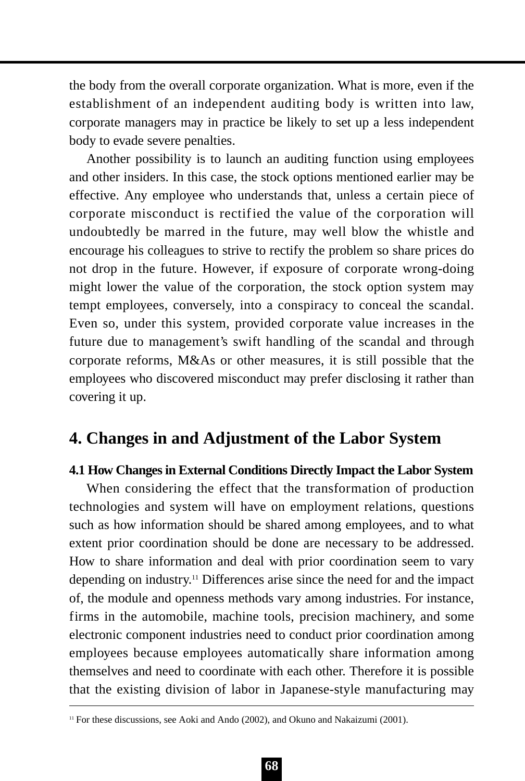the body from the overall corporate organization. What is more, even if the establishment of an independent auditing body is written into law, corporate managers may in practice be likely to set up a less independent body to evade severe penalties.

Another possibility is to launch an auditing function using employees and other insiders. In this case, the stock options mentioned earlier may be effective. Any employee who understands that, unless a certain piece of corporate misconduct is rectified the value of the corporation will undoubtedly be marred in the future, may well blow the whistle and encourage his colleagues to strive to rectify the problem so share prices do not drop in the future. However, if exposure of corporate wrong-doing might lower the value of the corporation, the stock option system may tempt employees, conversely, into a conspiracy to conceal the scandal. Even so, under this system, provided corporate value increases in the future due to management's swift handling of the scandal and through corporate reforms, M&As or other measures, it is still possible that the employees who discovered misconduct may prefer disclosing it rather than covering it up.

# **4. Changes in and Adjustment of the Labor System**

## **4.1 How Changes in External Conditions Directly Impact the Labor System**

When considering the effect that the transformation of production technologies and system will have on employment relations, questions such as how information should be shared among employees, and to what extent prior coordination should be done are necessary to be addressed. How to share information and deal with prior coordination seem to vary depending on industry.11 Differences arise since the need for and the impact of, the module and openness methods vary among industries. For instance, firms in the automobile, machine tools, precision machinery, and some electronic component industries need to conduct prior coordination among employees because employees automatically share information among themselves and need to coordinate with each other. Therefore it is possible that the existing division of labor in Japanese-style manufacturing may

<sup>&</sup>lt;sup>11</sup> For these discussions, see Aoki and Ando (2002), and Okuno and Nakaizumi (2001).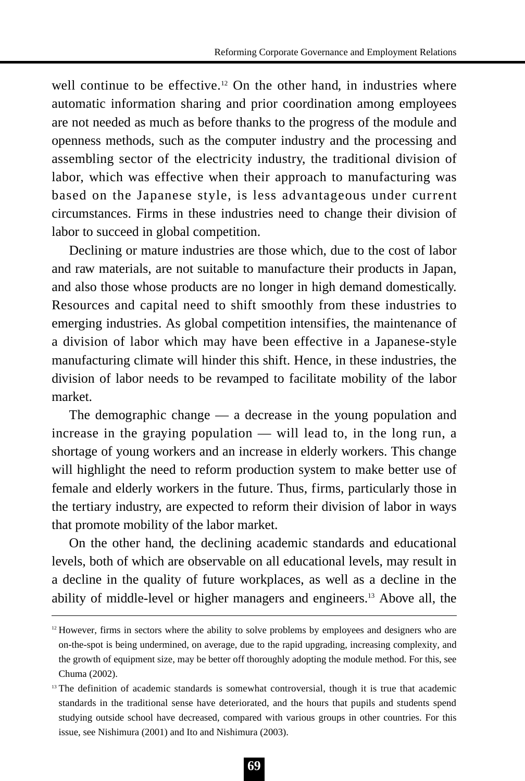well continue to be effective.<sup>12</sup> On the other hand, in industries where automatic information sharing and prior coordination among employees are not needed as much as before thanks to the progress of the module and openness methods, such as the computer industry and the processing and assembling sector of the electricity industry, the traditional division of labor, which was effective when their approach to manufacturing was based on the Japanese style, is less advantageous under current circumstances. Firms in these industries need to change their division of labor to succeed in global competition.

Declining or mature industries are those which, due to the cost of labor and raw materials, are not suitable to manufacture their products in Japan, and also those whose products are no longer in high demand domestically. Resources and capital need to shift smoothly from these industries to emerging industries. As global competition intensifies, the maintenance of a division of labor which may have been effective in a Japanese-style manufacturing climate will hinder this shift. Hence, in these industries, the division of labor needs to be revamped to facilitate mobility of the labor market.

The demographic change — a decrease in the young population and increase in the graying population — will lead to, in the long run, a shortage of young workers and an increase in elderly workers. This change will highlight the need to reform production system to make better use of female and elderly workers in the future. Thus, firms, particularly those in the tertiary industry, are expected to reform their division of labor in ways that promote mobility of the labor market.

On the other hand, the declining academic standards and educational levels, both of which are observable on all educational levels, may result in a decline in the quality of future workplaces, as well as a decline in the ability of middle-level or higher managers and engineers.13 Above all, the

 $12$  However, firms in sectors where the ability to solve problems by employees and designers who are on-the-spot is being undermined, on average, due to the rapid upgrading, increasing complexity, and the growth of equipment size, may be better off thoroughly adopting the module method. For this, see Chuma (2002).

<sup>&</sup>lt;sup>13</sup> The definition of academic standards is somewhat controversial, though it is true that academic standards in the traditional sense have deteriorated, and the hours that pupils and students spend studying outside school have decreased, compared with various groups in other countries. For this issue, see Nishimura (2001) and Ito and Nishimura (2003).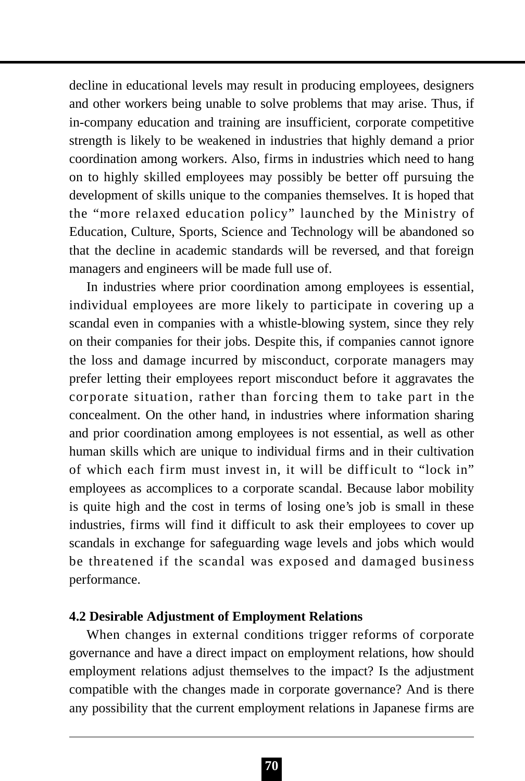decline in educational levels may result in producing employees, designers and other workers being unable to solve problems that may arise. Thus, if in-company education and training are insufficient, corporate competitive strength is likely to be weakened in industries that highly demand a prior coordination among workers. Also, firms in industries which need to hang on to highly skilled employees may possibly be better off pursuing the development of skills unique to the companies themselves. It is hoped that the "more relaxed education policy" launched by the Ministry of Education, Culture, Sports, Science and Technology will be abandoned so that the decline in academic standards will be reversed, and that foreign managers and engineers will be made full use of.

In industries where prior coordination among employees is essential, individual employees are more likely to participate in covering up a scandal even in companies with a whistle-blowing system, since they rely on their companies for their jobs. Despite this, if companies cannot ignore the loss and damage incurred by misconduct, corporate managers may prefer letting their employees report misconduct before it aggravates the corporate situation, rather than forcing them to take part in the concealment. On the other hand, in industries where information sharing and prior coordination among employees is not essential, as well as other human skills which are unique to individual firms and in their cultivation of which each firm must invest in, it will be difficult to "lock in" employees as accomplices to a corporate scandal. Because labor mobility is quite high and the cost in terms of losing one's job is small in these industries, firms will find it difficult to ask their employees to cover up scandals in exchange for safeguarding wage levels and jobs which would be threatened if the scandal was exposed and damaged business performance.

### **4.2 Desirable Adjustment of Employment Relations**

When changes in external conditions trigger reforms of corporate governance and have a direct impact on employment relations, how should employment relations adjust themselves to the impact? Is the adjustment compatible with the changes made in corporate governance? And is there any possibility that the current employment relations in Japanese firms are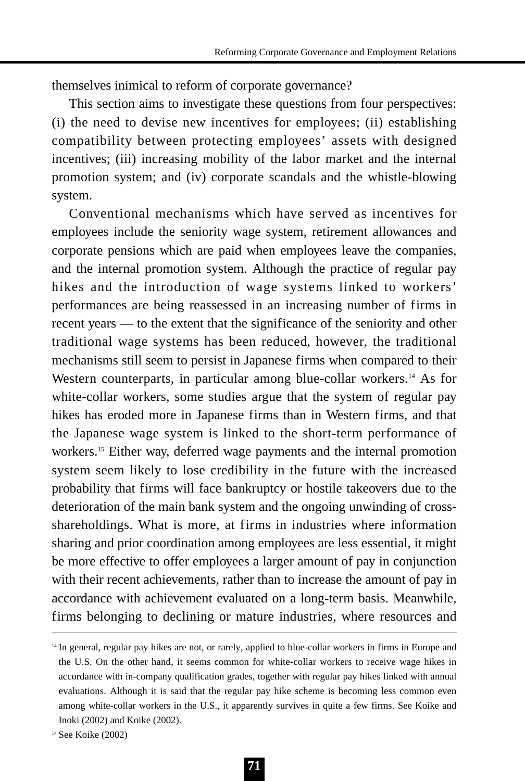themselves inimical to reform of corporate governance?

This section aims to investigate these questions from four perspectives: (i) the need to devise new incentives for employees; (ii) establishing compatibility between protecting employees' assets with designed incentives; (iii) increasing mobility of the labor market and the internal promotion system; and (iv) corporate scandals and the whistle-blowing system.

Conventional mechanisms which have served as incentives for employees include the seniority wage system, retirement allowances and corporate pensions which are paid when employees leave the companies, and the internal promotion system. Although the practice of regular pay hikes and the introduction of wage systems linked to workers' performances are being reassessed in an increasing number of firms in recent years — to the extent that the significance of the seniority and other traditional wage systems has been reduced, however, the traditional mechanisms still seem to persist in Japanese firms when compared to their Western counterparts, in particular among blue-collar workers.<sup>14</sup> As for white-collar workers, some studies argue that the system of regular pay hikes has eroded more in Japanese firms than in Western firms, and that the Japanese wage system is linked to the short-term performance of workers.<sup>15</sup> Either way, deferred wage payments and the internal promotion system seem likely to lose credibility in the future with the increased probability that firms will face bankruptcy or hostile takeovers due to the deterioration of the main bank system and the ongoing unwinding of crossshareholdings. What is more, at firms in industries where information sharing and prior coordination among employees are less essential, it might be more effective to offer employees a larger amount of pay in conjunction with their recent achievements, rather than to increase the amount of pay in accordance with achievement evaluated on a long-term basis. Meanwhile, firms belonging to declining or mature industries, where resources and

<sup>&</sup>lt;sup>14</sup> In general, regular pay hikes are not, or rarely, applied to blue-collar workers in firms in Europe and the U.S. On the other hand, it seems common for white-collar workers to receive wage hikes in accordance with in-company qualification grades, together with regular pay hikes linked with annual evaluations. Although it is said that the regular pay hike scheme is becoming less common even among white-collar workers in the U.S., it apparently survives in quite a few firms. See Koike and Inoki (2002) and Koike (2002).

<sup>14</sup> See Koike (2002)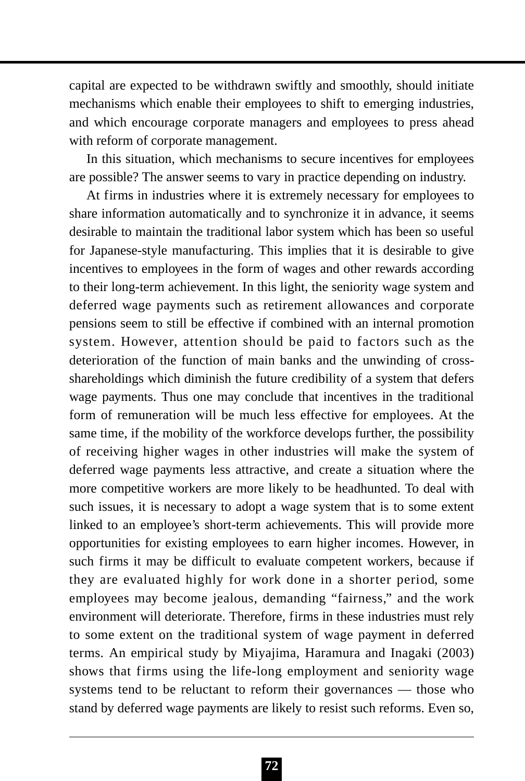capital are expected to be withdrawn swiftly and smoothly, should initiate mechanisms which enable their employees to shift to emerging industries, and which encourage corporate managers and employees to press ahead with reform of corporate management.

In this situation, which mechanisms to secure incentives for employees are possible? The answer seems to vary in practice depending on industry.

At firms in industries where it is extremely necessary for employees to share information automatically and to synchronize it in advance, it seems desirable to maintain the traditional labor system which has been so useful for Japanese-style manufacturing. This implies that it is desirable to give incentives to employees in the form of wages and other rewards according to their long-term achievement. In this light, the seniority wage system and deferred wage payments such as retirement allowances and corporate pensions seem to still be effective if combined with an internal promotion system. However, attention should be paid to factors such as the deterioration of the function of main banks and the unwinding of crossshareholdings which diminish the future credibility of a system that defers wage payments. Thus one may conclude that incentives in the traditional form of remuneration will be much less effective for employees. At the same time, if the mobility of the workforce develops further, the possibility of receiving higher wages in other industries will make the system of deferred wage payments less attractive, and create a situation where the more competitive workers are more likely to be headhunted. To deal with such issues, it is necessary to adopt a wage system that is to some extent linked to an employee's short-term achievements. This will provide more opportunities for existing employees to earn higher incomes. However, in such firms it may be difficult to evaluate competent workers, because if they are evaluated highly for work done in a shorter period, some employees may become jealous, demanding "fairness," and the work environment will deteriorate. Therefore, firms in these industries must rely to some extent on the traditional system of wage payment in deferred terms. An empirical study by Miyajima, Haramura and Inagaki (2003) shows that firms using the life-long employment and seniority wage systems tend to be reluctant to reform their governances — those who stand by deferred wage payments are likely to resist such reforms. Even so,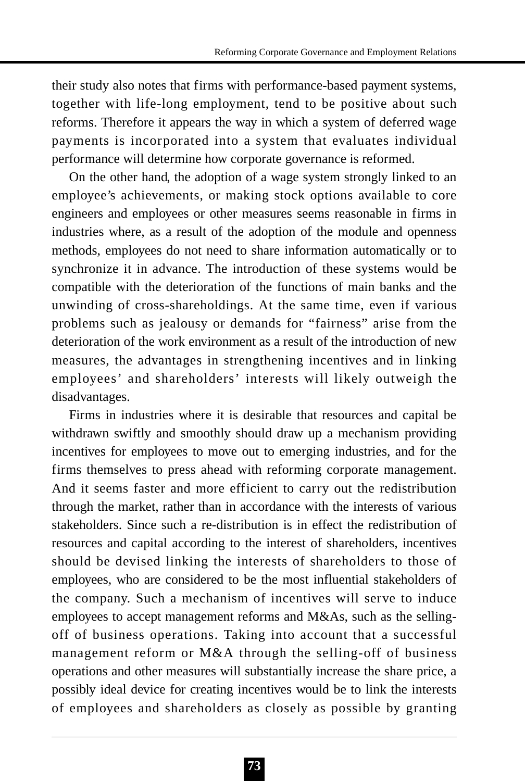their study also notes that firms with performance-based payment systems, together with life-long employment, tend to be positive about such reforms. Therefore it appears the way in which a system of deferred wage payments is incorporated into a system that evaluates individual performance will determine how corporate governance is reformed.

On the other hand, the adoption of a wage system strongly linked to an employee's achievements, or making stock options available to core engineers and employees or other measures seems reasonable in firms in industries where, as a result of the adoption of the module and openness methods, employees do not need to share information automatically or to synchronize it in advance. The introduction of these systems would be compatible with the deterioration of the functions of main banks and the unwinding of cross-shareholdings. At the same time, even if various problems such as jealousy or demands for "fairness" arise from the deterioration of the work environment as a result of the introduction of new measures, the advantages in strengthening incentives and in linking employees' and shareholders' interests will likely outweigh the disadvantages.

Firms in industries where it is desirable that resources and capital be withdrawn swiftly and smoothly should draw up a mechanism providing incentives for employees to move out to emerging industries, and for the firms themselves to press ahead with reforming corporate management. And it seems faster and more efficient to carry out the redistribution through the market, rather than in accordance with the interests of various stakeholders. Since such a re-distribution is in effect the redistribution of resources and capital according to the interest of shareholders, incentives should be devised linking the interests of shareholders to those of employees, who are considered to be the most influential stakeholders of the company. Such a mechanism of incentives will serve to induce employees to accept management reforms and M&As, such as the sellingoff of business operations. Taking into account that a successful management reform or M&A through the selling-off of business operations and other measures will substantially increase the share price, a possibly ideal device for creating incentives would be to link the interests of employees and shareholders as closely as possible by granting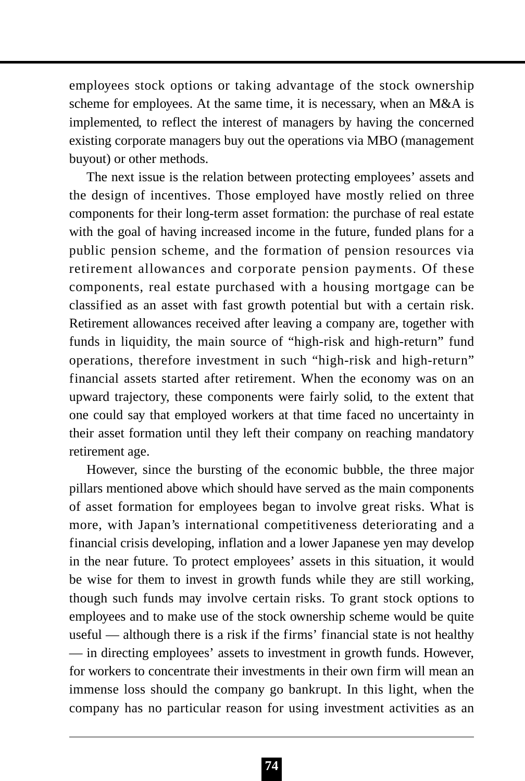employees stock options or taking advantage of the stock ownership scheme for employees. At the same time, it is necessary, when an M&A is implemented, to reflect the interest of managers by having the concerned existing corporate managers buy out the operations via MBO (management buyout) or other methods.

The next issue is the relation between protecting employees' assets and the design of incentives. Those employed have mostly relied on three components for their long-term asset formation: the purchase of real estate with the goal of having increased income in the future, funded plans for a public pension scheme, and the formation of pension resources via retirement allowances and corporate pension payments. Of these components, real estate purchased with a housing mortgage can be classified as an asset with fast growth potential but with a certain risk. Retirement allowances received after leaving a company are, together with funds in liquidity, the main source of "high-risk and high-return" fund operations, therefore investment in such "high-risk and high-return" financial assets started after retirement. When the economy was on an upward trajectory, these components were fairly solid, to the extent that one could say that employed workers at that time faced no uncertainty in their asset formation until they left their company on reaching mandatory retirement age.

However, since the bursting of the economic bubble, the three major pillars mentioned above which should have served as the main components of asset formation for employees began to involve great risks. What is more, with Japan's international competitiveness deteriorating and a financial crisis developing, inflation and a lower Japanese yen may develop in the near future. To protect employees' assets in this situation, it would be wise for them to invest in growth funds while they are still working, though such funds may involve certain risks. To grant stock options to employees and to make use of the stock ownership scheme would be quite useful — although there is a risk if the firms' financial state is not healthy — in directing employees' assets to investment in growth funds. However, for workers to concentrate their investments in their own firm will mean an immense loss should the company go bankrupt. In this light, when the company has no particular reason for using investment activities as an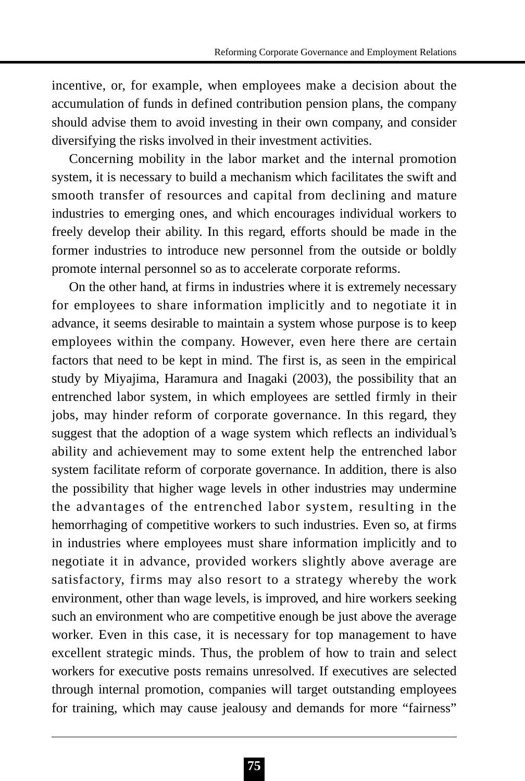incentive, or, for example, when employees make a decision about the accumulation of funds in defined contribution pension plans, the company should advise them to avoid investing in their own company, and consider diversifying the risks involved in their investment activities.

Concerning mobility in the labor market and the internal promotion system, it is necessary to build a mechanism which facilitates the swift and smooth transfer of resources and capital from declining and mature industries to emerging ones, and which encourages individual workers to freely develop their ability. In this regard, efforts should be made in the former industries to introduce new personnel from the outside or boldly promote internal personnel so as to accelerate corporate reforms.

On the other hand, at firms in industries where it is extremely necessary for employees to share information implicitly and to negotiate it in advance, it seems desirable to maintain a system whose purpose is to keep employees within the company. However, even here there are certain factors that need to be kept in mind. The first is, as seen in the empirical study by Miyajima, Haramura and Inagaki (2003), the possibility that an entrenched labor system, in which employees are settled firmly in their jobs, may hinder reform of corporate governance. In this regard, they suggest that the adoption of a wage system which reflects an individual's ability and achievement may to some extent help the entrenched labor system facilitate reform of corporate governance. In addition, there is also the possibility that higher wage levels in other industries may undermine the advantages of the entrenched labor system, resulting in the hemorrhaging of competitive workers to such industries. Even so, at firms in industries where employees must share information implicitly and to negotiate it in advance, provided workers slightly above average are satisfactory, firms may also resort to a strategy whereby the work environment, other than wage levels, is improved, and hire workers seeking such an environment who are competitive enough be just above the average worker. Even in this case, it is necessary for top management to have excellent strategic minds. Thus, the problem of how to train and select workers for executive posts remains unresolved. If executives are selected through internal promotion, companies will target outstanding employees for training, which may cause jealousy and demands for more "fairness"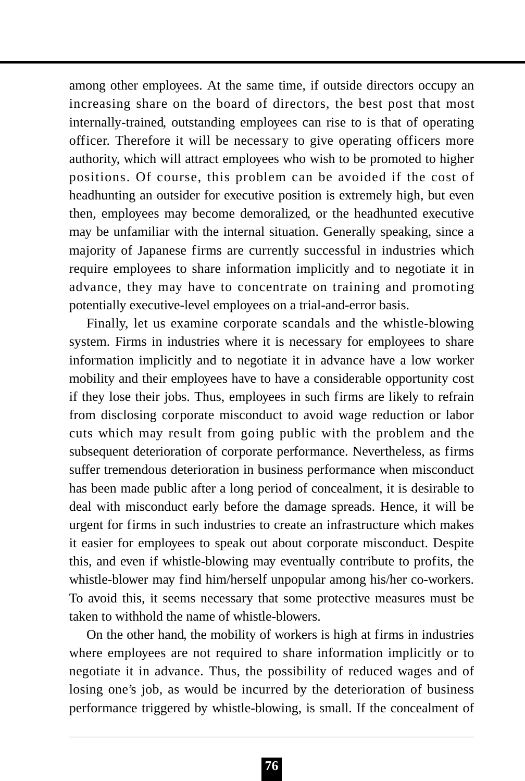among other employees. At the same time, if outside directors occupy an increasing share on the board of directors, the best post that most internally-trained, outstanding employees can rise to is that of operating officer. Therefore it will be necessary to give operating officers more authority, which will attract employees who wish to be promoted to higher positions. Of course, this problem can be avoided if the cost of headhunting an outsider for executive position is extremely high, but even then, employees may become demoralized, or the headhunted executive may be unfamiliar with the internal situation. Generally speaking, since a majority of Japanese firms are currently successful in industries which require employees to share information implicitly and to negotiate it in advance, they may have to concentrate on training and promoting potentially executive-level employees on a trial-and-error basis.

Finally, let us examine corporate scandals and the whistle-blowing system. Firms in industries where it is necessary for employees to share information implicitly and to negotiate it in advance have a low worker mobility and their employees have to have a considerable opportunity cost if they lose their jobs. Thus, employees in such firms are likely to refrain from disclosing corporate misconduct to avoid wage reduction or labor cuts which may result from going public with the problem and the subsequent deterioration of corporate performance. Nevertheless, as firms suffer tremendous deterioration in business performance when misconduct has been made public after a long period of concealment, it is desirable to deal with misconduct early before the damage spreads. Hence, it will be urgent for firms in such industries to create an infrastructure which makes it easier for employees to speak out about corporate misconduct. Despite this, and even if whistle-blowing may eventually contribute to profits, the whistle-blower may find him/herself unpopular among his/her co-workers. To avoid this, it seems necessary that some protective measures must be taken to withhold the name of whistle-blowers.

On the other hand, the mobility of workers is high at firms in industries where employees are not required to share information implicitly or to negotiate it in advance. Thus, the possibility of reduced wages and of losing one's job, as would be incurred by the deterioration of business performance triggered by whistle-blowing, is small. If the concealment of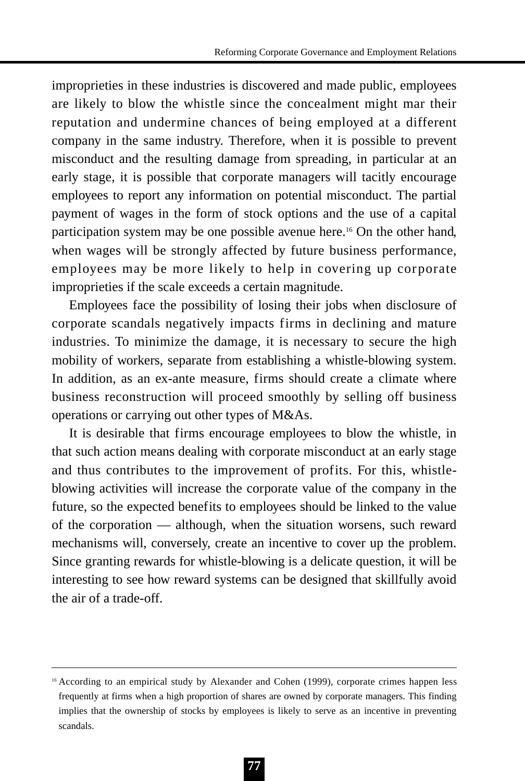improprieties in these industries is discovered and made public, employees are likely to blow the whistle since the concealment might mar their reputation and undermine chances of being employed at a different company in the same industry. Therefore, when it is possible to prevent misconduct and the resulting damage from spreading, in particular at an early stage, it is possible that corporate managers will tacitly encourage employees to report any information on potential misconduct. The partial payment of wages in the form of stock options and the use of a capital participation system may be one possible avenue here.16 On the other hand, when wages will be strongly affected by future business performance, employees may be more likely to help in covering up corporate improprieties if the scale exceeds a certain magnitude.

Employees face the possibility of losing their jobs when disclosure of corporate scandals negatively impacts firms in declining and mature industries. To minimize the damage, it is necessary to secure the high mobility of workers, separate from establishing a whistle-blowing system. In addition, as an ex-ante measure, firms should create a climate where business reconstruction will proceed smoothly by selling off business operations or carrying out other types of M&As.

It is desirable that firms encourage employees to blow the whistle, in that such action means dealing with corporate misconduct at an early stage and thus contributes to the improvement of profits. For this, whistleblowing activities will increase the corporate value of the company in the future, so the expected benefits to employees should be linked to the value of the corporation — although, when the situation worsens, such reward mechanisms will, conversely, create an incentive to cover up the problem. Since granting rewards for whistle-blowing is a delicate question, it will be interesting to see how reward systems can be designed that skillfully avoid the air of a trade-off.

<sup>&</sup>lt;sup>16</sup> According to an empirical study by Alexander and Cohen (1999), corporate crimes happen less frequently at firms when a high proportion of shares are owned by corporate managers. This finding implies that the ownership of stocks by employees is likely to serve as an incentive in preventing scandals.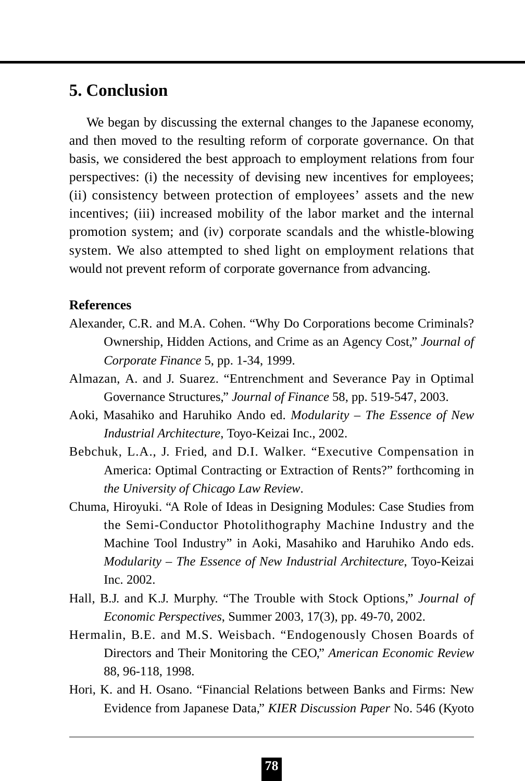## **5. Conclusion**

We began by discussing the external changes to the Japanese economy. and then moved to the resulting reform of corporate governance. On that basis, we considered the best approach to employment relations from four perspectives: (i) the necessity of devising new incentives for employees; (ii) consistency between protection of employees' assets and the new incentives; (iii) increased mobility of the labor market and the internal promotion system; and (iv) corporate scandals and the whistle-blowing system. We also attempted to shed light on employment relations that would not prevent reform of corporate governance from advancing.

### **References**

- Alexander, C.R. and M.A. Cohen. "Why Do Corporations become Criminals? Ownership, Hidden Actions, and Crime as an Agency Cost," *Journal of Corporate Finance* 5, pp. 1-34, 1999.
- Almazan, A. and J. Suarez. "Entrenchment and Severance Pay in Optimal Governance Structures," *Journal of Finance* 58, pp. 519-547, 2003.
- Aoki, Masahiko and Haruhiko Ando ed. *Modularity The Essence of New Industrial Architecture*, Toyo-Keizai Inc., 2002.
- Bebchuk, L.A., J. Fried, and D.I. Walker. "Executive Compensation in America: Optimal Contracting or Extraction of Rents?" forthcoming in *the University of Chicago Law Review*.
- Chuma, Hiroyuki. "A Role of Ideas in Designing Modules: Case Studies from the Semi-Conductor Photolithography Machine Industry and the Machine Tool Industry" in Aoki, Masahiko and Haruhiko Ando eds. *Modularity – The Essence of New Industrial Architecture*, Toyo-Keizai Inc. 2002.
- Hall, B.J. and K.J. Murphy. "The Trouble with Stock Options," *Journal of Economic Perspectives*, Summer 2003, 17(3), pp. 49-70, 2002.
- Hermalin, B.E. and M.S. Weisbach. "Endogenously Chosen Boards of Directors and Their Monitoring the CEO," *American Economic Review* 88, 96-118, 1998.
- Hori, K. and H. Osano. "Financial Relations between Banks and Firms: New Evidence from Japanese Data," *KIER Discussion Paper* No. 546 (Kyoto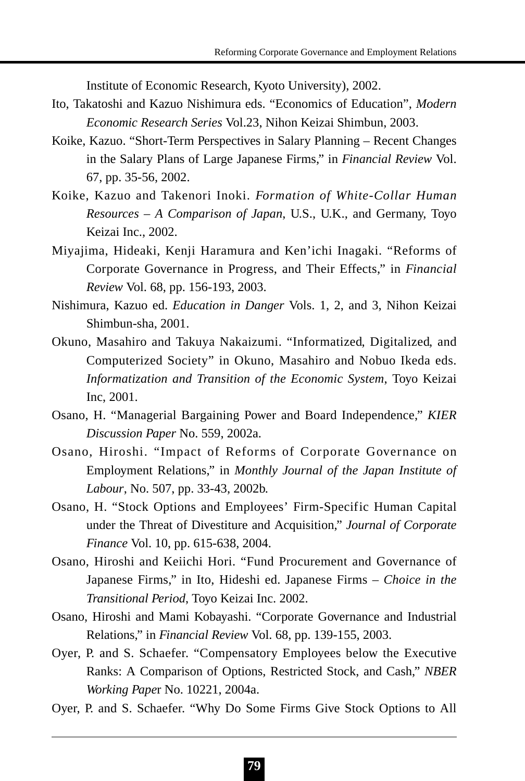Institute of Economic Research, Kyoto University), 2002.

- Ito, Takatoshi and Kazuo Nishimura eds. "Economics of Education", *Modern Economic Research Series* Vol.23, Nihon Keizai Shimbun, 2003.
- Koike, Kazuo. "Short-Term Perspectives in Salary Planning Recent Changes in the Salary Plans of Large Japanese Firms," in *Financial Review* Vol. 67, pp. 35-56, 2002.
- Koike, Kazuo and Takenori Inoki. *Formation of White-Collar Human Resources – A Comparison of Japan*, U.S., U.K., and Germany, Toyo Keizai Inc., 2002.
- Miyajima, Hideaki, Kenji Haramura and Ken'ichi Inagaki. "Reforms of Corporate Governance in Progress, and Their Effects," in *Financial Review* Vol. 68, pp. 156-193, 2003.
- Nishimura, Kazuo ed. *Education in Danger* Vols. 1, 2, and 3, Nihon Keizai Shimbun-sha, 2001.
- Okuno, Masahiro and Takuya Nakaizumi. "Informatized, Digitalized, and Computerized Society" in Okuno, Masahiro and Nobuo Ikeda eds. *Informatization and Transition of the Economic System*, Toyo Keizai Inc, 2001.
- Osano, H. "Managerial Bargaining Power and Board Independence," *KIER Discussion Paper* No. 559, 2002a.
- Osano, Hiroshi. "Impact of Reforms of Corporate Governance on Employment Relations," in *Monthly Journal of the Japan Institute of Labour*, No. 507, pp. 33-43, 2002b.
- Osano, H. "Stock Options and Employees' Firm-Specific Human Capital under the Threat of Divestiture and Acquisition," *Journal of Corporate Finance* Vol. 10, pp. 615-638, 2004.
- Osano, Hiroshi and Keiichi Hori. "Fund Procurement and Governance of Japanese Firms," in Ito, Hideshi ed. Japanese Firms – *Choice in the Transitional Period*, Toyo Keizai Inc. 2002.
- Osano, Hiroshi and Mami Kobayashi. "Corporate Governance and Industrial Relations," in *Financial Review* Vol. 68, pp. 139-155, 2003.
- Oyer, P. and S. Schaefer. "Compensatory Employees below the Executive Ranks: A Comparison of Options, Restricted Stock, and Cash," *NBER Working Pape*r No. 10221, 2004a.
- Oyer, P. and S. Schaefer. "Why Do Some Firms Give Stock Options to All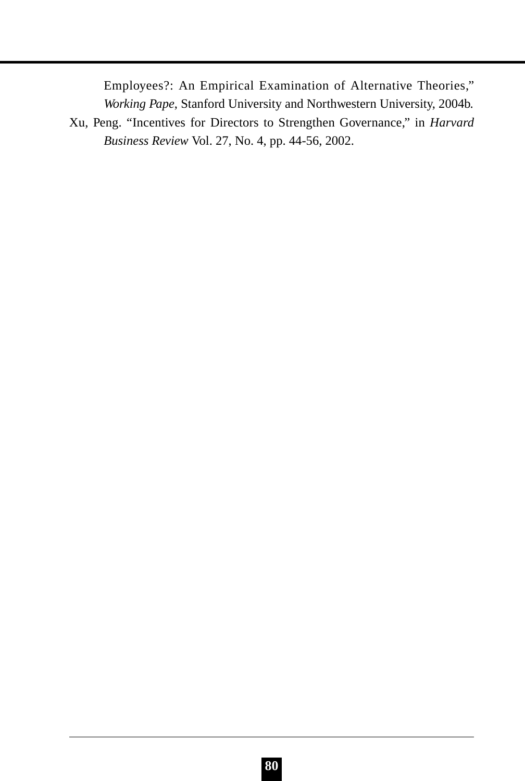Employees?: An Empirical Examination of Alternative Theories," *Working Pape*, Stanford University and Northwestern University, 2004b. Xu, Peng. "Incentives for Directors to Strengthen Governance," in *Harvard*

*Business Review* Vol. 27, No. 4, pp. 44-56, 2002.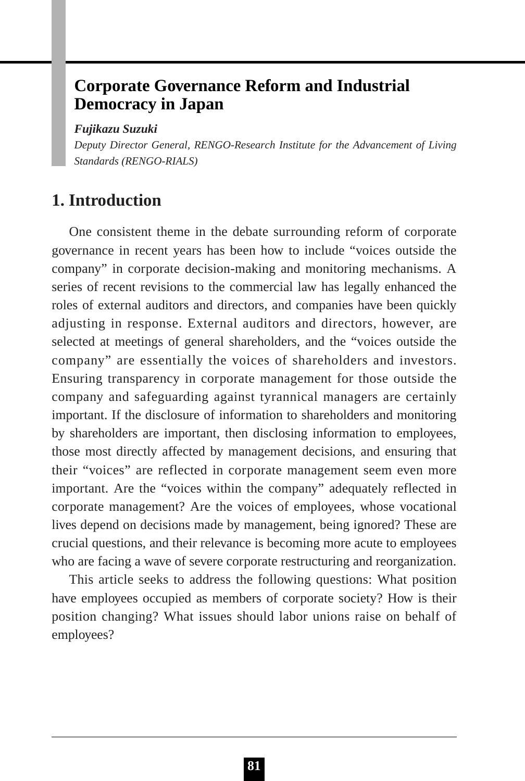# **Corporate Governance Reform and Industrial Democracy in Japan**

#### *Fujikazu Suzuki*

*Deputy Director General, RENGO-Research Institute for the Advancement of Living Standards (RENGO-RIALS)*

## **1. Introduction**

One consistent theme in the debate surrounding reform of corporate governance in recent years has been how to include "voices outside the company" in corporate decision-making and monitoring mechanisms. A series of recent revisions to the commercial law has legally enhanced the roles of external auditors and directors, and companies have been quickly adjusting in response. External auditors and directors, however, are selected at meetings of general shareholders, and the "voices outside the company" are essentially the voices of shareholders and investors. Ensuring transparency in corporate management for those outside the company and safeguarding against tyrannical managers are certainly important. If the disclosure of information to shareholders and monitoring by shareholders are important, then disclosing information to employees, those most directly affected by management decisions, and ensuring that their "voices" are reflected in corporate management seem even more important. Are the "voices within the company" adequately reflected in corporate management? Are the voices of employees, whose vocational lives depend on decisions made by management, being ignored? These are crucial questions, and their relevance is becoming more acute to employees who are facing a wave of severe corporate restructuring and reorganization.

This article seeks to address the following questions: What position have employees occupied as members of corporate society? How is their position changing? What issues should labor unions raise on behalf of employees?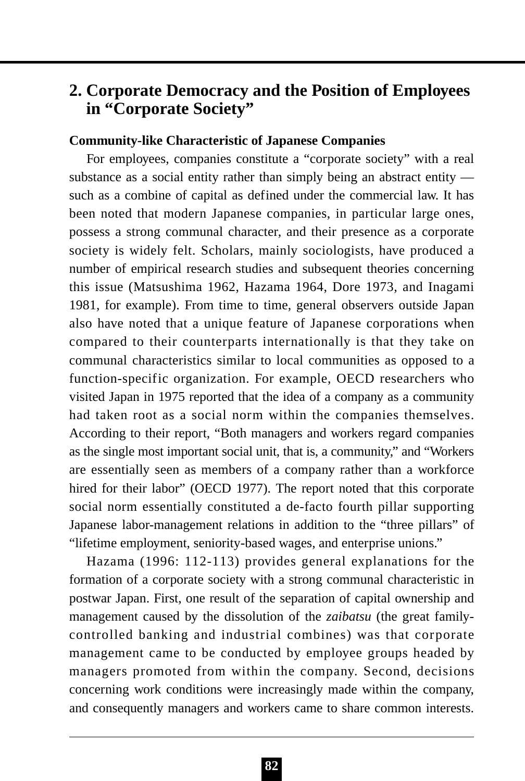# **2. Corporate Democracy and the Position of Employees in "Corporate Society"**

#### **Community-like Characteristic of Japanese Companies**

For employees, companies constitute a "corporate society" with a real substance as a social entity rather than simply being an abstract entity such as a combine of capital as defined under the commercial law. It has been noted that modern Japanese companies, in particular large ones, possess a strong communal character, and their presence as a corporate society is widely felt. Scholars, mainly sociologists, have produced a number of empirical research studies and subsequent theories concerning this issue (Matsushima 1962, Hazama 1964, Dore 1973, and Inagami 1981, for example). From time to time, general observers outside Japan also have noted that a unique feature of Japanese corporations when compared to their counterparts internationally is that they take on communal characteristics similar to local communities as opposed to a function-specific organization. For example, OECD researchers who visited Japan in 1975 reported that the idea of a company as a community had taken root as a social norm within the companies themselves. According to their report, "Both managers and workers regard companies as the single most important social unit, that is, a community," and "Workers are essentially seen as members of a company rather than a workforce hired for their labor" (OECD 1977). The report noted that this corporate social norm essentially constituted a de-facto fourth pillar supporting Japanese labor-management relations in addition to the "three pillars" of "lifetime employment, seniority-based wages, and enterprise unions."

Hazama (1996: 112-113) provides general explanations for the formation of a corporate society with a strong communal characteristic in postwar Japan. First, one result of the separation of capital ownership and management caused by the dissolution of the *zaibatsu* (the great familycontrolled banking and industrial combines) was that corporate management came to be conducted by employee groups headed by managers promoted from within the company. Second, decisions concerning work conditions were increasingly made within the company, and consequently managers and workers came to share common interests.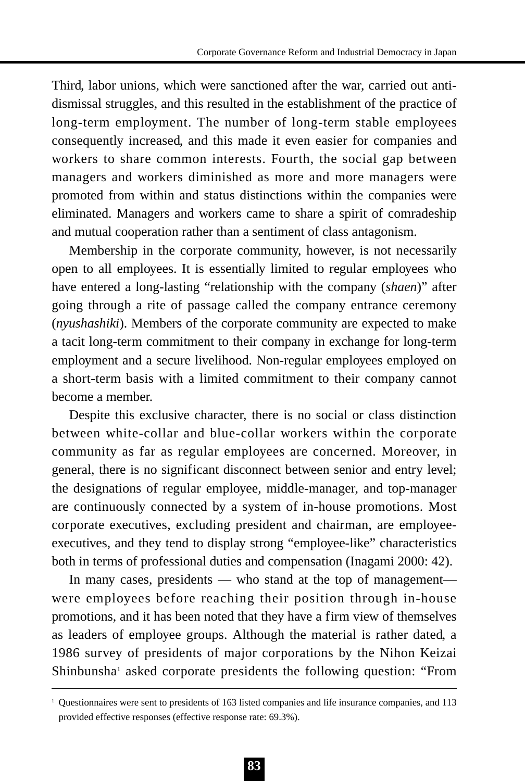Third, labor unions, which were sanctioned after the war, carried out antidismissal struggles, and this resulted in the establishment of the practice of long-term employment. The number of long-term stable employees consequently increased, and this made it even easier for companies and workers to share common interests. Fourth, the social gap between managers and workers diminished as more and more managers were promoted from within and status distinctions within the companies were eliminated. Managers and workers came to share a spirit of comradeship and mutual cooperation rather than a sentiment of class antagonism.

Membership in the corporate community, however, is not necessarily open to all employees. It is essentially limited to regular employees who have entered a long-lasting "relationship with the company (*shaen*)" after going through a rite of passage called the company entrance ceremony (*nyushashiki*). Members of the corporate community are expected to make a tacit long-term commitment to their company in exchange for long-term employment and a secure livelihood. Non-regular employees employed on a short-term basis with a limited commitment to their company cannot become a member.

Despite this exclusive character, there is no social or class distinction between white-collar and blue-collar workers within the corporate community as far as regular employees are concerned. Moreover, in general, there is no significant disconnect between senior and entry level; the designations of regular employee, middle-manager, and top-manager are continuously connected by a system of in-house promotions. Most corporate executives, excluding president and chairman, are employeeexecutives, and they tend to display strong "employee-like" characteristics both in terms of professional duties and compensation (Inagami 2000: 42).

In many cases, presidents — who stand at the top of management were employees before reaching their position through in-house promotions, and it has been noted that they have a firm view of themselves as leaders of employee groups. Although the material is rather dated, a 1986 survey of presidents of major corporations by the Nihon Keizai Shinbunsha<sup>1</sup> asked corporate presidents the following question: "From

<sup>1</sup> Questionnaires were sent to presidents of 163 listed companies and life insurance companies, and 113 provided effective responses (effective response rate: 69.3%).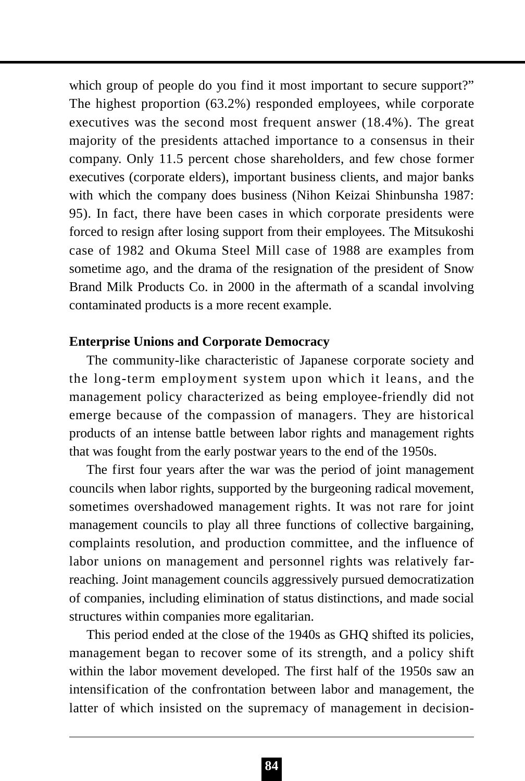which group of people do you find it most important to secure support?" The highest proportion (63.2%) responded employees, while corporate executives was the second most frequent answer (18.4%). The great majority of the presidents attached importance to a consensus in their company. Only 11.5 percent chose shareholders, and few chose former executives (corporate elders), important business clients, and major banks with which the company does business (Nihon Keizai Shinbunsha 1987: 95). In fact, there have been cases in which corporate presidents were forced to resign after losing support from their employees. The Mitsukoshi case of 1982 and Okuma Steel Mill case of 1988 are examples from sometime ago, and the drama of the resignation of the president of Snow Brand Milk Products Co. in 2000 in the aftermath of a scandal involving contaminated products is a more recent example.

#### **Enterprise Unions and Corporate Democracy**

The community-like characteristic of Japanese corporate society and the long-term employment system upon which it leans, and the management policy characterized as being employee-friendly did not emerge because of the compassion of managers. They are historical products of an intense battle between labor rights and management rights that was fought from the early postwar years to the end of the 1950s.

The first four years after the war was the period of joint management councils when labor rights, supported by the burgeoning radical movement, sometimes overshadowed management rights. It was not rare for joint management councils to play all three functions of collective bargaining, complaints resolution, and production committee, and the influence of labor unions on management and personnel rights was relatively farreaching. Joint management councils aggressively pursued democratization of companies, including elimination of status distinctions, and made social structures within companies more egalitarian.

This period ended at the close of the 1940s as GHQ shifted its policies, management began to recover some of its strength, and a policy shift within the labor movement developed. The first half of the 1950s saw an intensification of the confrontation between labor and management, the latter of which insisted on the supremacy of management in decision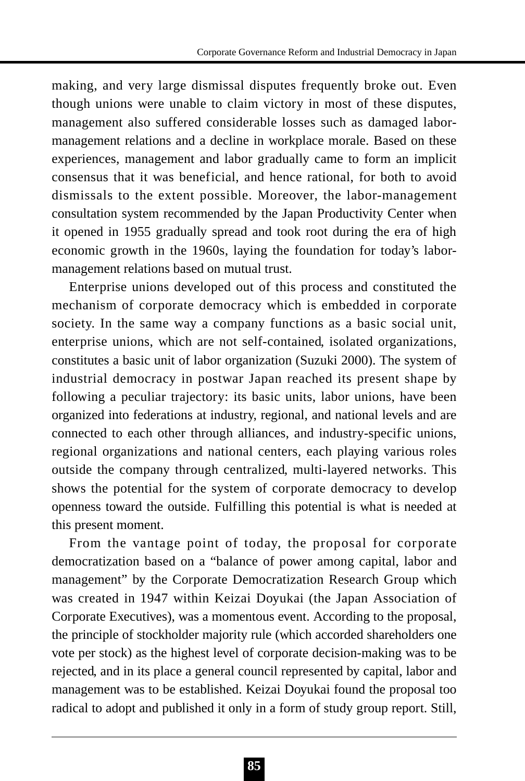making, and very large dismissal disputes frequently broke out. Even though unions were unable to claim victory in most of these disputes, management also suffered considerable losses such as damaged labormanagement relations and a decline in workplace morale. Based on these experiences, management and labor gradually came to form an implicit consensus that it was beneficial, and hence rational, for both to avoid dismissals to the extent possible. Moreover, the labor-management consultation system recommended by the Japan Productivity Center when it opened in 1955 gradually spread and took root during the era of high economic growth in the 1960s, laying the foundation for today's labormanagement relations based on mutual trust.

Enterprise unions developed out of this process and constituted the mechanism of corporate democracy which is embedded in corporate society. In the same way a company functions as a basic social unit, enterprise unions, which are not self-contained, isolated organizations, constitutes a basic unit of labor organization (Suzuki 2000). The system of industrial democracy in postwar Japan reached its present shape by following a peculiar trajectory: its basic units, labor unions, have been organized into federations at industry, regional, and national levels and are connected to each other through alliances, and industry-specific unions, regional organizations and national centers, each playing various roles outside the company through centralized, multi-layered networks. This shows the potential for the system of corporate democracy to develop openness toward the outside. Fulfilling this potential is what is needed at this present moment.

From the vantage point of today, the proposal for corporate democratization based on a "balance of power among capital, labor and management" by the Corporate Democratization Research Group which was created in 1947 within Keizai Doyukai (the Japan Association of Corporate Executives), was a momentous event. According to the proposal, the principle of stockholder majority rule (which accorded shareholders one vote per stock) as the highest level of corporate decision-making was to be rejected, and in its place a general council represented by capital, labor and management was to be established. Keizai Doyukai found the proposal too radical to adopt and published it only in a form of study group report. Still,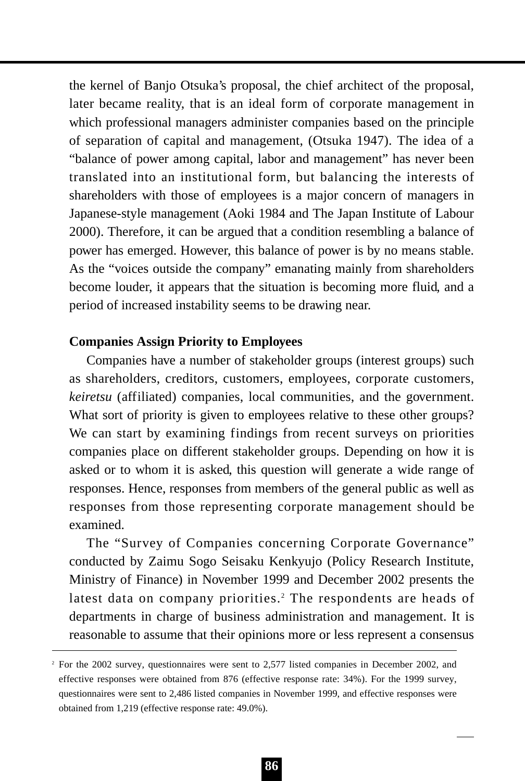the kernel of Banjo Otsuka's proposal, the chief architect of the proposal, later became reality, that is an ideal form of corporate management in which professional managers administer companies based on the principle of separation of capital and management, (Otsuka 1947). The idea of a "balance of power among capital, labor and management" has never been translated into an institutional form, but balancing the interests of shareholders with those of employees is a major concern of managers in Japanese-style management (Aoki 1984 and The Japan Institute of Labour 2000). Therefore, it can be argued that a condition resembling a balance of power has emerged. However, this balance of power is by no means stable. As the "voices outside the company" emanating mainly from shareholders become louder, it appears that the situation is becoming more fluid, and a period of increased instability seems to be drawing near.

### **Companies Assign Priority to Employees**

Companies have a number of stakeholder groups (interest groups) such as shareholders, creditors, customers, employees, corporate customers, *keiretsu* (affiliated) companies, local communities, and the government. What sort of priority is given to employees relative to these other groups? We can start by examining findings from recent surveys on priorities companies place on different stakeholder groups. Depending on how it is asked or to whom it is asked, this question will generate a wide range of responses. Hence, responses from members of the general public as well as responses from those representing corporate management should be examined.

The "Survey of Companies concerning Corporate Governance" conducted by Zaimu Sogo Seisaku Kenkyujo (Policy Research Institute, Ministry of Finance) in November 1999 and December 2002 presents the latest data on company priorities.<sup>2</sup> The respondents are heads of departments in charge of business administration and management. It is reasonable to assume that their opinions more or less represent a consensus

<sup>&</sup>lt;sup>2</sup> For the 2002 survey, questionnaires were sent to 2,577 listed companies in December 2002, and effective responses were obtained from 876 (effective response rate: 34%). For the 1999 survey, questionnaires were sent to 2,486 listed companies in November 1999, and effective responses were obtained from 1,219 (effective response rate: 49.0%).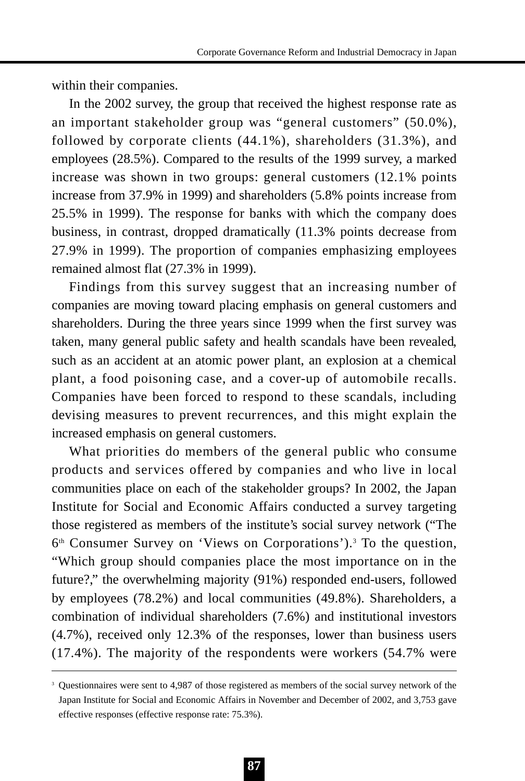within their companies.

In the 2002 survey, the group that received the highest response rate as an important stakeholder group was "general customers" (50.0%), followed by corporate clients (44.1%), shareholders (31.3%), and employees (28.5%). Compared to the results of the 1999 survey, a marked increase was shown in two groups: general customers (12.1% points increase from 37.9% in 1999) and shareholders (5.8% points increase from 25.5% in 1999). The response for banks with which the company does business, in contrast, dropped dramatically (11.3% points decrease from 27.9% in 1999). The proportion of companies emphasizing employees remained almost flat (27.3% in 1999).

Findings from this survey suggest that an increasing number of companies are moving toward placing emphasis on general customers and shareholders. During the three years since 1999 when the first survey was taken, many general public safety and health scandals have been revealed, such as an accident at an atomic power plant, an explosion at a chemical plant, a food poisoning case, and a cover-up of automobile recalls. Companies have been forced to respond to these scandals, including devising measures to prevent recurrences, and this might explain the increased emphasis on general customers.

What priorities do members of the general public who consume products and services offered by companies and who live in local communities place on each of the stakeholder groups? In 2002, the Japan Institute for Social and Economic Affairs conducted a survey targeting those registered as members of the institute's social survey network ("The  $6<sup>th</sup>$  Consumer Survey on 'Views on Corporations').<sup>3</sup> To the question, "Which group should companies place the most importance on in the future?," the overwhelming majority (91%) responded end-users, followed by employees (78.2%) and local communities (49.8%). Shareholders, a combination of individual shareholders (7.6%) and institutional investors (4.7%), received only 12.3% of the responses, lower than business users (17.4%). The majority of the respondents were workers (54.7% were

<sup>&</sup>lt;sup>3</sup> Questionnaires were sent to 4,987 of those registered as members of the social survey network of the Japan Institute for Social and Economic Affairs in November and December of 2002, and 3,753 gave effective responses (effective response rate: 75.3%).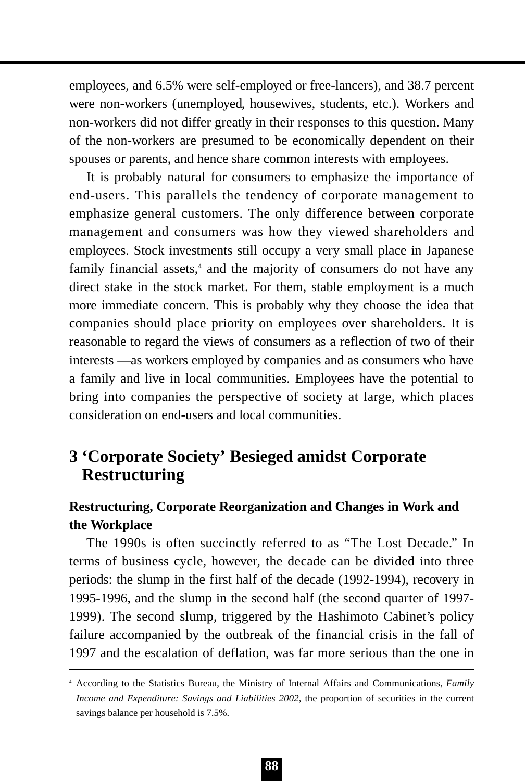employees, and 6.5% were self-employed or free-lancers), and 38.7 percent were non-workers (unemployed, housewives, students, etc.). Workers and non-workers did not differ greatly in their responses to this question. Many of the non-workers are presumed to be economically dependent on their spouses or parents, and hence share common interests with employees.

It is probably natural for consumers to emphasize the importance of end-users. This parallels the tendency of corporate management to emphasize general customers. The only difference between corporate management and consumers was how they viewed shareholders and employees. Stock investments still occupy a very small place in Japanese family financial assets,<sup>4</sup> and the majority of consumers do not have any direct stake in the stock market. For them, stable employment is a much more immediate concern. This is probably why they choose the idea that companies should place priority on employees over shareholders. It is reasonable to regard the views of consumers as a reflection of two of their interests —as workers employed by companies and as consumers who have a family and live in local communities. Employees have the potential to bring into companies the perspective of society at large, which places consideration on end-users and local communities.

# **3 'Corporate Society' Besieged amidst Corporate Restructuring**

### **Restructuring, Corporate Reorganization and Changes in Work and the Workplace**

The 1990s is often succinctly referred to as "The Lost Decade." In terms of business cycle, however, the decade can be divided into three periods: the slump in the first half of the decade (1992-1994), recovery in 1995-1996, and the slump in the second half (the second quarter of 1997- 1999). The second slump, triggered by the Hashimoto Cabinet's policy failure accompanied by the outbreak of the financial crisis in the fall of 1997 and the escalation of deflation, was far more serious than the one in

<sup>4</sup> According to the Statistics Bureau, the Ministry of Internal Affairs and Communications, *Family Income and Expenditure: Savings and Liabilities 2002*, the proportion of securities in the current savings balance per household is 7.5%.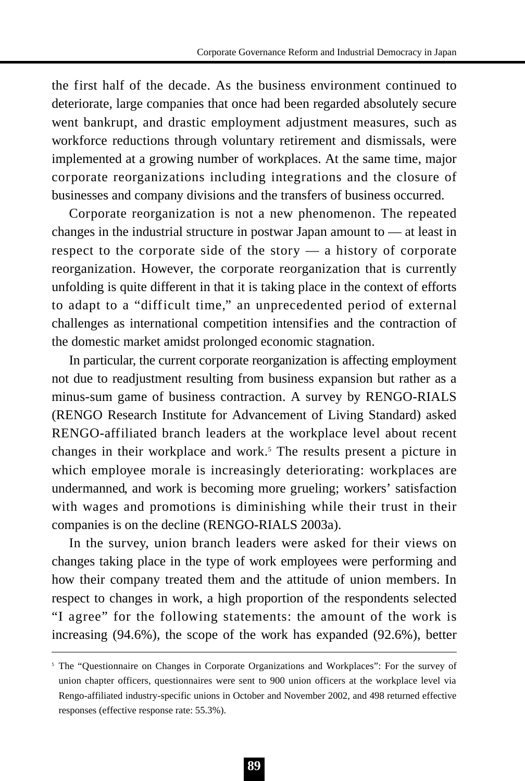the first half of the decade. As the business environment continued to deteriorate, large companies that once had been regarded absolutely secure went bankrupt, and drastic employment adjustment measures, such as workforce reductions through voluntary retirement and dismissals, were implemented at a growing number of workplaces. At the same time, major corporate reorganizations including integrations and the closure of businesses and company divisions and the transfers of business occurred.

Corporate reorganization is not a new phenomenon. The repeated changes in the industrial structure in postwar Japan amount to — at least in respect to the corporate side of the story — a history of corporate reorganization. However, the corporate reorganization that is currently unfolding is quite different in that it is taking place in the context of efforts to adapt to a "difficult time," an unprecedented period of external challenges as international competition intensifies and the contraction of the domestic market amidst prolonged economic stagnation.

In particular, the current corporate reorganization is affecting employment not due to readjustment resulting from business expansion but rather as a minus-sum game of business contraction. A survey by RENGO-RIALS (RENGO Research Institute for Advancement of Living Standard) asked RENGO-affiliated branch leaders at the workplace level about recent changes in their workplace and work.<sup>5</sup> The results present a picture in which employee morale is increasingly deteriorating: workplaces are undermanned, and work is becoming more grueling; workers' satisfaction with wages and promotions is diminishing while their trust in their companies is on the decline (RENGO-RIALS 2003a).

In the survey, union branch leaders were asked for their views on changes taking place in the type of work employees were performing and how their company treated them and the attitude of union members. In respect to changes in work, a high proportion of the respondents selected "I agree" for the following statements: the amount of the work is increasing (94.6%), the scope of the work has expanded (92.6%), better

<sup>&</sup>lt;sup>5</sup> The "Questionnaire on Changes in Corporate Organizations and Workplaces": For the survey of union chapter officers, questionnaires were sent to 900 union officers at the workplace level via Rengo-affiliated industry-specific unions in October and November 2002, and 498 returned effective responses (effective response rate: 55.3%).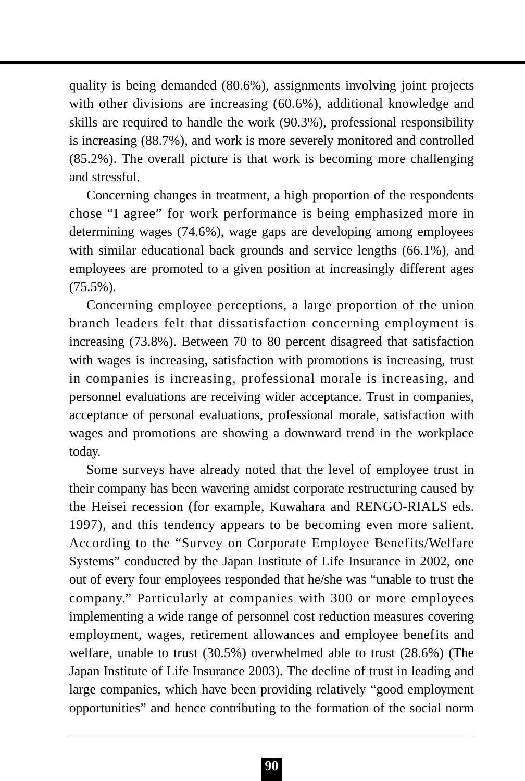quality is being demanded (80.6%), assignments involving joint projects with other divisions are increasing (60.6%), additional knowledge and skills are required to handle the work (90.3%), professional responsibility is increasing (88.7%), and work is more severely monitored and controlled (85.2%). The overall picture is that work is becoming more challenging and stressful.

Concerning changes in treatment, a high proportion of the respondents chose "I agree" for work performance is being emphasized more in determining wages (74.6%), wage gaps are developing among employees with similar educational back grounds and service lengths (66.1%), and employees are promoted to a given position at increasingly different ages (75.5%).

Concerning employee perceptions, a large proportion of the union branch leaders felt that dissatisfaction concerning employment is increasing (73.8%). Between 70 to 80 percent disagreed that satisfaction with wages is increasing, satisfaction with promotions is increasing, trust in companies is increasing, professional morale is increasing, and personnel evaluations are receiving wider acceptance. Trust in companies, acceptance of personal evaluations, professional morale, satisfaction with wages and promotions are showing a downward trend in the workplace today.

Some surveys have already noted that the level of employee trust in their company has been wavering amidst corporate restructuring caused by the Heisei recession (for example, Kuwahara and RENGO-RIALS eds. 1997), and this tendency appears to be becoming even more salient. According to the "Survey on Corporate Employee Benefits/Welfare Systems" conducted by the Japan Institute of Life Insurance in 2002, one out of every four employees responded that he/she was "unable to trust the company." Particularly at companies with 300 or more employees implementing a wide range of personnel cost reduction measures covering employment, wages, retirement allowances and employee benefits and welfare, unable to trust (30.5%) overwhelmed able to trust (28.6%) (The Japan Institute of Life Insurance 2003). The decline of trust in leading and large companies, which have been providing relatively "good employment opportunities" and hence contributing to the formation of the social norm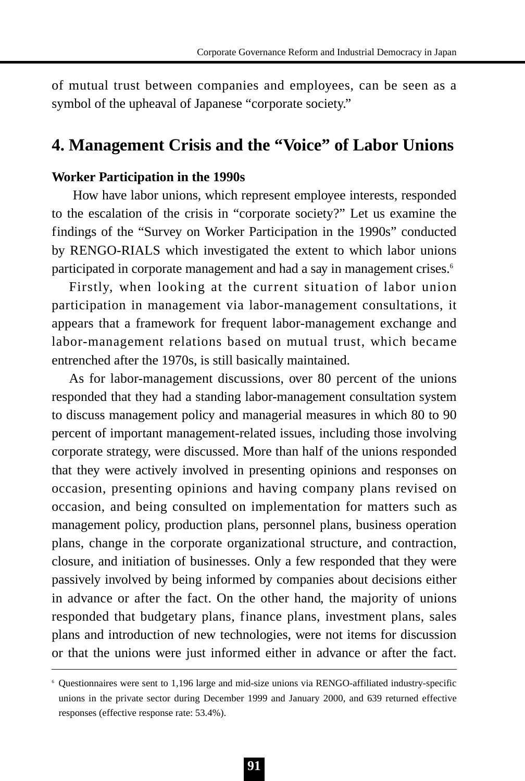of mutual trust between companies and employees, can be seen as a symbol of the upheaval of Japanese "corporate society."

## **4. Management Crisis and the "Voice" of Labor Unions**

### **Worker Participation in the 1990s**

How have labor unions, which represent employee interests, responded to the escalation of the crisis in "corporate society?" Let us examine the findings of the "Survey on Worker Participation in the 1990s" conducted by RENGO-RIALS which investigated the extent to which labor unions participated in corporate management and had a say in management crises.<sup>6</sup>

Firstly, when looking at the current situation of labor union participation in management via labor-management consultations, it appears that a framework for frequent labor-management exchange and labor-management relations based on mutual trust, which became entrenched after the 1970s, is still basically maintained.

As for labor-management discussions, over 80 percent of the unions responded that they had a standing labor-management consultation system to discuss management policy and managerial measures in which 80 to 90 percent of important management-related issues, including those involving corporate strategy, were discussed. More than half of the unions responded that they were actively involved in presenting opinions and responses on occasion, presenting opinions and having company plans revised on occasion, and being consulted on implementation for matters such as management policy, production plans, personnel plans, business operation plans, change in the corporate organizational structure, and contraction, closure, and initiation of businesses. Only a few responded that they were passively involved by being informed by companies about decisions either in advance or after the fact. On the other hand, the majority of unions responded that budgetary plans, finance plans, investment plans, sales plans and introduction of new technologies, were not items for discussion or that the unions were just informed either in advance or after the fact.

<sup>6</sup> Questionnaires were sent to 1,196 large and mid-size unions via RENGO-affiliated industry-specific unions in the private sector during December 1999 and January 2000, and 639 returned effective responses (effective response rate: 53.4%).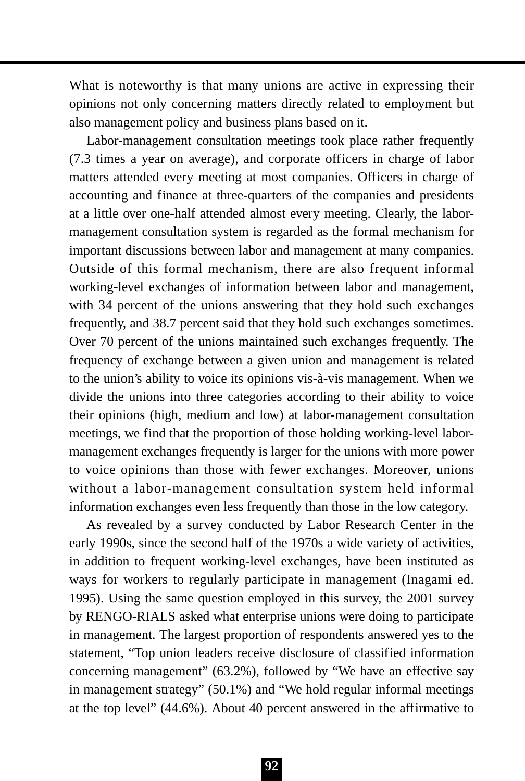What is noteworthy is that many unions are active in expressing their opinions not only concerning matters directly related to employment but also management policy and business plans based on it.

Labor-management consultation meetings took place rather frequently (7.3 times a year on average), and corporate officers in charge of labor matters attended every meeting at most companies. Officers in charge of accounting and finance at three-quarters of the companies and presidents at a little over one-half attended almost every meeting. Clearly, the labormanagement consultation system is regarded as the formal mechanism for important discussions between labor and management at many companies. Outside of this formal mechanism, there are also frequent informal working-level exchanges of information between labor and management, with 34 percent of the unions answering that they hold such exchanges frequently, and 38.7 percent said that they hold such exchanges sometimes. Over 70 percent of the unions maintained such exchanges frequently. The frequency of exchange between a given union and management is related to the union's ability to voice its opinions vis-à-vis management. When we divide the unions into three categories according to their ability to voice their opinions (high, medium and low) at labor-management consultation meetings, we find that the proportion of those holding working-level labormanagement exchanges frequently is larger for the unions with more power to voice opinions than those with fewer exchanges. Moreover, unions without a labor-management consultation system held informal information exchanges even less frequently than those in the low category.

As revealed by a survey conducted by Labor Research Center in the early 1990s, since the second half of the 1970s a wide variety of activities, in addition to frequent working-level exchanges, have been instituted as ways for workers to regularly participate in management (Inagami ed. 1995). Using the same question employed in this survey, the 2001 survey by RENGO-RIALS asked what enterprise unions were doing to participate in management. The largest proportion of respondents answered yes to the statement, "Top union leaders receive disclosure of classified information concerning management" (63.2%), followed by "We have an effective say in management strategy" (50.1%) and "We hold regular informal meetings at the top level" (44.6%). About 40 percent answered in the affirmative to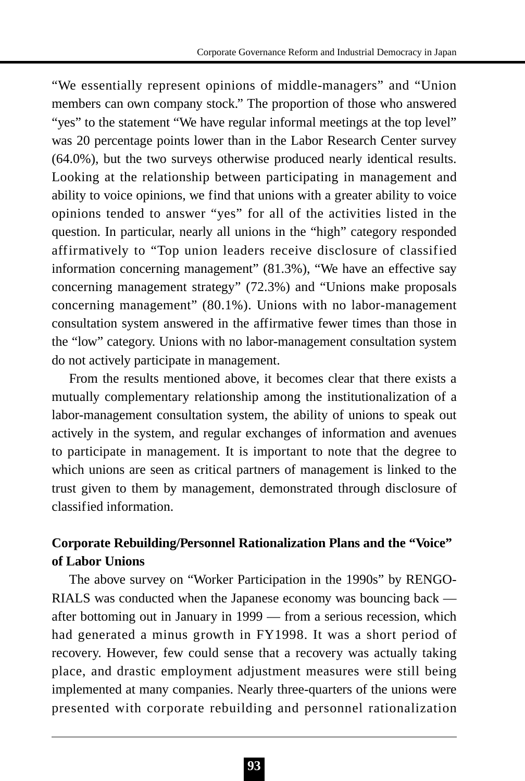"We essentially represent opinions of middle-managers" and "Union members can own company stock." The proportion of those who answered "yes" to the statement "We have regular informal meetings at the top level" was 20 percentage points lower than in the Labor Research Center survey (64.0%), but the two surveys otherwise produced nearly identical results. Looking at the relationship between participating in management and ability to voice opinions, we find that unions with a greater ability to voice opinions tended to answer "yes" for all of the activities listed in the question. In particular, nearly all unions in the "high" category responded affirmatively to "Top union leaders receive disclosure of classified information concerning management" (81.3%), "We have an effective say concerning management strategy" (72.3%) and "Unions make proposals concerning management" (80.1%). Unions with no labor-management consultation system answered in the affirmative fewer times than those in the "low" category. Unions with no labor-management consultation system do not actively participate in management.

From the results mentioned above, it becomes clear that there exists a mutually complementary relationship among the institutionalization of a labor-management consultation system, the ability of unions to speak out actively in the system, and regular exchanges of information and avenues to participate in management. It is important to note that the degree to which unions are seen as critical partners of management is linked to the trust given to them by management, demonstrated through disclosure of classified information.

## **Corporate Rebuilding/Personnel Rationalization Plans and the "Voice" of Labor Unions**

The above survey on "Worker Participation in the 1990s" by RENGO-RIALS was conducted when the Japanese economy was bouncing back after bottoming out in January in 1999 — from a serious recession, which had generated a minus growth in FY1998. It was a short period of recovery. However, few could sense that a recovery was actually taking place, and drastic employment adjustment measures were still being implemented at many companies. Nearly three-quarters of the unions were presented with corporate rebuilding and personnel rationalization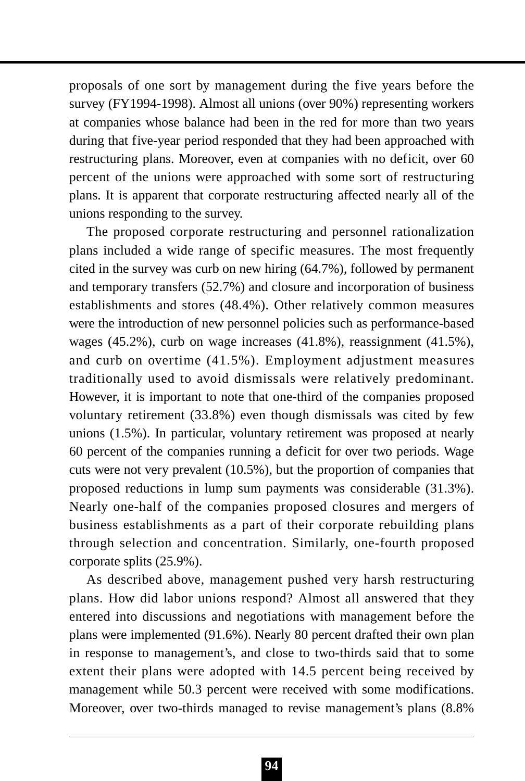proposals of one sort by management during the five years before the survey (FY1994-1998). Almost all unions (over 90%) representing workers at companies whose balance had been in the red for more than two years during that five-year period responded that they had been approached with restructuring plans. Moreover, even at companies with no deficit, over 60 percent of the unions were approached with some sort of restructuring plans. It is apparent that corporate restructuring affected nearly all of the unions responding to the survey.

The proposed corporate restructuring and personnel rationalization plans included a wide range of specific measures. The most frequently cited in the survey was curb on new hiring (64.7%), followed by permanent and temporary transfers (52.7%) and closure and incorporation of business establishments and stores (48.4%). Other relatively common measures were the introduction of new personnel policies such as performance-based wages (45.2%), curb on wage increases (41.8%), reassignment (41.5%), and curb on overtime (41.5%). Employment adjustment measures traditionally used to avoid dismissals were relatively predominant. However, it is important to note that one-third of the companies proposed voluntary retirement (33.8%) even though dismissals was cited by few unions (1.5%). In particular, voluntary retirement was proposed at nearly 60 percent of the companies running a deficit for over two periods. Wage cuts were not very prevalent (10.5%), but the proportion of companies that proposed reductions in lump sum payments was considerable (31.3%). Nearly one-half of the companies proposed closures and mergers of business establishments as a part of their corporate rebuilding plans through selection and concentration. Similarly, one-fourth proposed corporate splits (25.9%).

As described above, management pushed very harsh restructuring plans. How did labor unions respond? Almost all answered that they entered into discussions and negotiations with management before the plans were implemented (91.6%). Nearly 80 percent drafted their own plan in response to management's, and close to two-thirds said that to some extent their plans were adopted with 14.5 percent being received by management while 50.3 percent were received with some modifications. Moreover, over two-thirds managed to revise management's plans (8.8%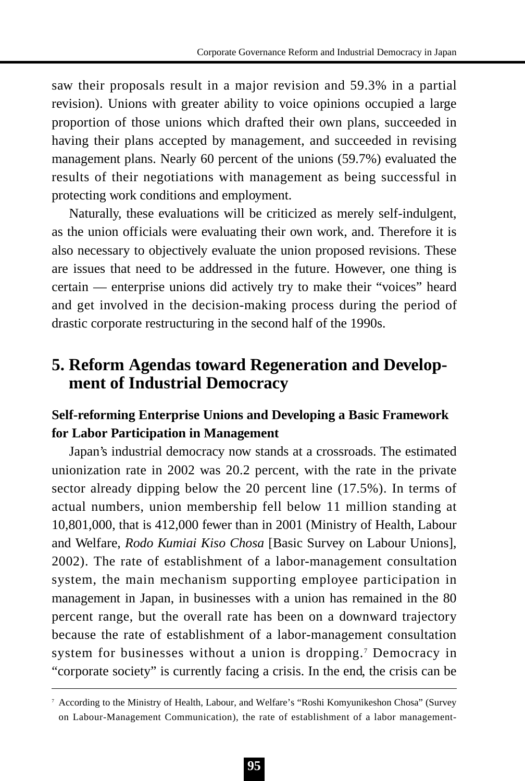saw their proposals result in a major revision and 59.3% in a partial revision). Unions with greater ability to voice opinions occupied a large proportion of those unions which drafted their own plans, succeeded in having their plans accepted by management, and succeeded in revising management plans. Nearly 60 percent of the unions (59.7%) evaluated the results of their negotiations with management as being successful in protecting work conditions and employment.

Naturally, these evaluations will be criticized as merely self-indulgent, as the union officials were evaluating their own work, and. Therefore it is also necessary to objectively evaluate the union proposed revisions. These are issues that need to be addressed in the future. However, one thing is certain — enterprise unions did actively try to make their "voices" heard and get involved in the decision-making process during the period of drastic corporate restructuring in the second half of the 1990s.

# **5. Reform Agendas toward Regeneration and Development of Industrial Democracy**

### **Self-reforming Enterprise Unions and Developing a Basic Framework for Labor Participation in Management**

Japan's industrial democracy now stands at a crossroads. The estimated unionization rate in 2002 was 20.2 percent, with the rate in the private sector already dipping below the 20 percent line (17.5%). In terms of actual numbers, union membership fell below 11 million standing at 10,801,000, that is 412,000 fewer than in 2001 (Ministry of Health, Labour and Welfare, *Rodo Kumiai Kiso Chosa* [Basic Survey on Labour Unions], 2002). The rate of establishment of a labor-management consultation system, the main mechanism supporting employee participation in management in Japan, in businesses with a union has remained in the 80 percent range, but the overall rate has been on a downward trajectory because the rate of establishment of a labor-management consultation system for businesses without a union is dropping.<sup>7</sup> Democracy in "corporate society" is currently facing a crisis. In the end, the crisis can be

<sup>7</sup> According to the Ministry of Health, Labour, and Welfare's "Roshi Komyunikeshon Chosa" (Survey on Labour-Management Communication), the rate of establishment of a labor management-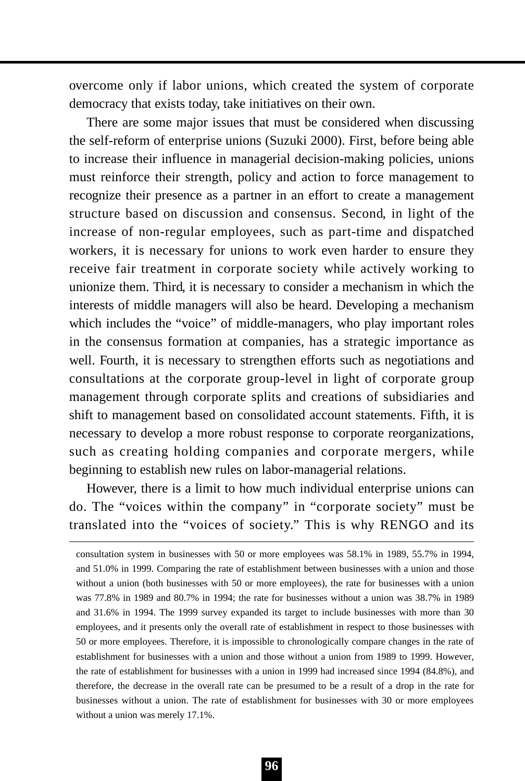overcome only if labor unions, which created the system of corporate democracy that exists today, take initiatives on their own.

There are some major issues that must be considered when discussing the self-reform of enterprise unions (Suzuki 2000). First, before being able to increase their influence in managerial decision-making policies, unions must reinforce their strength, policy and action to force management to recognize their presence as a partner in an effort to create a management structure based on discussion and consensus. Second, in light of the increase of non-regular employees, such as part-time and dispatched workers, it is necessary for unions to work even harder to ensure they receive fair treatment in corporate society while actively working to unionize them. Third, it is necessary to consider a mechanism in which the interests of middle managers will also be heard. Developing a mechanism which includes the "voice" of middle-managers, who play important roles in the consensus formation at companies, has a strategic importance as well. Fourth, it is necessary to strengthen efforts such as negotiations and consultations at the corporate group-level in light of corporate group management through corporate splits and creations of subsidiaries and shift to management based on consolidated account statements. Fifth, it is necessary to develop a more robust response to corporate reorganizations, such as creating holding companies and corporate mergers, while beginning to establish new rules on labor-managerial relations.

However, there is a limit to how much individual enterprise unions can do. The "voices within the company" in "corporate society" must be translated into the "voices of society." This is why RENGO and its

consultation system in businesses with 50 or more employees was 58.1% in 1989, 55.7% in 1994, and 51.0% in 1999. Comparing the rate of establishment between businesses with a union and those without a union (both businesses with 50 or more employees), the rate for businesses with a union was 77.8% in 1989 and 80.7% in 1994; the rate for businesses without a union was 38.7% in 1989 and 31.6% in 1994. The 1999 survey expanded its target to include businesses with more than 30 employees, and it presents only the overall rate of establishment in respect to those businesses with 50 or more employees. Therefore, it is impossible to chronologically compare changes in the rate of establishment for businesses with a union and those without a union from 1989 to 1999. However, the rate of establishment for businesses with a union in 1999 had increased since 1994 (84.8%), and therefore, the decrease in the overall rate can be presumed to be a result of a drop in the rate for businesses without a union. The rate of establishment for businesses with 30 or more employees without a union was merely 17.1%.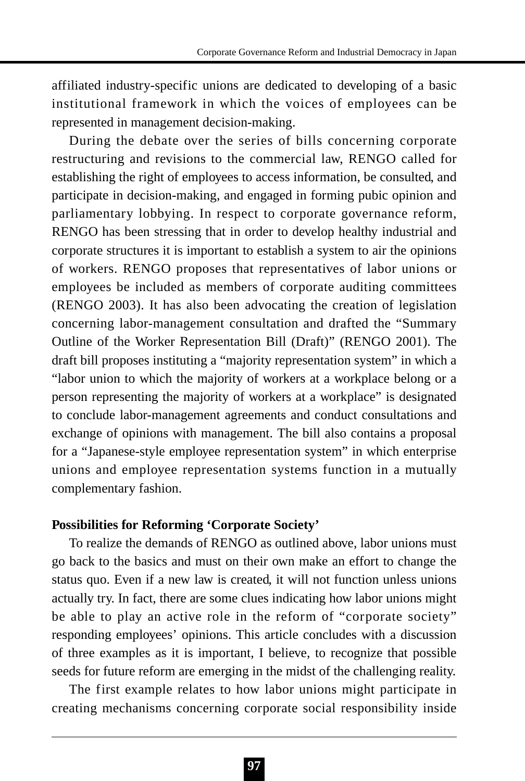affiliated industry-specific unions are dedicated to developing of a basic institutional framework in which the voices of employees can be represented in management decision-making.

During the debate over the series of bills concerning corporate restructuring and revisions to the commercial law, RENGO called for establishing the right of employees to access information, be consulted, and participate in decision-making, and engaged in forming pubic opinion and parliamentary lobbying. In respect to corporate governance reform, RENGO has been stressing that in order to develop healthy industrial and corporate structures it is important to establish a system to air the opinions of workers. RENGO proposes that representatives of labor unions or employees be included as members of corporate auditing committees (RENGO 2003). It has also been advocating the creation of legislation concerning labor-management consultation and drafted the "Summary Outline of the Worker Representation Bill (Draft)" (RENGO 2001). The draft bill proposes instituting a "majority representation system" in which a "labor union to which the majority of workers at a workplace belong or a person representing the majority of workers at a workplace" is designated to conclude labor-management agreements and conduct consultations and exchange of opinions with management. The bill also contains a proposal for a "Japanese-style employee representation system" in which enterprise unions and employee representation systems function in a mutually complementary fashion.

### **Possibilities for Reforming 'Corporate Society'**

To realize the demands of RENGO as outlined above, labor unions must go back to the basics and must on their own make an effort to change the status quo. Even if a new law is created, it will not function unless unions actually try. In fact, there are some clues indicating how labor unions might be able to play an active role in the reform of "corporate society" responding employees' opinions. This article concludes with a discussion of three examples as it is important, I believe, to recognize that possible seeds for future reform are emerging in the midst of the challenging reality.

The first example relates to how labor unions might participate in creating mechanisms concerning corporate social responsibility inside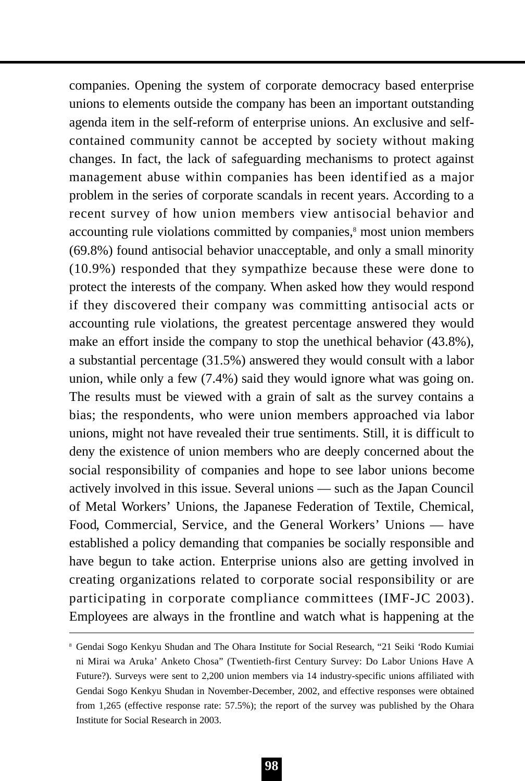companies. Opening the system of corporate democracy based enterprise unions to elements outside the company has been an important outstanding agenda item in the self-reform of enterprise unions. An exclusive and selfcontained community cannot be accepted by society without making changes. In fact, the lack of safeguarding mechanisms to protect against management abuse within companies has been identified as a major problem in the series of corporate scandals in recent years. According to a recent survey of how union members view antisocial behavior and accounting rule violations committed by companies,<sup>8</sup> most union members (69.8%) found antisocial behavior unacceptable, and only a small minority (10.9%) responded that they sympathize because these were done to protect the interests of the company. When asked how they would respond if they discovered their company was committing antisocial acts or accounting rule violations, the greatest percentage answered they would make an effort inside the company to stop the unethical behavior (43.8%), a substantial percentage (31.5%) answered they would consult with a labor union, while only a few (7.4%) said they would ignore what was going on. The results must be viewed with a grain of salt as the survey contains a bias; the respondents, who were union members approached via labor unions, might not have revealed their true sentiments. Still, it is difficult to deny the existence of union members who are deeply concerned about the social responsibility of companies and hope to see labor unions become actively involved in this issue. Several unions — such as the Japan Council of Metal Workers' Unions, the Japanese Federation of Textile, Chemical, Food, Commercial, Service, and the General Workers' Unions — have established a policy demanding that companies be socially responsible and have begun to take action. Enterprise unions also are getting involved in creating organizations related to corporate social responsibility or are participating in corporate compliance committees (IMF-JC 2003). Employees are always in the frontline and watch what is happening at the

<sup>8</sup> Gendai Sogo Kenkyu Shudan and The Ohara Institute for Social Research, "21 Seiki 'Rodo Kumiai ni Mirai wa Aruka' Anketo Chosa" (Twentieth-first Century Survey: Do Labor Unions Have A Future?). Surveys were sent to 2,200 union members via 14 industry-specific unions affiliated with Gendai Sogo Kenkyu Shudan in November-December, 2002, and effective responses were obtained from 1,265 (effective response rate: 57.5%); the report of the survey was published by the Ohara Institute for Social Research in 2003.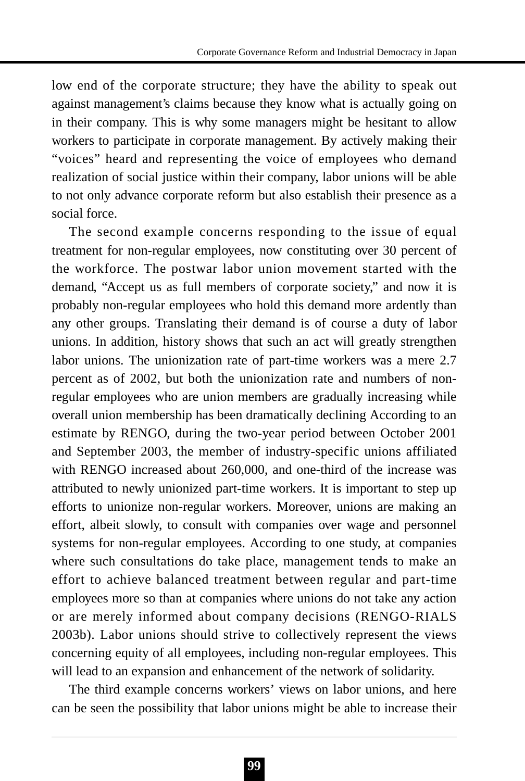low end of the corporate structure; they have the ability to speak out against management's claims because they know what is actually going on in their company. This is why some managers might be hesitant to allow workers to participate in corporate management. By actively making their "voices" heard and representing the voice of employees who demand realization of social justice within their company, labor unions will be able to not only advance corporate reform but also establish their presence as a social force.

The second example concerns responding to the issue of equal treatment for non-regular employees, now constituting over 30 percent of the workforce. The postwar labor union movement started with the demand, "Accept us as full members of corporate society," and now it is probably non-regular employees who hold this demand more ardently than any other groups. Translating their demand is of course a duty of labor unions. In addition, history shows that such an act will greatly strengthen labor unions. The unionization rate of part-time workers was a mere 2.7 percent as of 2002, but both the unionization rate and numbers of nonregular employees who are union members are gradually increasing while overall union membership has been dramatically declining According to an estimate by RENGO, during the two-year period between October 2001 and September 2003, the member of industry-specific unions affiliated with RENGO increased about 260,000, and one-third of the increase was attributed to newly unionized part-time workers. It is important to step up efforts to unionize non-regular workers. Moreover, unions are making an effort, albeit slowly, to consult with companies over wage and personnel systems for non-regular employees. According to one study, at companies where such consultations do take place, management tends to make an effort to achieve balanced treatment between regular and part-time employees more so than at companies where unions do not take any action or are merely informed about company decisions (RENGO-RIALS 2003b). Labor unions should strive to collectively represent the views concerning equity of all employees, including non-regular employees. This will lead to an expansion and enhancement of the network of solidarity.

The third example concerns workers' views on labor unions, and here can be seen the possibility that labor unions might be able to increase their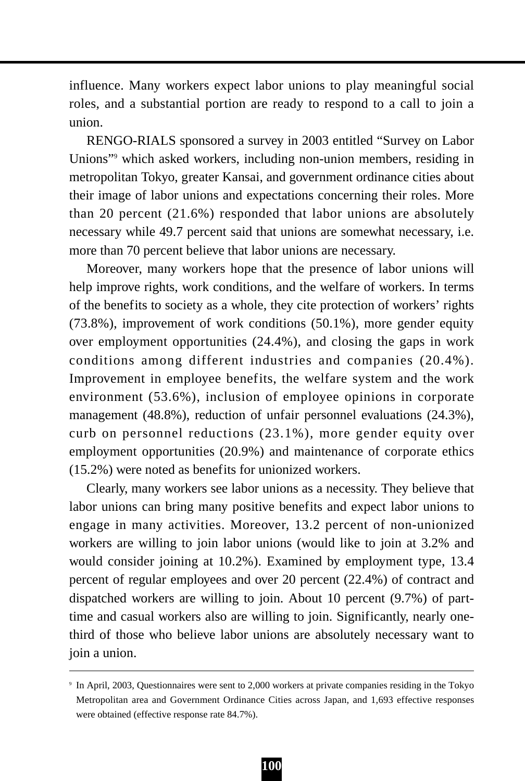influence. Many workers expect labor unions to play meaningful social roles, and a substantial portion are ready to respond to a call to join a union.

RENGO-RIALS sponsored a survey in 2003 entitled "Survey on Labor Unions"9 which asked workers, including non-union members, residing in metropolitan Tokyo, greater Kansai, and government ordinance cities about their image of labor unions and expectations concerning their roles. More than 20 percent (21.6%) responded that labor unions are absolutely necessary while 49.7 percent said that unions are somewhat necessary, i.e. more than 70 percent believe that labor unions are necessary.

Moreover, many workers hope that the presence of labor unions will help improve rights, work conditions, and the welfare of workers. In terms of the benefits to society as a whole, they cite protection of workers' rights (73.8%), improvement of work conditions (50.1%), more gender equity over employment opportunities (24.4%), and closing the gaps in work conditions among different industries and companies (20.4%). Improvement in employee benefits, the welfare system and the work environment (53.6%), inclusion of employee opinions in corporate management (48.8%), reduction of unfair personnel evaluations (24.3%), curb on personnel reductions (23.1%), more gender equity over employment opportunities (20.9%) and maintenance of corporate ethics (15.2%) were noted as benefits for unionized workers.

Clearly, many workers see labor unions as a necessity. They believe that labor unions can bring many positive benefits and expect labor unions to engage in many activities. Moreover, 13.2 percent of non-unionized workers are willing to join labor unions (would like to join at 3.2% and would consider joining at 10.2%). Examined by employment type, 13.4 percent of regular employees and over 20 percent (22.4%) of contract and dispatched workers are willing to join. About 10 percent (9.7%) of parttime and casual workers also are willing to join. Significantly, nearly onethird of those who believe labor unions are absolutely necessary want to join a union.

<sup>9</sup> In April, 2003, Questionnaires were sent to 2,000 workers at private companies residing in the Tokyo Metropolitan area and Government Ordinance Cities across Japan, and 1,693 effective responses were obtained (effective response rate 84.7%).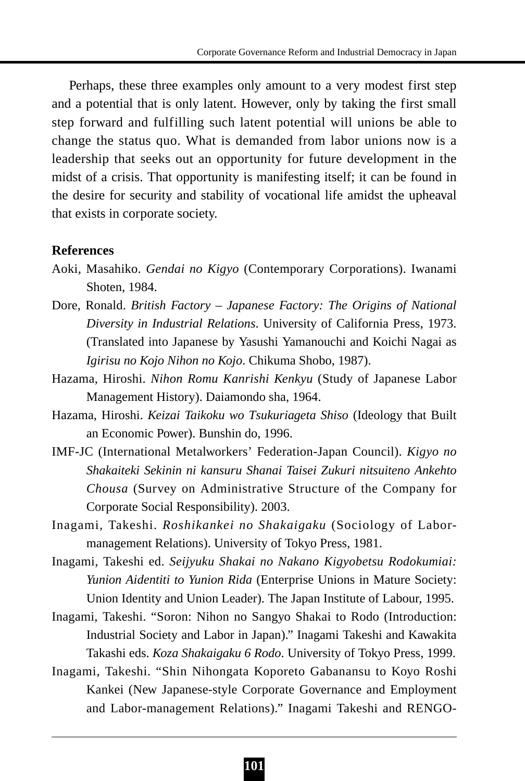Perhaps, these three examples only amount to a very modest first step and a potential that is only latent. However, only by taking the first small step forward and fulfilling such latent potential will unions be able to change the status quo. What is demanded from labor unions now is a leadership that seeks out an opportunity for future development in the midst of a crisis. That opportunity is manifesting itself; it can be found in the desire for security and stability of vocational life amidst the upheaval that exists in corporate society.

#### **References**

- Aoki, Masahiko. *Gendai no Kigyo* (Contemporary Corporations). Iwanami Shoten, 1984.
- Dore, Ronald. *British Factory Japanese Factory: The Origins of National Diversity in Industrial Relations*. University of California Press, 1973. (Translated into Japanese by Yasushi Yamanouchi and Koichi Nagai as *Igirisu no Kojo Nihon no Kojo*. Chikuma Shobo, 1987).
- Hazama, Hiroshi. *Nihon Romu Kanrishi Kenkyu* (Study of Japanese Labor Management History). Daiamondo sha, 1964.
- Hazama, Hiroshi. *Keizai Taikoku wo Tsukuriageta Shiso* (Ideology that Built an Economic Power). Bunshin do, 1996.
- IMF-JC (International Metalworkers' Federation-Japan Council). *Kigyo no Shakaiteki Sekinin ni kansuru Shanai Taisei Zukuri nitsuiteno Ankehto Chousa* (Survey on Administrative Structure of the Company for Corporate Social Responsibility). 2003.
- Inagami, Takeshi. *Roshikankei no Shakaigaku* (Sociology of Labormanagement Relations). University of Tokyo Press, 1981.
- Inagami, Takeshi ed. *Seijyuku Shakai no Nakano Kigyobetsu Rodokumiai: Yunion Aidentiti to Yunion Rida* (Enterprise Unions in Mature Society: Union Identity and Union Leader). The Japan Institute of Labour, 1995.
- Inagami, Takeshi. "Soron: Nihon no Sangyo Shakai to Rodo (Introduction: Industrial Society and Labor in Japan)." Inagami Takeshi and Kawakita Takashi eds. *Koza Shakaigaku 6 Rodo*. University of Tokyo Press, 1999.
- Inagami, Takeshi. "Shin Nihongata Koporeto Gabanansu to Koyo Roshi Kankei (New Japanese-style Corporate Governance and Employment and Labor-management Relations)." Inagami Takeshi and RENGO-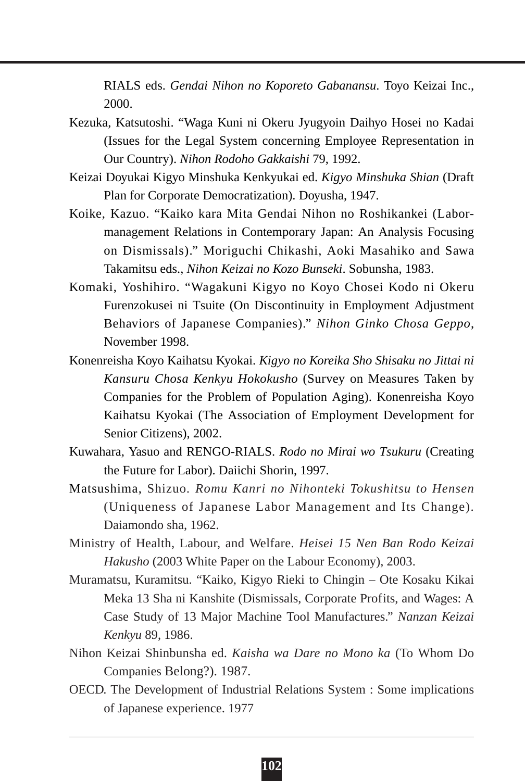RIALS eds. *Gendai Nihon no Koporeto Gabanansu*. Toyo Keizai Inc., 2000.

- Kezuka, Katsutoshi. "Waga Kuni ni Okeru Jyugyoin Daihyo Hosei no Kadai (Issues for the Legal System concerning Employee Representation in Our Country). *Nihon Rodoho Gakkaishi* 79, 1992.
- Keizai Doyukai Kigyo Minshuka Kenkyukai ed. *Kigyo Minshuka Shian* (Draft Plan for Corporate Democratization). Doyusha, 1947.
- Koike, Kazuo. "Kaiko kara Mita Gendai Nihon no Roshikankei (Labormanagement Relations in Contemporary Japan: An Analysis Focusing on Dismissals)." Moriguchi Chikashi, Aoki Masahiko and Sawa Takamitsu eds., *Nihon Keizai no Kozo Bunseki*. Sobunsha, 1983.
- Komaki, Yoshihiro. "Wagakuni Kigyo no Koyo Chosei Kodo ni Okeru Furenzokusei ni Tsuite (On Discontinuity in Employment Adjustment Behaviors of Japanese Companies)." *Nihon Ginko Chosa Geppo*, November 1998.
- Konenreisha Koyo Kaihatsu Kyokai. *Kigyo no Koreika Sho Shisaku no Jittai ni Kansuru Chosa Kenkyu Hokokusho* (Survey on Measures Taken by Companies for the Problem of Population Aging). Konenreisha Koyo Kaihatsu Kyokai (The Association of Employment Development for Senior Citizens), 2002.
- Kuwahara, Yasuo and RENGO-RIALS. *Rodo no Mirai wo Tsukuru* (Creating the Future for Labor). Daiichi Shorin, 1997.
- Matsushima, Shizuo*. Romu Kanri no Nihonteki Tokushitsu to Hensen* (Uniqueness of Japanese Labor Management and Its Change). Daiamondo sha, 1962.
- Ministry of Health, Labour, and Welfare. *Heisei 15 Nen Ban Rodo Keizai Hakusho* (2003 White Paper on the Labour Economy), 2003.
- Muramatsu, Kuramitsu. "Kaiko, Kigyo Rieki to Chingin Ote Kosaku Kikai Meka 13 Sha ni Kanshite (Dismissals, Corporate Profits, and Wages: A Case Study of 13 Major Machine Tool Manufactures." *Nanzan Keizai Kenkyu* 89, 1986.
- Nihon Keizai Shinbunsha ed. *Kaisha wa Dare no Mono ka* (To Whom Do Companies Belong?). 1987.
- OECD. The Development of Industrial Relations System : Some implications of Japanese experience. 1977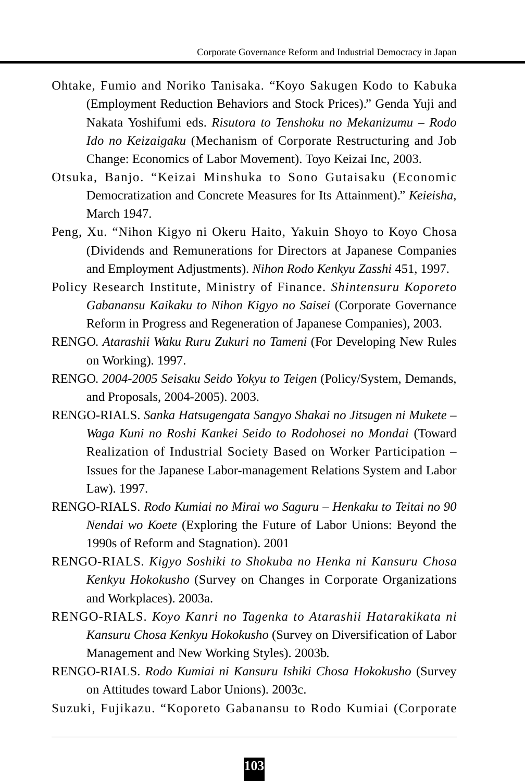- Ohtake, Fumio and Noriko Tanisaka. "Koyo Sakugen Kodo to Kabuka (Employment Reduction Behaviors and Stock Prices)." Genda Yuji and Nakata Yoshifumi eds. *Risutora to Tenshoku no Mekanizumu – Rodo Ido no Keizaigaku* (Mechanism of Corporate Restructuring and Job Change: Economics of Labor Movement). Toyo Keizai Inc, 2003.
- Otsuka, Banjo. "Keizai Minshuka to Sono Gutaisaku (Economic Democratization and Concrete Measures for Its Attainment)." *Keieisha*, March 1947.
- Peng, Xu. "Nihon Kigyo ni Okeru Haito, Yakuin Shoyo to Koyo Chosa (Dividends and Remunerations for Directors at Japanese Companies and Employment Adjustments). *Nihon Rodo Kenkyu Zasshi* 451, 1997.
- Policy Research Institute, Ministry of Finance. *Shintensuru Koporeto Gabanansu Kaikaku to Nihon Kigyo no Saisei* (Corporate Governance Reform in Progress and Regeneration of Japanese Companies), 2003.
- RENGO. *Atarashii Waku Ruru Zukuri no Tameni* (For Developing New Rules on Working). 1997.
- RENGO. *2004-2005 Seisaku Seido Yokyu to Teigen* (Policy/System, Demands, and Proposals, 2004-2005). 2003.
- RENGO-RIALS. *Sanka Hatsugengata Sangyo Shakai no Jitsugen ni Mukete – Waga Kuni no Roshi Kankei Seido to Rodohosei no Mondai* (Toward Realization of Industrial Society Based on Worker Participation – Issues for the Japanese Labor-management Relations System and Labor Law). 1997.
- RENGO-RIALS. *Rodo Kumiai no Mirai wo Saguru Henkaku to Teitai no 90 Nendai wo Koete* (Exploring the Future of Labor Unions: Beyond the 1990s of Reform and Stagnation). 2001
- RENGO-RIALS. *Kigyo Soshiki to Shokuba no Henka ni Kansuru Chosa Kenkyu Hokokusho* (Survey on Changes in Corporate Organizations and Workplaces). 2003a.
- RENGO-RIALS. *Koyo Kanri no Tagenka to Atarashii Hatarakikata ni Kansuru Chosa Kenkyu Hokokusho* (Survey on Diversification of Labor Management and New Working Styles). 2003b.
- RENGO-RIALS. *Rodo Kumiai ni Kansuru Ishiki Chosa Hokokusho* (Survey on Attitudes toward Labor Unions). 2003c.
- Suzuki, Fujikazu. "Koporeto Gabanansu to Rodo Kumiai (Corporate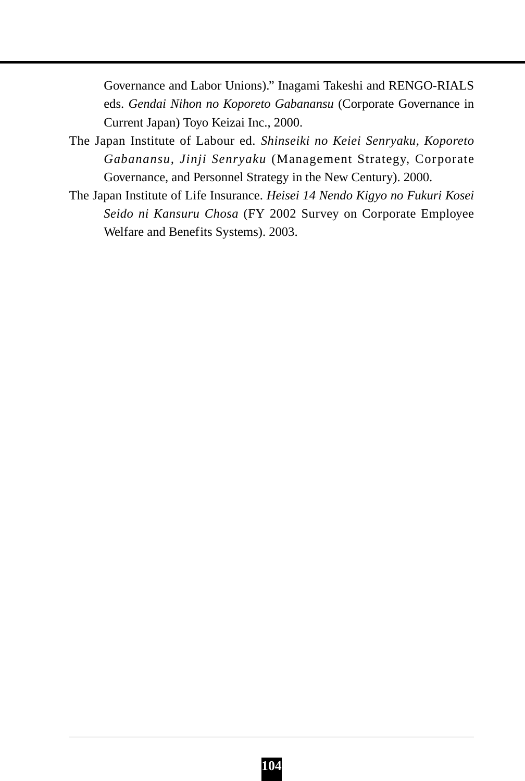Governance and Labor Unions)." Inagami Takeshi and RENGO-RIALS eds. *Gendai Nihon no Koporeto Gabanansu* (Corporate Governance in Current Japan) Toyo Keizai Inc., 2000.

- The Japan Institute of Labour ed. *Shinseiki no Keiei Senryaku, Koporeto Gabanansu, Jinji Senryaku* (Management Strategy, Corporate Governance, and Personnel Strategy in the New Century). 2000.
- The Japan Institute of Life Insurance. *Heisei 14 Nendo Kigyo no Fukuri Kosei Seido ni Kansuru Chosa* (FY 2002 Survey on Corporate Employee Welfare and Benefits Systems). 2003.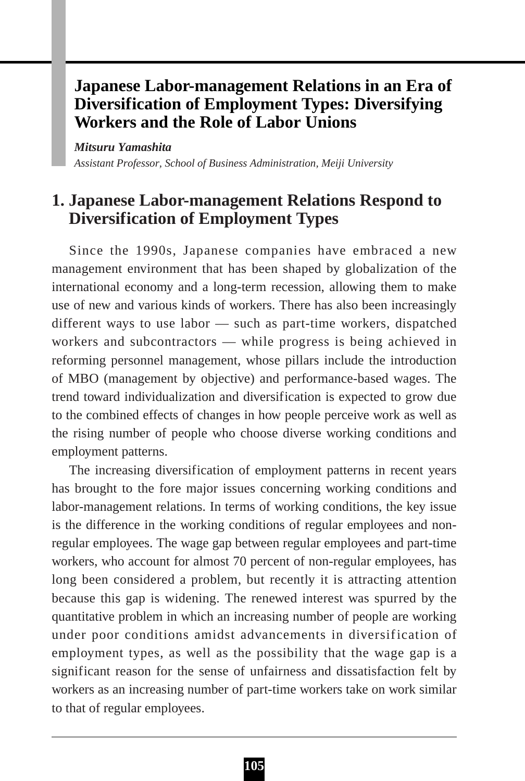# **Japanese Labor-management Relations in an Era of Diversification of Employment Types: Diversifying Workers and the Role of Labor Unions**

*Mitsuru Yamashita Assistant Professor, School of Business Administration, Meiji University*

# **1. Japanese Labor-management Relations Respond to Diversification of Employment Types**

Since the 1990s, Japanese companies have embraced a new management environment that has been shaped by globalization of the international economy and a long-term recession, allowing them to make use of new and various kinds of workers. There has also been increasingly different ways to use labor — such as part-time workers, dispatched workers and subcontractors — while progress is being achieved in reforming personnel management, whose pillars include the introduction of MBO (management by objective) and performance-based wages. The trend toward individualization and diversification is expected to grow due to the combined effects of changes in how people perceive work as well as the rising number of people who choose diverse working conditions and employment patterns.

The increasing diversification of employment patterns in recent years has brought to the fore major issues concerning working conditions and labor-management relations. In terms of working conditions, the key issue is the difference in the working conditions of regular employees and nonregular employees. The wage gap between regular employees and part-time workers, who account for almost 70 percent of non-regular employees, has long been considered a problem, but recently it is attracting attention because this gap is widening. The renewed interest was spurred by the quantitative problem in which an increasing number of people are working under poor conditions amidst advancements in diversification of employment types, as well as the possibility that the wage gap is a significant reason for the sense of unfairness and dissatisfaction felt by workers as an increasing number of part-time workers take on work similar to that of regular employees.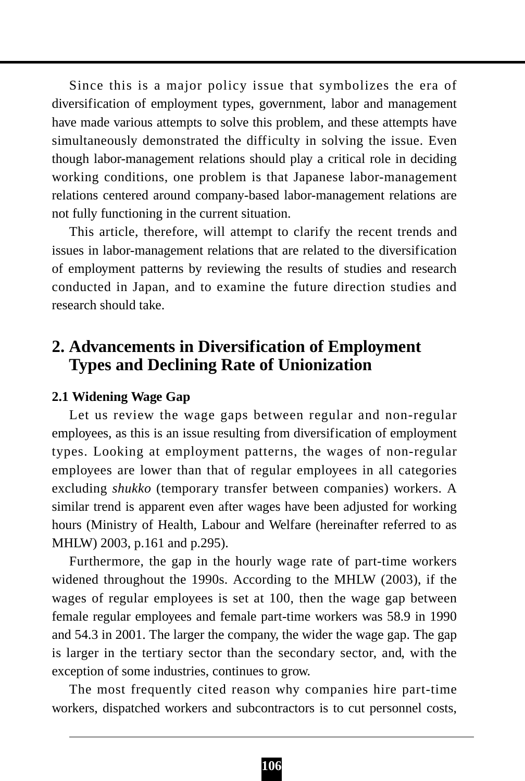Since this is a major policy issue that symbolizes the era of diversification of employment types, government, labor and management have made various attempts to solve this problem, and these attempts have simultaneously demonstrated the difficulty in solving the issue. Even though labor-management relations should play a critical role in deciding working conditions, one problem is that Japanese labor-management relations centered around company-based labor-management relations are not fully functioning in the current situation.

This article, therefore, will attempt to clarify the recent trends and issues in labor-management relations that are related to the diversification of employment patterns by reviewing the results of studies and research conducted in Japan, and to examine the future direction studies and research should take.

# **2. Advancements in Diversification of Employment Types and Declining Rate of Unionization**

### **2.1 Widening Wage Gap**

Let us review the wage gaps between regular and non-regular employees, as this is an issue resulting from diversification of employment types. Looking at employment patterns, the wages of non-regular employees are lower than that of regular employees in all categories excluding *shukko* (temporary transfer between companies) workers. A similar trend is apparent even after wages have been adjusted for working hours (Ministry of Health, Labour and Welfare (hereinafter referred to as MHLW) 2003, p.161 and p.295).

Furthermore, the gap in the hourly wage rate of part-time workers widened throughout the 1990s. According to the MHLW (2003), if the wages of regular employees is set at 100, then the wage gap between female regular employees and female part-time workers was 58.9 in 1990 and 54.3 in 2001. The larger the company, the wider the wage gap. The gap is larger in the tertiary sector than the secondary sector, and, with the exception of some industries, continues to grow.

The most frequently cited reason why companies hire part-time workers, dispatched workers and subcontractors is to cut personnel costs,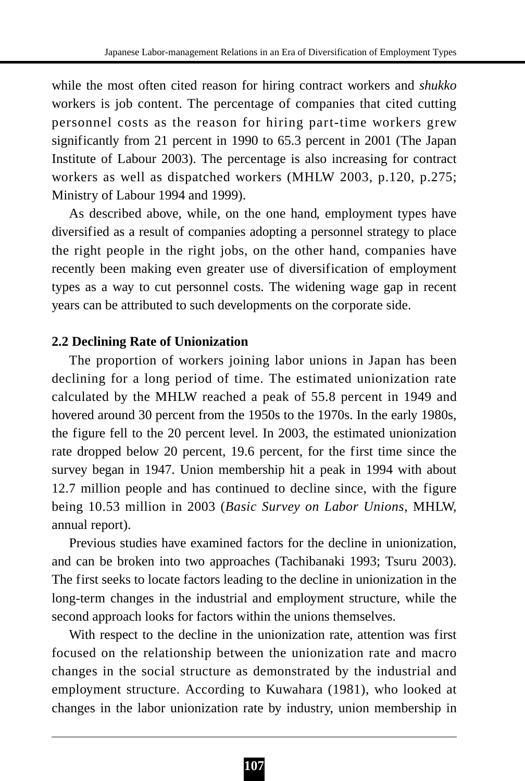while the most often cited reason for hiring contract workers and *shukko* workers is job content. The percentage of companies that cited cutting personnel costs as the reason for hiring part-time workers grew significantly from 21 percent in 1990 to 65.3 percent in 2001 (The Japan Institute of Labour 2003). The percentage is also increasing for contract workers as well as dispatched workers (MHLW 2003, p.120, p.275; Ministry of Labour 1994 and 1999).

As described above, while, on the one hand, employment types have diversified as a result of companies adopting a personnel strategy to place the right people in the right jobs, on the other hand, companies have recently been making even greater use of diversification of employment types as a way to cut personnel costs. The widening wage gap in recent years can be attributed to such developments on the corporate side.

## **2.2 Declining Rate of Unionization**

The proportion of workers joining labor unions in Japan has been declining for a long period of time. The estimated unionization rate calculated by the MHLW reached a peak of 55.8 percent in 1949 and hovered around 30 percent from the 1950s to the 1970s. In the early 1980s, the figure fell to the 20 percent level. In 2003, the estimated unionization rate dropped below 20 percent, 19.6 percent, for the first time since the survey began in 1947. Union membership hit a peak in 1994 with about 12.7 million people and has continued to decline since, with the figure being 10.53 million in 2003 (*Basic Survey on Labor Unions*, MHLW, annual report).

Previous studies have examined factors for the decline in unionization, and can be broken into two approaches (Tachibanaki 1993; Tsuru 2003). The first seeks to locate factors leading to the decline in unionization in the long-term changes in the industrial and employment structure, while the second approach looks for factors within the unions themselves.

With respect to the decline in the unionization rate, attention was first focused on the relationship between the unionization rate and macro changes in the social structure as demonstrated by the industrial and employment structure. According to Kuwahara (1981), who looked at changes in the labor unionization rate by industry, union membership in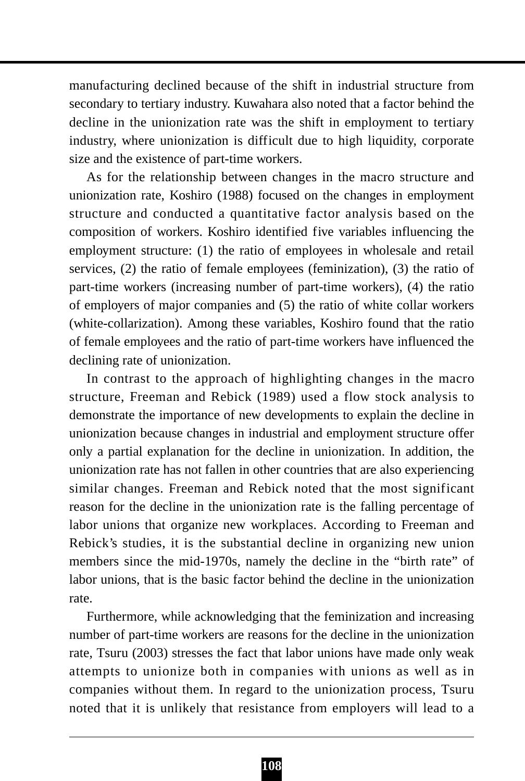manufacturing declined because of the shift in industrial structure from secondary to tertiary industry. Kuwahara also noted that a factor behind the decline in the unionization rate was the shift in employment to tertiary industry, where unionization is difficult due to high liquidity, corporate size and the existence of part-time workers.

As for the relationship between changes in the macro structure and unionization rate, Koshiro (1988) focused on the changes in employment structure and conducted a quantitative factor analysis based on the composition of workers. Koshiro identified five variables influencing the employment structure: (1) the ratio of employees in wholesale and retail services, (2) the ratio of female employees (feminization), (3) the ratio of part-time workers (increasing number of part-time workers), (4) the ratio of employers of major companies and (5) the ratio of white collar workers (white-collarization). Among these variables, Koshiro found that the ratio of female employees and the ratio of part-time workers have influenced the declining rate of unionization.

In contrast to the approach of highlighting changes in the macro structure, Freeman and Rebick (1989) used a flow stock analysis to demonstrate the importance of new developments to explain the decline in unionization because changes in industrial and employment structure offer only a partial explanation for the decline in unionization. In addition, the unionization rate has not fallen in other countries that are also experiencing similar changes. Freeman and Rebick noted that the most significant reason for the decline in the unionization rate is the falling percentage of labor unions that organize new workplaces. According to Freeman and Rebick's studies, it is the substantial decline in organizing new union members since the mid-1970s, namely the decline in the "birth rate" of labor unions, that is the basic factor behind the decline in the unionization rate.

Furthermore, while acknowledging that the feminization and increasing number of part-time workers are reasons for the decline in the unionization rate, Tsuru (2003) stresses the fact that labor unions have made only weak attempts to unionize both in companies with unions as well as in companies without them. In regard to the unionization process, Tsuru noted that it is unlikely that resistance from employers will lead to a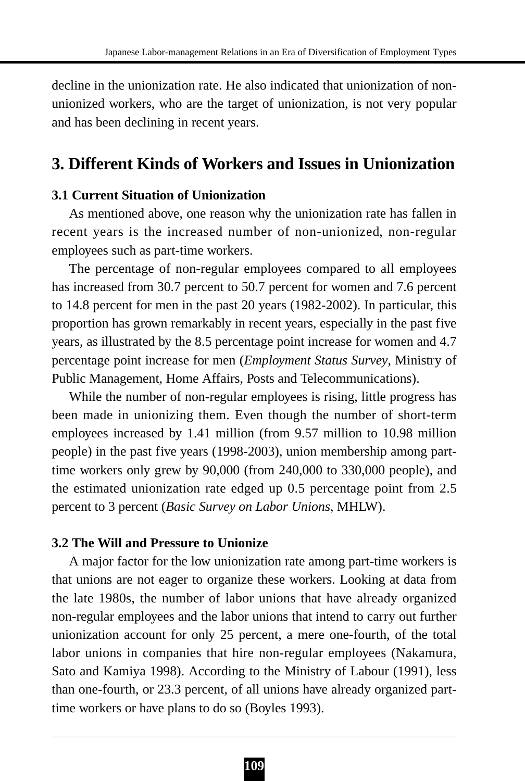decline in the unionization rate. He also indicated that unionization of nonunionized workers, who are the target of unionization, is not very popular and has been declining in recent years.

## **3. Different Kinds of Workers and Issues in Unionization**

## **3.1 Current Situation of Unionization**

As mentioned above, one reason why the unionization rate has fallen in recent years is the increased number of non-unionized, non-regular employees such as part-time workers.

The percentage of non-regular employees compared to all employees has increased from 30.7 percent to 50.7 percent for women and 7.6 percent to 14.8 percent for men in the past 20 years (1982-2002). In particular, this proportion has grown remarkably in recent years, especially in the past five years, as illustrated by the 8.5 percentage point increase for women and 4.7 percentage point increase for men (*Employment Status Survey*, Ministry of Public Management, Home Affairs, Posts and Telecommunications).

While the number of non-regular employees is rising, little progress has been made in unionizing them. Even though the number of short-term employees increased by 1.41 million (from 9.57 million to 10.98 million people) in the past five years (1998-2003), union membership among parttime workers only grew by 90,000 (from 240,000 to 330,000 people), and the estimated unionization rate edged up 0.5 percentage point from 2.5 percent to 3 percent (*Basic Survey on Labor Unions*, MHLW).

## **3.2 The Will and Pressure to Unionize**

A major factor for the low unionization rate among part-time workers is that unions are not eager to organize these workers. Looking at data from the late 1980s, the number of labor unions that have already organized non-regular employees and the labor unions that intend to carry out further unionization account for only 25 percent, a mere one-fourth, of the total labor unions in companies that hire non-regular employees (Nakamura, Sato and Kamiya 1998). According to the Ministry of Labour (1991), less than one-fourth, or 23.3 percent, of all unions have already organized parttime workers or have plans to do so (Boyles 1993).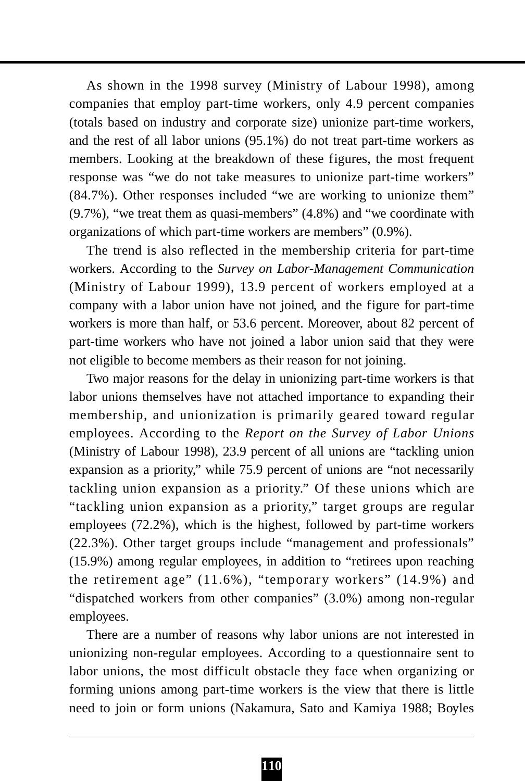As shown in the 1998 survey (Ministry of Labour 1998), among companies that employ part-time workers, only 4.9 percent companies (totals based on industry and corporate size) unionize part-time workers, and the rest of all labor unions (95.1%) do not treat part-time workers as members. Looking at the breakdown of these figures, the most frequent response was "we do not take measures to unionize part-time workers" (84.7%). Other responses included "we are working to unionize them"  $(9.7\%)$ , "we treat them as quasi-members"  $(4.8\%)$  and "we coordinate with organizations of which part-time workers are members" (0.9%).

The trend is also reflected in the membership criteria for part-time workers. According to the *Survey on Labor-Management Communication* (Ministry of Labour 1999), 13.9 percent of workers employed at a company with a labor union have not joined, and the figure for part-time workers is more than half, or 53.6 percent. Moreover, about 82 percent of part-time workers who have not joined a labor union said that they were not eligible to become members as their reason for not joining.

Two major reasons for the delay in unionizing part-time workers is that labor unions themselves have not attached importance to expanding their membership, and unionization is primarily geared toward regular employees. According to the *Report on the Survey of Labor Unions* (Ministry of Labour 1998), 23.9 percent of all unions are "tackling union expansion as a priority," while 75.9 percent of unions are "not necessarily tackling union expansion as a priority." Of these unions which are "tackling union expansion as a priority," target groups are regular employees (72.2%), which is the highest, followed by part-time workers (22.3%). Other target groups include "management and professionals" (15.9%) among regular employees, in addition to "retirees upon reaching the retirement age" (11.6%), "temporary workers" (14.9%) and "dispatched workers from other companies" (3.0%) among non-regular employees.

There are a number of reasons why labor unions are not interested in unionizing non-regular employees. According to a questionnaire sent to labor unions, the most difficult obstacle they face when organizing or forming unions among part-time workers is the view that there is little need to join or form unions (Nakamura, Sato and Kamiya 1988; Boyles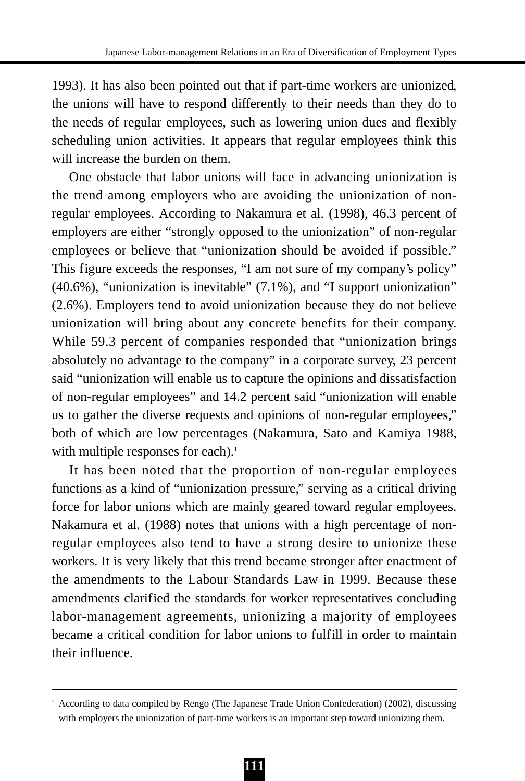1993). It has also been pointed out that if part-time workers are unionized, the unions will have to respond differently to their needs than they do to the needs of regular employees, such as lowering union dues and flexibly scheduling union activities. It appears that regular employees think this will increase the burden on them.

One obstacle that labor unions will face in advancing unionization is the trend among employers who are avoiding the unionization of nonregular employees. According to Nakamura et al. (1998), 46.3 percent of employers are either "strongly opposed to the unionization" of non-regular employees or believe that "unionization should be avoided if possible." This figure exceeds the responses, "I am not sure of my company's policy" (40.6%), "unionization is inevitable" (7.1%), and "I support unionization" (2.6%). Employers tend to avoid unionization because they do not believe unionization will bring about any concrete benefits for their company. While 59.3 percent of companies responded that "unionization brings absolutely no advantage to the company" in a corporate survey, 23 percent said "unionization will enable us to capture the opinions and dissatisfaction of non-regular employees" and 14.2 percent said "unionization will enable us to gather the diverse requests and opinions of non-regular employees," both of which are low percentages (Nakamura, Sato and Kamiya 1988, with multiple responses for each).<sup>1</sup>

It has been noted that the proportion of non-regular employees functions as a kind of "unionization pressure," serving as a critical driving force for labor unions which are mainly geared toward regular employees. Nakamura et al. (1988) notes that unions with a high percentage of nonregular employees also tend to have a strong desire to unionize these workers. It is very likely that this trend became stronger after enactment of the amendments to the Labour Standards Law in 1999. Because these amendments clarified the standards for worker representatives concluding labor-management agreements, unionizing a majority of employees became a critical condition for labor unions to fulfill in order to maintain their influence.

<sup>&</sup>lt;sup>1</sup> According to data compiled by Rengo (The Japanese Trade Union Confederation) (2002), discussing with employers the unionization of part-time workers is an important step toward unionizing them.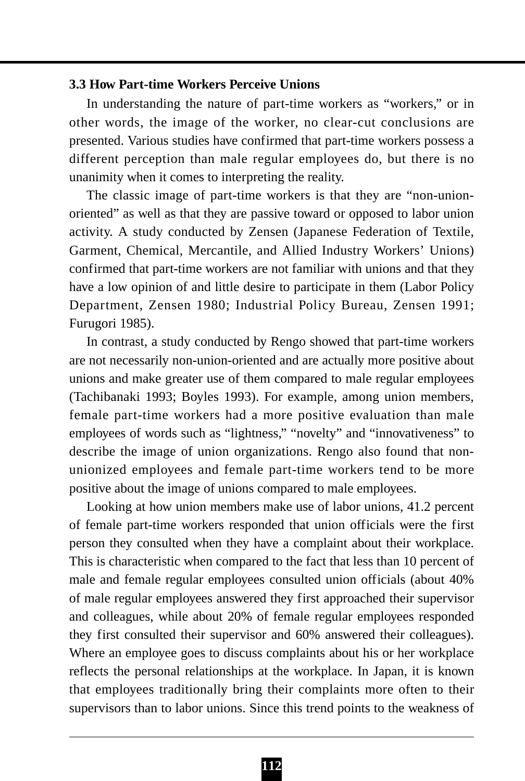## **3.3 How Part-time Workers Perceive Unions**

In understanding the nature of part-time workers as "workers," or in other words, the image of the worker, no clear-cut conclusions are presented. Various studies have confirmed that part-time workers possess a different perception than male regular employees do, but there is no unanimity when it comes to interpreting the reality.

The classic image of part-time workers is that they are "non-unionoriented" as well as that they are passive toward or opposed to labor union activity. A study conducted by Zensen (Japanese Federation of Textile, Garment, Chemical, Mercantile, and Allied Industry Workers' Unions) confirmed that part-time workers are not familiar with unions and that they have a low opinion of and little desire to participate in them (Labor Policy Department, Zensen 1980; Industrial Policy Bureau, Zensen 1991; Furugori 1985).

In contrast, a study conducted by Rengo showed that part-time workers are not necessarily non-union-oriented and are actually more positive about unions and make greater use of them compared to male regular employees (Tachibanaki 1993; Boyles 1993). For example, among union members, female part-time workers had a more positive evaluation than male employees of words such as "lightness," "novelty" and "innovativeness" to describe the image of union organizations. Rengo also found that nonunionized employees and female part-time workers tend to be more positive about the image of unions compared to male employees.

Looking at how union members make use of labor unions, 41.2 percent of female part-time workers responded that union officials were the first person they consulted when they have a complaint about their workplace. This is characteristic when compared to the fact that less than 10 percent of male and female regular employees consulted union officials (about 40% of male regular employees answered they first approached their supervisor and colleagues, while about 20% of female regular employees responded they first consulted their supervisor and 60% answered their colleagues). Where an employee goes to discuss complaints about his or her workplace reflects the personal relationships at the workplace. In Japan, it is known that employees traditionally bring their complaints more often to their supervisors than to labor unions. Since this trend points to the weakness of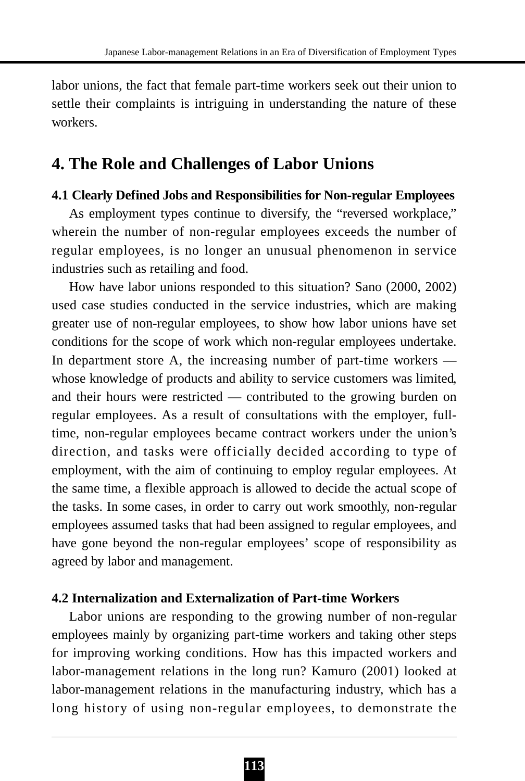labor unions, the fact that female part-time workers seek out their union to settle their complaints is intriguing in understanding the nature of these workers.

# **4. The Role and Challenges of Labor Unions**

## **4.1 Clearly Defined Jobs and Responsibilities for Non-regular Employees**

As employment types continue to diversify, the "reversed workplace," wherein the number of non-regular employees exceeds the number of regular employees, is no longer an unusual phenomenon in service industries such as retailing and food.

How have labor unions responded to this situation? Sano (2000, 2002) used case studies conducted in the service industries, which are making greater use of non-regular employees, to show how labor unions have set conditions for the scope of work which non-regular employees undertake. In department store A, the increasing number of part-time workers whose knowledge of products and ability to service customers was limited, and their hours were restricted — contributed to the growing burden on regular employees. As a result of consultations with the employer, fulltime, non-regular employees became contract workers under the union's direction, and tasks were officially decided according to type of employment, with the aim of continuing to employ regular employees. At the same time, a flexible approach is allowed to decide the actual scope of the tasks. In some cases, in order to carry out work smoothly, non-regular employees assumed tasks that had been assigned to regular employees, and have gone beyond the non-regular employees' scope of responsibility as agreed by labor and management.

## **4.2 Internalization and Externalization of Part-time Workers**

Labor unions are responding to the growing number of non-regular employees mainly by organizing part-time workers and taking other steps for improving working conditions. How has this impacted workers and labor-management relations in the long run? Kamuro (2001) looked at labor-management relations in the manufacturing industry, which has a long history of using non-regular employees, to demonstrate the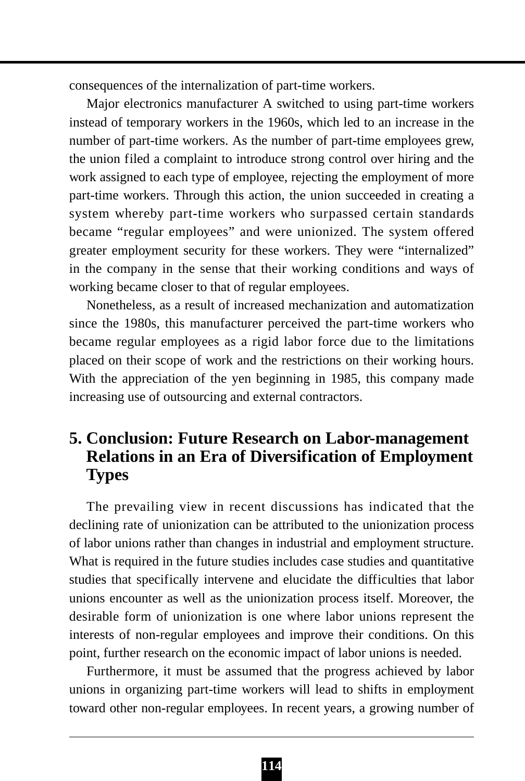consequences of the internalization of part-time workers.

Major electronics manufacturer A switched to using part-time workers instead of temporary workers in the 1960s, which led to an increase in the number of part-time workers. As the number of part-time employees grew, the union filed a complaint to introduce strong control over hiring and the work assigned to each type of employee, rejecting the employment of more part-time workers. Through this action, the union succeeded in creating a system whereby part-time workers who surpassed certain standards became "regular employees" and were unionized. The system offered greater employment security for these workers. They were "internalized" in the company in the sense that their working conditions and ways of working became closer to that of regular employees.

Nonetheless, as a result of increased mechanization and automatization since the 1980s, this manufacturer perceived the part-time workers who became regular employees as a rigid labor force due to the limitations placed on their scope of work and the restrictions on their working hours. With the appreciation of the yen beginning in 1985, this company made increasing use of outsourcing and external contractors.

# **5. Conclusion: Future Research on Labor-management Relations in an Era of Diversification of Employment Types**

The prevailing view in recent discussions has indicated that the declining rate of unionization can be attributed to the unionization process of labor unions rather than changes in industrial and employment structure. What is required in the future studies includes case studies and quantitative studies that specifically intervene and elucidate the difficulties that labor unions encounter as well as the unionization process itself. Moreover, the desirable form of unionization is one where labor unions represent the interests of non-regular employees and improve their conditions. On this point, further research on the economic impact of labor unions is needed.

Furthermore, it must be assumed that the progress achieved by labor unions in organizing part-time workers will lead to shifts in employment toward other non-regular employees. In recent years, a growing number of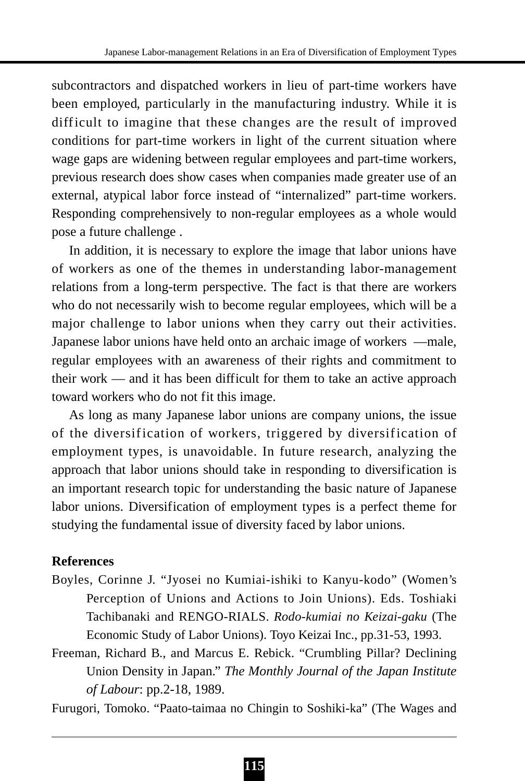subcontractors and dispatched workers in lieu of part-time workers have been employed, particularly in the manufacturing industry. While it is difficult to imagine that these changes are the result of improved conditions for part-time workers in light of the current situation where wage gaps are widening between regular employees and part-time workers, previous research does show cases when companies made greater use of an external, atypical labor force instead of "internalized" part-time workers. Responding comprehensively to non-regular employees as a whole would pose a future challenge .

In addition, it is necessary to explore the image that labor unions have of workers as one of the themes in understanding labor-management relations from a long-term perspective. The fact is that there are workers who do not necessarily wish to become regular employees, which will be a major challenge to labor unions when they carry out their activities. Japanese labor unions have held onto an archaic image of workers —male, regular employees with an awareness of their rights and commitment to their work — and it has been difficult for them to take an active approach toward workers who do not fit this image.

As long as many Japanese labor unions are company unions, the issue of the diversification of workers, triggered by diversification of employment types, is unavoidable. In future research, analyzing the approach that labor unions should take in responding to diversification is an important research topic for understanding the basic nature of Japanese labor unions. Diversification of employment types is a perfect theme for studying the fundamental issue of diversity faced by labor unions.

## **References**

- Boyles, Corinne J. "Jyosei no Kumiai-ishiki to Kanyu-kodo" (Women's Perception of Unions and Actions to Join Unions). Eds. Toshiaki Tachibanaki and RENGO-RIALS. *Rodo-kumiai no Keizai-gaku* (The Economic Study of Labor Unions). Toyo Keizai Inc., pp.31-53, 1993.
- Freeman, Richard B., and Marcus E. Rebick. "Crumbling Pillar? Declining Union Density in Japan." *The Monthly Journal of the Japan Institute of Labour*: pp.2-18, 1989.

Furugori, Tomoko. "Paato-taimaa no Chingin to Soshiki-ka" (The Wages and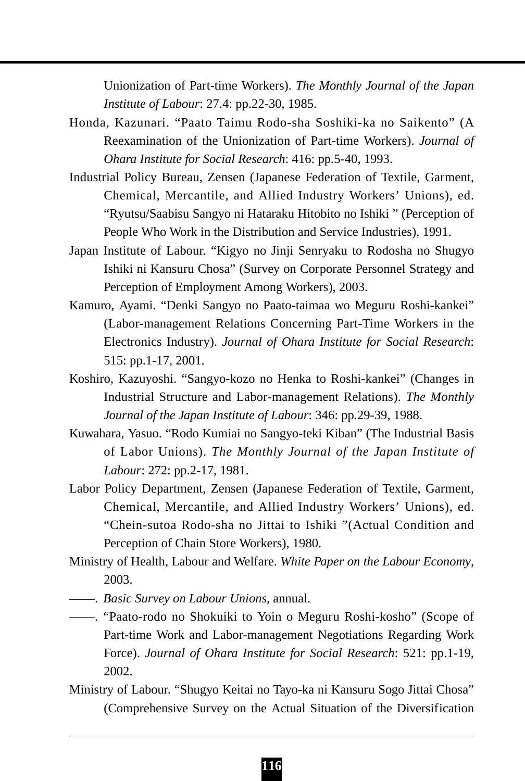Unionization of Part-time Workers). *The Monthly Journal of the Japan Institute of Labour*: 27.4: pp.22-30, 1985.

- Honda, Kazunari. "Paato Taimu Rodo-sha Soshiki-ka no Saikento" (A Reexamination of the Unionization of Part-time Workers). *Journal of Ohara Institute for Social Research*: 416: pp.5-40, 1993.
- Industrial Policy Bureau, Zensen (Japanese Federation of Textile, Garment, Chemical, Mercantile, and Allied Industry Workers' Unions), ed. "Ryutsu/Saabisu Sangyo ni Hataraku Hitobito no Ishiki " (Perception of People Who Work in the Distribution and Service Industries), 1991.
- Japan Institute of Labour. "Kigyo no Jinji Senryaku to Rodosha no Shugyo Ishiki ni Kansuru Chosa" (Survey on Corporate Personnel Strategy and Perception of Employment Among Workers), 2003.
- Kamuro, Ayami. "Denki Sangyo no Paato-taimaa wo Meguru Roshi-kankei" (Labor-management Relations Concerning Part-Time Workers in the Electronics Industry). *Journal of Ohara Institute for Social Research*: 515: pp.1-17, 2001.
- Koshiro, Kazuyoshi. "Sangyo-kozo no Henka to Roshi-kankei" (Changes in Industrial Structure and Labor-management Relations). *The Monthly Journal of the Japan Institute of Labour*: 346: pp.29-39, 1988.
- Kuwahara, Yasuo. "Rodo Kumiai no Sangyo-teki Kiban" (The Industrial Basis of Labor Unions). *The Monthly Journal of the Japan Institute of Labour*: 272: pp.2-17, 1981.
- Labor Policy Department, Zensen (Japanese Federation of Textile, Garment, Chemical, Mercantile, and Allied Industry Workers' Unions), ed. "Chein-sutoa Rodo-sha no Jittai to Ishiki "(Actual Condition and Perception of Chain Store Workers), 1980.
- Ministry of Health, Labour and Welfare. *White Paper on the Labour Economy*, 2003.
- ——. *Basic Survey on Labour Unions*, annual.
- ——. "Paato-rodo no Shokuiki to Yoin o Meguru Roshi-kosho" (Scope of Part-time Work and Labor-management Negotiations Regarding Work Force). *Journal of Ohara Institute for Social Research*: 521: pp.1-19, 2002.
- Ministry of Labour. "Shugyo Keitai no Tayo-ka ni Kansuru Sogo Jittai Chosa" (Comprehensive Survey on the Actual Situation of the Diversification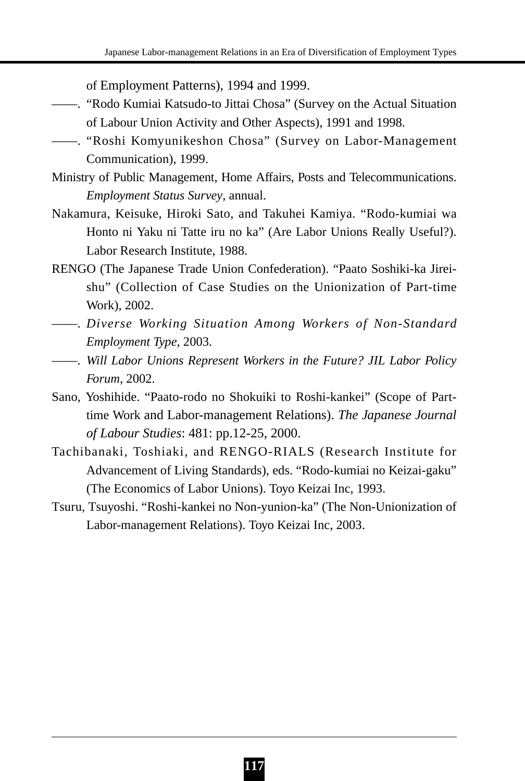of Employment Patterns), 1994 and 1999.

- ——. "Rodo Kumiai Katsudo-to Jittai Chosa" (Survey on the Actual Situation of Labour Union Activity and Other Aspects), 1991 and 1998.
- ——. "Roshi Komyunikeshon Chosa" (Survey on Labor-Management Communication), 1999.
- Ministry of Public Management, Home Affairs, Posts and Telecommunications. *Employment Status Survey*, annual.
- Nakamura, Keisuke, Hiroki Sato, and Takuhei Kamiya. "Rodo-kumiai wa Honto ni Yaku ni Tatte iru no ka" (Are Labor Unions Really Useful?). Labor Research Institute, 1988.
- RENGO (The Japanese Trade Union Confederation). "Paato Soshiki-ka Jireishu" (Collection of Case Studies on the Unionization of Part-time Work), 2002.
- ——. *Diverse Working Situation Among Workers of Non-Standard Employment Type*, 2003.
- ——. *Will Labor Unions Represent Workers in the Future? JIL Labor Policy Forum*, 2002.
- Sano, Yoshihide. "Paato-rodo no Shokuiki to Roshi-kankei" (Scope of Parttime Work and Labor-management Relations). *The Japanese Journal of Labour Studies*: 481: pp.12-25, 2000.
- Tachibanaki, Toshiaki, and RENGO-RIALS (Research Institute for Advancement of Living Standards), eds. "Rodo-kumiai no Keizai-gaku" (The Economics of Labor Unions). Toyo Keizai Inc, 1993.
- Tsuru, Tsuyoshi. "Roshi-kankei no Non-yunion-ka" (The Non-Unionization of Labor-management Relations). Toyo Keizai Inc, 2003.